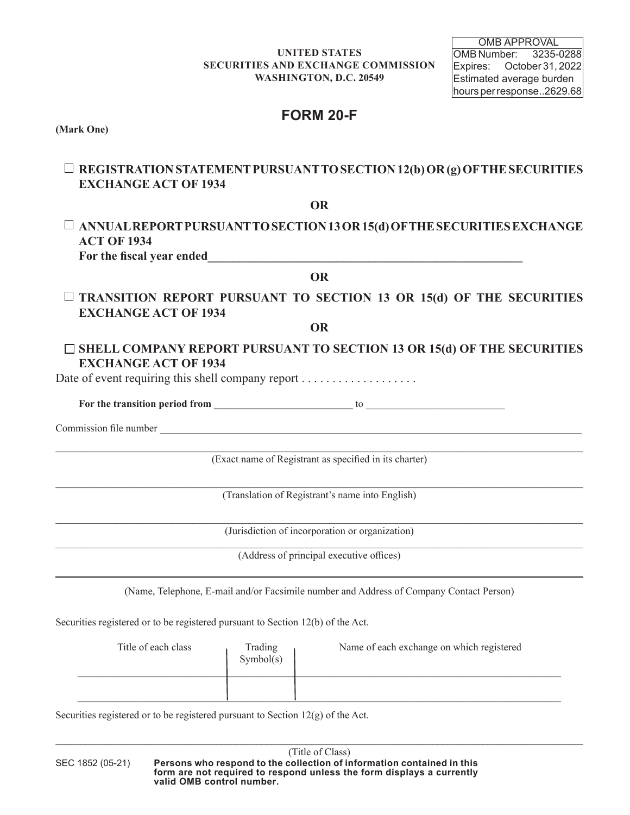## **UNITED STATES SECURITIES AND EXCHANGE COMMISSION WASHINGTON, D.C. 20549**

OMB APPROVAL OMB Number: 3235-0288 Expires: October 31, 2022 Estimated average burden hours per response..2629.68

# **FORM 20-F**

**(Mark One)**

## **REGISTRATION STATEMENT PURSUANT TO SECTION 12(b) OR (g) OF THE SECURITIES EXCHANGE ACT OF 1934**

|                             | <b>OR</b>                                                                                                                   |
|-----------------------------|-----------------------------------------------------------------------------------------------------------------------------|
| <b>ACT OF 1934</b>          | $\Box$ ANNUALREPORT PURSUANT TO SECTION 13 OR 15(d) OF THE SECURITIES EXCHANGE                                              |
|                             | <b>OR</b>                                                                                                                   |
|                             |                                                                                                                             |
| <b>EXCHANGE ACT OF 1934</b> | TRANSITION REPORT PURSUANT TO SECTION 13 OR 15(d) OF THE SECURITIES                                                         |
|                             | <b>OR</b>                                                                                                                   |
| <b>EXCHANGE ACT OF 1934</b> | SHELL COMPANY REPORT PURSUANT TO SECTION 13 OR 15(d) OF THE SECURITIES<br>Date of event requiring this shell company report |
|                             |                                                                                                                             |
|                             |                                                                                                                             |
|                             | (Exact name of Registrant as specified in its charter)                                                                      |
|                             | (Translation of Registrant's name into English)                                                                             |
|                             | (Jurisdiction of incorporation or organization)                                                                             |
|                             | (Address of principal executive offices)                                                                                    |

(Name, Telephone, E-mail and/or Facsimile number and Address of Company Contact Person)

Securities registered or to be registered pursuant to Section 12(b) of the Act.

| Title of each class | Trading<br>Symbol(s) | Name of each exchange on which registered |
|---------------------|----------------------|-------------------------------------------|
|                     |                      |                                           |

Securities registered or to be registered pursuant to Section 12(g) of the Act.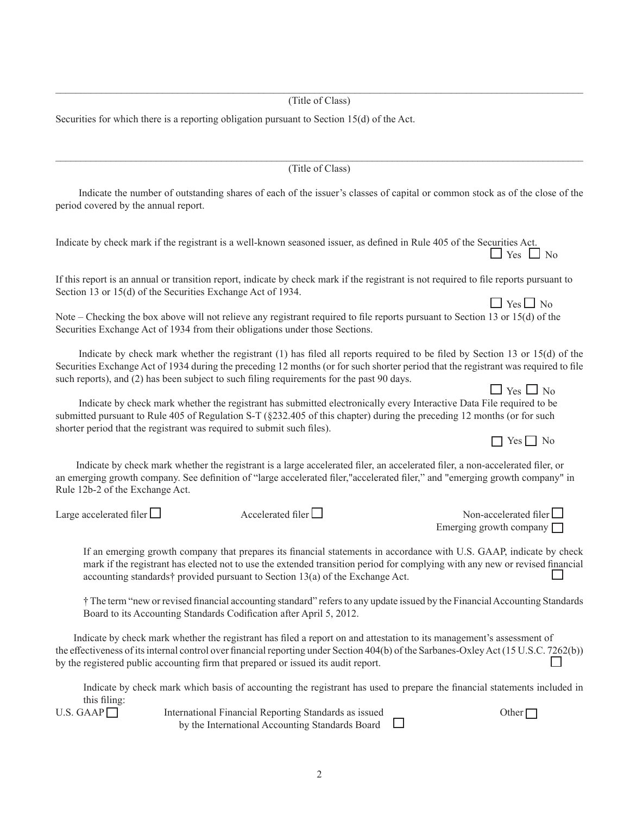(Title of Class)

Securities for which there is a reporting obligation pursuant to Section 15(d) of the Act.

(Title of Class)

 Indicate the number of outstanding shares of each of the issuer's classes of capital or common stock as of the close of the period covered by the annual report.

Indicate by check mark if the registrant is a well-known seasoned issuer, as defined in Rule 405 of the Securities Act.  $\Box$  Yes  $\Box$  No

If this report is an annual or transition report, indicate by check mark if the registrant is not required to file reports pursuant to Section 13 or 15(d) of the Securities Exchange Act of 1934.  $\Box$  Yes  $\Box$  No

Note – Checking the box above will not relieve any registrant required to file reports pursuant to Section 13 or 15(d) of the Securities Exchange Act of 1934 from their obligations under those Sections.

Indicate by check mark whether the registrant  $(1)$  has filed all reports required to be filed by Section 13 or 15(d) of the Securities Exchange Act of 1934 during the preceding 12 months (or for such shorter period that the registrant was required to file such reports), and (2) has been subject to such filing requirements for the past 90 days.

 $\Box$  Yes  $\Box$  No Indicate by check mark whether the registrant has submitted electronically every Interactive Data File required to be submitted pursuant to Rule 405 of Regulation S-T (§232.405 of this chapter) during the preceding 12 months (or for such shorter period that the registrant was required to submit such files).

| $\Box$ Yes $\Box$ No |  |  |  |  |
|----------------------|--|--|--|--|
|----------------------|--|--|--|--|

Indicate by check mark whether the registrant is a large accelerated filer, an accelerated filer, a non-accelerated filer, or an emerging growth company. See definition of "large accelerated filer," accelerated filer," and "emerging growth company" in Rule 12b-2 of the Exchange Act.

Large accelerated filer  $\Box$  Accelerated filer  $\Box$  Non-accelerated filer  $\Box$ Emerging growth company  $\Box$ 

If an emerging growth company that prepares its financial statements in accordance with U.S. GAAP, indicate by check mark if the registrant has elected not to use the extended transition period for complying with any new or revised financial accounting standards† provided pursuant to Section 13(a) of the Exchange Act.

 † The term "new or revised fi nancial accounting standard" refers to any update issued by the Financial Accounting Standards Board to its Accounting Standards Codification after April 5, 2012.

Indicate by check mark whether the registrant has filed a report on and attestation to its management's assessment of the effectiveness of its internal control over financial reporting under Section 404(b) of the Sarbanes-Oxley Act (15 U.S.C. 7262(b)) by the registered public accounting firm that prepared or issued its audit report.

Indicate by check mark which basis of accounting the registrant has used to prepare the financial statements included in this filing:

| U.S. GAAP | International Financial Reporting Standards as issued | $\text{Other}$ $\Gamma$ |
|-----------|-------------------------------------------------------|-------------------------|
|           | by the International Accounting Standards Board       |                         |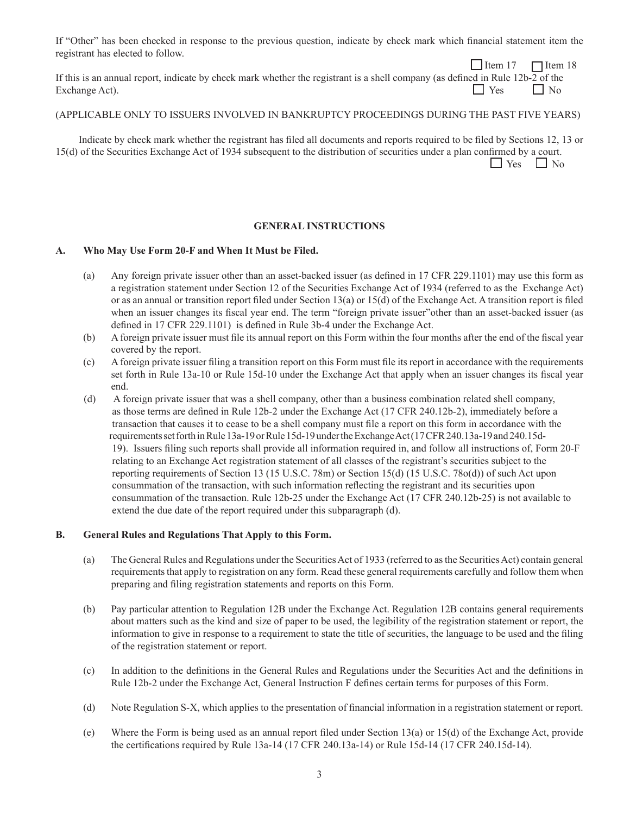If "Other" has been checked in response to the previous question, indicate by check mark which financial statement item the registrant has elected to follow.

Item 17  $\Box$  Item 18 If this is an annual report, indicate by check mark whether the registrant is a shell company (as defined in Rule 12b-2 of the Exchange Act).  $\Box$  Yes  $\Box$  No

#### (APPLICABLE ONLY TO ISSUERS INVOLVED IN BANKRUPTCY PROCEEDINGS DURING THE PAST FIVE YEARS)

Indicate by check mark whether the registrant has filed all documents and reports required to be filed by Sections 12, 13 or 15(d) of the Securities Exchange Act of 1934 subsequent to the distribution of securities under a plan confirmed by a court.  $\Box$  Yes  $\Box$  No

### **GENERAL INSTRUCTIONS**

### **A. Who May Use Form 20-F and When It Must be Filed.**

- (a) Any foreign private issuer other than an asset-backed issuer (as defined in  $17$  CFR 229.1101) may use this form as a registration statement under Section 12 of the Securities Exchange Act of 1934 (referred to as the Exchange Act) or as an annual or transition report filed under Section  $13(a)$  or  $15(d)$  of the Exchange Act. A transition report is filed when an issuer changes its fiscal year end. The term "foreign private issuer"other than an asset-backed issuer (as defined in 17 CFR 229.1101) is defined in Rule 3b-4 under the Exchange Act.
- (b) A foreign private issuer must file its annual report on this Form within the four months after the end of the fiscal year covered by the report.
- (c) A foreign private issuer filing a transition report on this Form must file its report in accordance with the requirements set forth in Rule 13a-10 or Rule 15d-10 under the Exchange Act that apply when an issuer changes its fiscal year end.
- (d) A foreign private issuer that was a shell company, other than a business combination related shell company, as those terms are defined in Rule 12b-2 under the Exchange Act (17 CFR 240.12b-2), immediately before a transaction that causes it to cease to be a shell company must file a report on this form in accordance with the requirements set forth in Rule 13a-19 or Rule 15d-19 under the Exchange Act (17 CFR 240.13a-19 and 240.15d- 19). Issuers filing such reports shall provide all information required in, and follow all instructions of, Form 20-F relating to an Exchange Act registration statement of all classes of the registrant's securities subject to the reporting requirements of Section 13 (15 U.S.C. 78m) or Section 15(d) (15 U.S.C. 78o(d)) of such Act upon consummation of the transaction, with such information reflecting the registrant and its securities upon consummation of the transaction. Rule 12b-25 under the Exchange Act (17 CFR 240.12b-25) is not available to extend the due date of the report required under this subparagraph (d).

#### **B. General Rules and Regulations That Apply to this Form.**

- (a) The General Rules and Regulations under the Securities Act of 1933 (referred to as the Securities Act) contain general requirements that apply to registration on any form. Read these general requirements carefully and follow them when preparing and filing registration statements and reports on this Form.
- (b) Pay particular attention to Regulation 12B under the Exchange Act. Regulation 12B contains general requirements about matters such as the kind and size of paper to be used, the legibility of the registration statement or report, the information to give in response to a requirement to state the title of securities, the language to be used and the filing of the registration statement or report.
- (c) In addition to the definitions in the General Rules and Regulations under the Securities Act and the definitions in Rule 12b-2 under the Exchange Act, General Instruction F defines certain terms for purposes of this Form.
- (d) Note Regulation S-X, which applies to the presentation of financial information in a registration statement or report.
- (e) Where the Form is being used as an annual report filed under Section 13(a) or 15(d) of the Exchange Act, provide the certifications required by Rule 13a-14 (17 CFR 240.13a-14) or Rule 15d-14 (17 CFR 240.15d-14).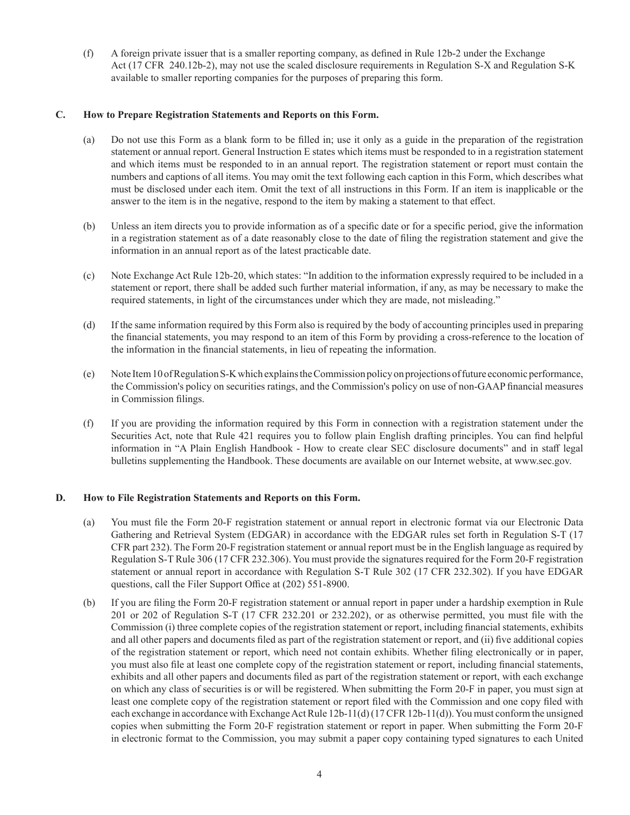(f) A foreign private issuer that is a smaller reporting company, as defined in Rule 12b-2 under the Exchange Act (17 CFR 240.12b-2), may not use the scaled disclosure requirements in Regulation S-X and Regulation S-K available to smaller reporting companies for the purposes of preparing this form.

## **C. How to Prepare Registration Statements and Reports on this Form.**

- (a) Do not use this Form as a blank form to be filled in; use it only as a guide in the preparation of the registration statement or annual report. General Instruction E states which items must be responded to in a registration statement and which items must be responded to in an annual report. The registration statement or report must contain the numbers and captions of all items. You may omit the text following each caption in this Form, which describes what must be disclosed under each item. Omit the text of all instructions in this Form. If an item is inapplicable or the answer to the item is in the negative, respond to the item by making a statement to that effect.
- (b) Unless an item directs you to provide information as of a specific date or for a specific period, give the information in a registration statement as of a date reasonably close to the date of filing the registration statement and give the information in an annual report as of the latest practicable date.
- (c) Note Exchange Act Rule 12b-20, which states: "In addition to the information expressly required to be included in a statement or report, there shall be added such further material information, if any, as may be necessary to make the required statements, in light of the circumstances under which they are made, not misleading."
- (d) If the same information required by this Form also is required by the body of accounting principles used in preparing the financial statements, you may respond to an item of this Form by providing a cross-reference to the location of the information in the financial statements, in lieu of repeating the information.
- (e) Note Item 10 of Regulation S-K which explains the Commission policy on projections of future economic performance, the Commission's policy on securities ratings, and the Commission's policy on use of non-GAAP financial measures in Commission filings.
- (f) If you are providing the information required by this Form in connection with a registration statement under the Securities Act, note that Rule 421 requires you to follow plain English drafting principles. You can find helpful information in "A Plain English Handbook - How to create clear SEC disclosure documents" and in staff legal bulletins supplementing the Handbook. These documents are available on our Internet website, at www.sec.gov.

## **D. How to File Registration Statements and Reports on this Form.**

- (a) You must file the Form 20-F registration statement or annual report in electronic format via our Electronic Data Gathering and Retrieval System (EDGAR) in accordance with the EDGAR rules set forth in Regulation S-T (17 CFR part 232). The Form 20-F registration statement or annual report must be in the English language as required by Regulation S-T Rule 306 (17 CFR 232.306). You must provide the signatures required for the Form 20-F registration statement or annual report in accordance with Regulation S-T Rule 302 (17 CFR 232.302). If you have EDGAR questions, call the Filer Support Office at (202) 551-8900.
- (b) If you are filing the Form 20-F registration statement or annual report in paper under a hardship exemption in Rule 201 or 202 of Regulation S-T (17 CFR 232.201 or 232.202), or as otherwise permitted, you must file with the Commission (i) three complete copies of the registration statement or report, including financial statements, exhibits and all other papers and documents filed as part of the registration statement or report, and (ii) five additional copies of the registration statement or report, which need not contain exhibits. Whether fi ling electronically or in paper, you must also file at least one complete copy of the registration statement or report, including financial statements, exhibits and all other papers and documents filed as part of the registration statement or report, with each exchange on which any class of securities is or will be registered. When submitting the Form 20-F in paper, you must sign at least one complete copy of the registration statement or report filed with the Commission and one copy filed with each exchange in accordance with Exchange Act Rule 12b-11(d) (17 CFR 12b-11(d)). You must conform the unsigned copies when submitting the Form 20-F registration statement or report in paper. When submitting the Form 20-F in electronic format to the Commission, you may submit a paper copy containing typed signatures to each United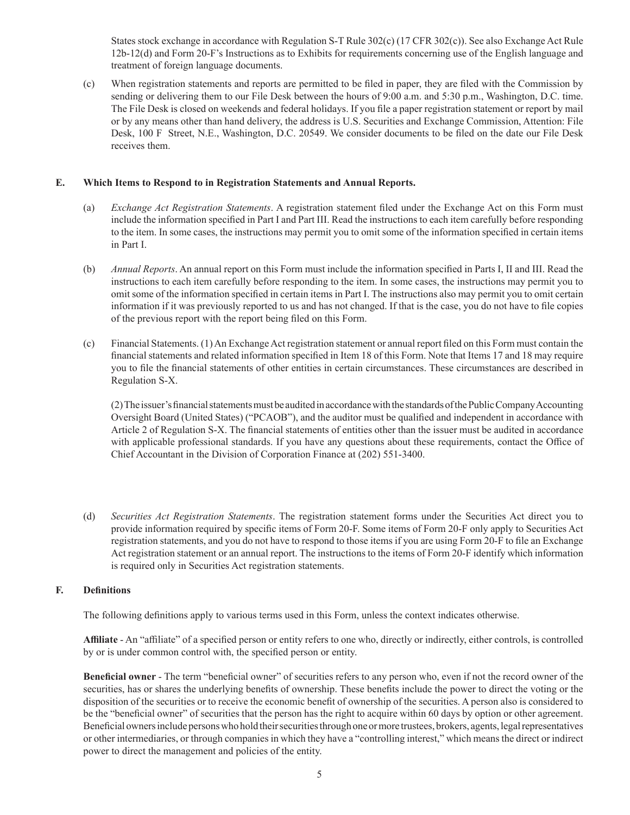States stock exchange in accordance with Regulation S-T Rule 302(c) (17 CFR 302(c)). See also Exchange Act Rule 12b-12(d) and Form 20-F's Instructions as to Exhibits for requirements concerning use of the English language and treatment of foreign language documents.

(c) When registration statements and reports are permitted to be filed in paper, they are filed with the Commission by sending or delivering them to our File Desk between the hours of 9:00 a.m. and 5:30 p.m., Washington, D.C. time. The File Desk is closed on weekends and federal holidays. If you file a paper registration statement or report by mail or by any means other than hand delivery, the address is U.S. Securities and Exchange Commission, Attention: File Desk, 100 F Street, N.E., Washington, D.C. 20549. We consider documents to be filed on the date our File Desk receives them.

## **E. Which Items to Respond to in Registration Statements and Annual Reports.**

- (a) *Exchange Act Registration Statements*. A registration statement filed under the Exchange Act on this Form must include the information specified in Part I and Part III. Read the instructions to each item carefully before responding to the item. In some cases, the instructions may permit you to omit some of the information specified in certain items in Part I.
- (b) *Annual Reports*. An annual report on this Form must include the information specified in Parts I, II and III. Read the instructions to each item carefully before responding to the item. In some cases, the instructions may permit you to omit some of the information specified in certain items in Part I. The instructions also may permit you to omit certain information if it was previously reported to us and has not changed. If that is the case, you do not have to file copies of the previous report with the report being filed on this Form.
- (c) Financial Statements. (1) An Exchange Act registration statement or annual report fi led on this Form must contain the financial statements and related information specified in Item 18 of this Form. Note that Items 17 and 18 may require you to file the financial statements of other entities in certain circumstances. These circumstances are described in Regulation S-X.

(2) The issuer's fi nancial statements must be audited in accordance with the standards of the Public Company Accounting Oversight Board (United States) ("PCAOB"), and the auditor must be qualified and independent in accordance with Article 2 of Regulation S-X. The financial statements of entities other than the issuer must be audited in accordance with applicable professional standards. If you have any questions about these requirements, contact the Office of Chief Accountant in the Division of Corporation Finance at (202) 551-3400.

(d) *Securities Act Registration Statements*. The registration statement forms under the Securities Act direct you to provide information required by specific items of Form 20-F. Some items of Form 20-F only apply to Securities Act registration statements, and you do not have to respond to those items if you are using Form 20-F to file an Exchange Act registration statement or an annual report. The instructions to the items of Form 20-F identify which information is required only in Securities Act registration statements.

## **F.** Definitions

The following definitions apply to various terms used in this Form, unless the context indicates otherwise.

Affiliate - An "affiliate" of a specified person or entity refers to one who, directly or indirectly, either controls, is controlled by or is under common control with, the specified person or entity.

**Beneficial owner** - The term "beneficial owner" of securities refers to any person who, even if not the record owner of the securities, has or shares the underlying benefits of ownership. These benefits include the power to direct the voting or the disposition of the securities or to receive the economic benefit of ownership of the securities. A person also is considered to be the "beneficial owner" of securities that the person has the right to acquire within 60 days by option or other agreement. Beneficial owners include persons who hold their securities through one or more trustees, brokers, agents, legal representatives or other intermediaries, or through companies in which they have a "controlling interest," which means the direct or indirect power to direct the management and policies of the entity.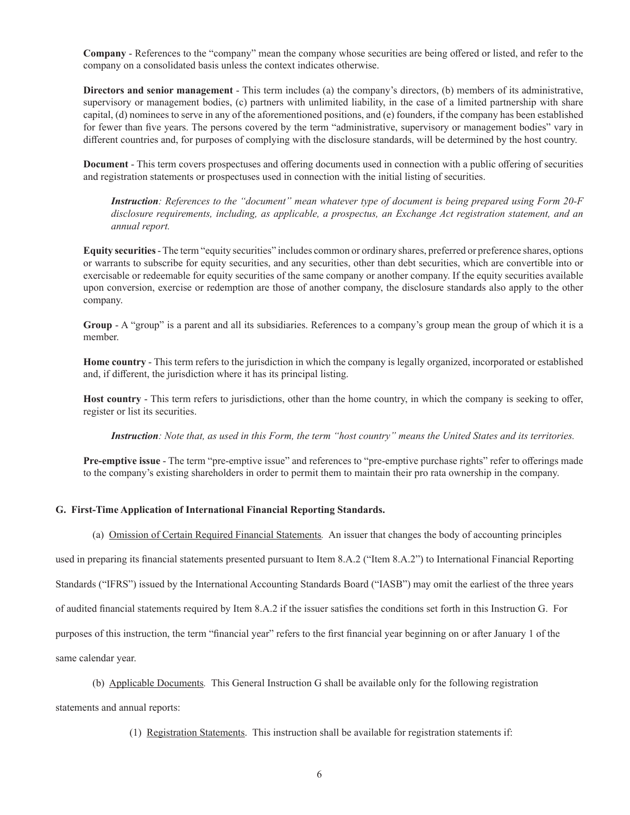**Company** - References to the "company" mean the company whose securities are being offered or listed, and refer to the company on a consolidated basis unless the context indicates otherwise.

 **Directors and senior management** - This term includes (a) the company's directors, (b) members of its administrative, supervisory or management bodies, (c) partners with unlimited liability, in the case of a limited partnership with share capital, (d) nominees to serve in any of the aforementioned positions, and (e) founders, if the company has been established for fewer than five years. The persons covered by the term "administrative, supervisory or management bodies" vary in different countries and, for purposes of complying with the disclosure standards, will be determined by the host country.

**Document** - This term covers prospectuses and offering documents used in connection with a public offering of securities and registration statements or prospectuses used in connection with the initial listing of securities.

 *Instruction: References to the "document" mean whatever type of document is being prepared using Form 20-F disclosure requirements, including, as applicable, a prospectus, an Exchange Act registration statement, and an annual report.*

 **Equity securities** - The term "equity securities" includes common or ordinary shares, preferred or preference shares, options or warrants to subscribe for equity securities, and any securities, other than debt securities, which are convertible into or exercisable or redeemable for equity securities of the same company or another company. If the equity securities available upon conversion, exercise or redemption are those of another company, the disclosure standards also apply to the other company.

 **Group** - A "group" is a parent and all its subsidiaries. References to a company's group mean the group of which it is a member.

 **Home country** - This term refers to the jurisdiction in which the company is legally organized, incorporated or established and, if different, the jurisdiction where it has its principal listing.

**Host country** - This term refers to jurisdictions, other than the home country, in which the company is seeking to offer, register or list its securities.

 *Instruction: Note that, as used in this Form, the term "host country" means the United States and its territories.*

**Pre-emptive issue** - The term "pre-emptive issue" and references to "pre-emptive purchase rights" refer to offerings made to the company's existing shareholders in order to permit them to maintain their pro rata ownership in the company.

#### **G. First-Time Application of International Financial Reporting Standards.**

(a) Omission of Certain Required Financial Statements*.* An issuer that changes the body of accounting principles

used in preparing its financial statements presented pursuant to Item 8.A.2 ("Item 8.A.2") to International Financial Reporting

Standards ("IFRS") issued by the International Accounting Standards Board ("IASB") may omit the earliest of the three years

of audited financial statements required by Item 8.A.2 if the issuer satisfies the conditions set forth in this Instruction G. For

purposes of this instruction, the term "financial year" refers to the first financial year beginning on or after January 1 of the

same calendar year.

(b) Applicable Documents*.* This General Instruction G shall be available only for the following registration

statements and annual reports:

(1) Registration Statements. This instruction shall be available for registration statements if: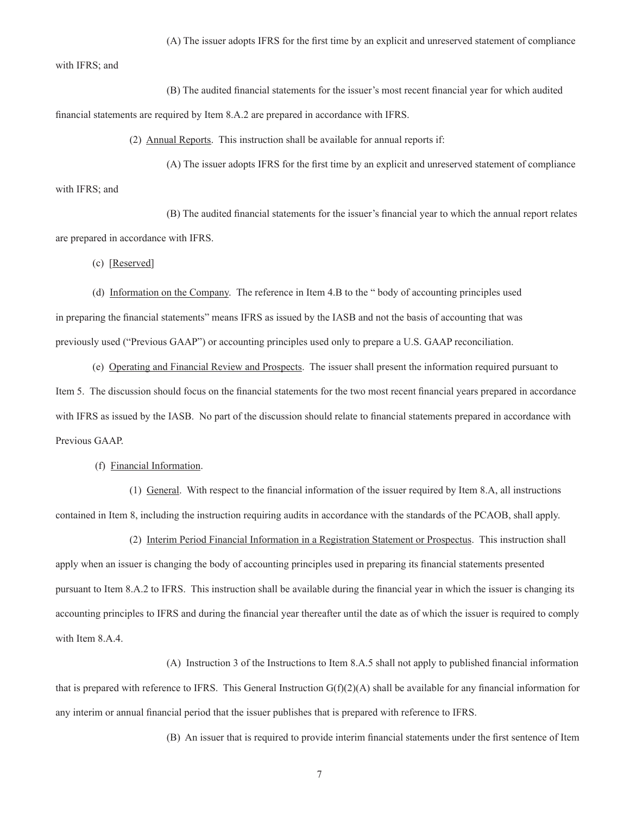(A) The issuer adopts IFRS for the first time by an explicit and unreserved statement of compliance

with IFRS; and

(B) The audited financial statements for the issuer's most recent financial year for which audited financial statements are required by Item 8.A.2 are prepared in accordance with IFRS.

(2) Annual Reports. This instruction shall be available for annual reports if:

(A) The issuer adopts IFRS for the first time by an explicit and unreserved statement of compliance with IFRS; and

(B) The audited financial statements for the issuer's financial year to which the annual report relates are prepared in accordance with IFRS.

(c) [Reserved]

(d) Information on the Company. The reference in Item 4.B to the " body of accounting principles used in preparing the financial statements" means IFRS as issued by the IASB and not the basis of accounting that was previously used ("Previous GAAP") or accounting principles used only to prepare a U.S. GAAP reconciliation.

 (e) Operating and Financial Review and Prospects. The issuer shall present the information required pursuant to Item 5. The discussion should focus on the financial statements for the two most recent financial years prepared in accordance with IFRS as issued by the IASB. No part of the discussion should relate to financial statements prepared in accordance with Previous GAAP.

(f) Financial Information.

(1) General. With respect to the financial information of the issuer required by Item 8.A, all instructions contained in Item 8, including the instruction requiring audits in accordance with the standards of the PCAOB, shall apply.

 (2) Interim Period Financial Information in a Registration Statement or Prospectus. This instruction shall apply when an issuer is changing the body of accounting principles used in preparing its financial statements presented pursuant to Item 8.A.2 to IFRS. This instruction shall be available during the financial year in which the issuer is changing its accounting principles to IFRS and during the financial year thereafter until the date as of which the issuer is required to comply with Item 8.A.4.

(A) Instruction 3 of the Instructions to Item 8.A.5 shall not apply to published financial information that is prepared with reference to IFRS. This General Instruction  $G(f)(2)(A)$  shall be available for any financial information for any interim or annual financial period that the issuer publishes that is prepared with reference to IFRS.

(B) An issuer that is required to provide interim financial statements under the first sentence of Item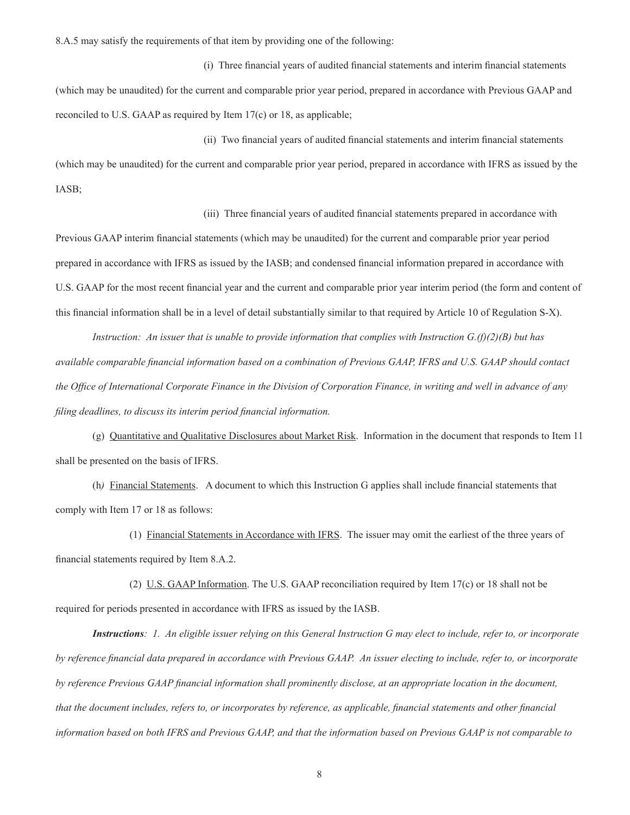8.A.5 may satisfy the requirements of that item by providing one of the following:

(i) Three financial years of audited financial statements and interim financial statements (which may be unaudited) for the current and comparable prior year period, prepared in accordance with Previous GAAP and reconciled to U.S. GAAP as required by Item 17(c) or 18, as applicable;

(ii) Two financial years of audited financial statements and interim financial statements (which may be unaudited) for the current and comparable prior year period, prepared in accordance with IFRS as issued by the IASB;

(iii) Three financial years of audited financial statements prepared in accordance with

Previous GAAP interim financial statements (which may be unaudited) for the current and comparable prior year period prepared in accordance with IFRS as issued by the IASB; and condensed financial information prepared in accordance with U.S. GAAP for the most recent financial year and the current and comparable prior year interim period (the form and content of this financial information shall be in a level of detail substantially similar to that required by Article 10 of Regulation S-X).

*Instruction: An issuer that is unable to provide information that complies with Instruction G.(f)(2)(B) but has available comparable fi nancial information based on a combination of Previous GAAP, IFRS and U.S. GAAP should contact the Offi ce of International Corporate Finance in the Division of Corporation Finance, in writing and well in advance of any filing deadlines, to discuss its interim period financial information.* 

(g) Quantitative and Qualitative Disclosures about Market Risk. Information in the document that responds to Item 11 shall be presented on the basis of IFRS.

(h) Financial Statements. A document to which this Instruction G applies shall include financial statements that comply with Item 17 or 18 as follows:

 (1) Financial Statements in Accordance with IFRS. The issuer may omit the earliest of the three years of financial statements required by Item 8.A.2.

 (2) U.S. GAAP Information. The U.S. GAAP reconciliation required by Item 17(c) or 18 shall not be required for periods presented in accordance with IFRS as issued by the IASB.

*Instructions: 1. An eligible issuer relying on this General Instruction G may elect to include, refer to, or incorporate by reference financial data prepared in accordance with Previous GAAP. An issuer electing to include, refer to, or incorporate by reference Previous GAAP financial information shall prominently disclose, at an appropriate location in the document, that the document includes, refers to, or incorporates by reference, as applicable, financial statements and other financial information based on both IFRS and Previous GAAP, and that the information based on Previous GAAP is not comparable to*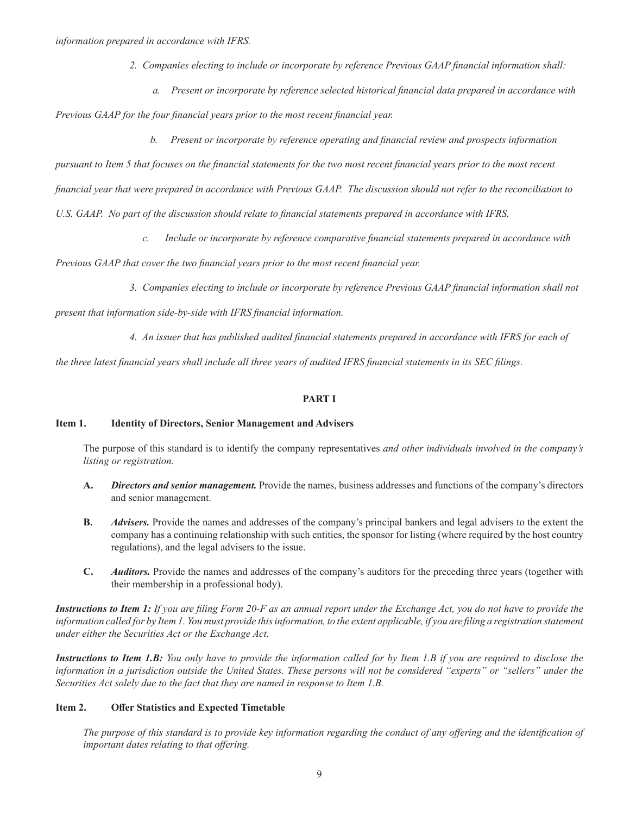*information prepared in accordance with IFRS.*

2. Companies electing to include or incorporate by reference Previous GAAP financial information shall:

a. Present or incorporate by reference selected historical financial data prepared in accordance with

*Previous GAAP for the four financial years prior to the most recent financial year.* 

*b.* Present or incorporate by reference operating and financial review and prospects information

*pursuant to Item 5 that focuses on the financial statements for the two most recent financial years prior to the most recent* financial year that were prepared in accordance with Previous GAAP. The discussion should not refer to the reconciliation to U.S. GAAP. No part of the discussion should relate to financial statements prepared in accordance with IFRS.

*c.* Include or incorporate by reference comparative financial statements prepared in accordance with

*Previous GAAP that cover the two financial years prior to the most recent financial year.* 

3. Companies electing to include or incorporate by reference Previous GAAP financial information shall not

*present that information side-by-side with IFRS financial information.* 

4. An issuer that has published audited financial statements prepared in accordance with IFRS for each of

*the three latest financial years shall include all three years of audited IFRS financial statements in its SEC filings.* 

## **PART I**

## **Item 1. Identity of Directors, Senior Management and Advisers**

 The purpose of this standard is to identify the company representatives *and other individuals involved in the company's listing or registration.*

- **A.** *Directors and senior management.* Provide the names, business addresses and functions of the company's directors and senior management.
- **B.** *Advisers.* Provide the names and addresses of the company's principal bankers and legal advisers to the extent the company has a continuing relationship with such entities, the sponsor for listing (where required by the host country regulations), and the legal advisers to the issue.
- **C.** *Auditors.* Provide the names and addresses of the company's auditors for the preceding three years (together with their membership in a professional body).

**Instructions to Item 1:** If you are filing Form 20-F as an annual report under the Exchange Act, you do not have to provide the *information called for by Item 1. You must provide this information, to the extent applicable, if you are filing a registration statement under either the Securities Act or the Exchange Act.*

*Instructions to Item 1.B: You only have to provide the information called for by Item 1.B if you are required to disclose the information in a jurisdiction outside the United States. These persons will not be considered "experts" or "sellers" under the Securities Act solely due to the fact that they are named in response to Item 1.B.*

## **Item 2. Offer Statistics and Expected Timetable**

*The purpose of this standard is to provide key information regarding the conduct of any offering and the identification of important dates relating to that offering.*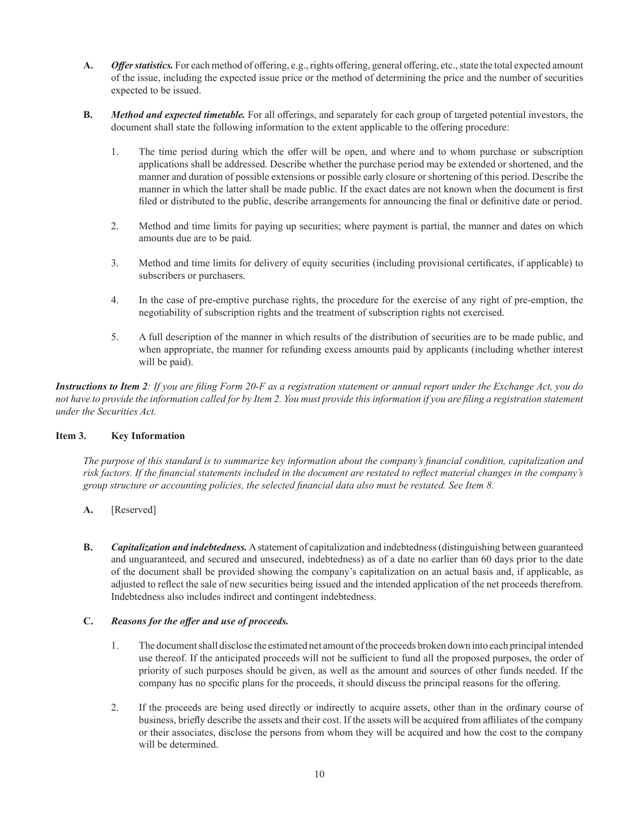- A. Offer statistics. For each method of offering, e.g., rights offering, general offering, etc., state the total expected amount of the issue, including the expected issue price or the method of determining the price and the number of securities expected to be issued.
- **B.** *Method and expected timetable.* For all offerings, and separately for each group of targeted potential investors, the document shall state the following information to the extent applicable to the offering procedure:
	- 1. The time period during which the offer will be open, and where and to whom purchase or subscription applications shall be addressed. Describe whether the purchase period may be extended or shortened, and the manner and duration of possible extensions or possible early closure or shortening of this period. Describe the manner in which the latter shall be made public. If the exact dates are not known when the document is first filed or distributed to the public, describe arrangements for announcing the final or definitive date or period.
	- 2. Method and time limits for paying up securities; where payment is partial, the manner and dates on which amounts due are to be paid.
	- 3. Method and time limits for delivery of equity securities (including provisional certificates, if applicable) to subscribers or purchasers.
	- 4. In the case of pre-emptive purchase rights, the procedure for the exercise of any right of pre-emption, the negotiability of subscription rights and the treatment of subscription rights not exercised.
	- 5. A full description of the manner in which results of the distribution of securities are to be made public, and when appropriate, the manner for refunding excess amounts paid by applicants (including whether interest will be paid).

**Instructions to Item 2***: If you are filing Form 20-F as a registration statement or annual report under the Exchange Act, you do not have to provide the information called for by Item 2. You must provide this information if you are filing a registration statement under the Securities Act.*

## **Item 3. Key Information**

The purpose of this standard is to summarize key information about the company's financial condition, capitalization and risk factors. If the financial statements included in the document are restated to reflect material changes in the company's *group structure or accounting policies, the selected fi nancial data also must be restated. See Item 8.*

- **A.** [Reserved]
- **B.** *Capitalization and indebtedness.* A statement of capitalization and indebtedness (distinguishing between guaranteed and unguaranteed, and secured and unsecured, indebtedness) as of a date no earlier than 60 days prior to the date of the document shall be provided showing the company's capitalization on an actual basis and, if applicable, as adjusted to reflect the sale of new securities being issued and the intended application of the net proceeds therefrom. Indebtedness also includes indirect and contingent indebtedness.

## C. Reasons for the offer and use of proceeds.

- 1. The document shall disclose the estimated net amount of the proceeds broken down into each principal intended use thereof. If the anticipated proceeds will not be sufficient to fund all the proposed purposes, the order of priority of such purposes should be given, as well as the amount and sources of other funds needed. If the company has no specific plans for the proceeds, it should discuss the principal reasons for the offering.
- 2. If the proceeds are being used directly or indirectly to acquire assets, other than in the ordinary course of business, briefly describe the assets and their cost. If the assets will be acquired from affiliates of the company or their associates, disclose the persons from whom they will be acquired and how the cost to the company will be determined.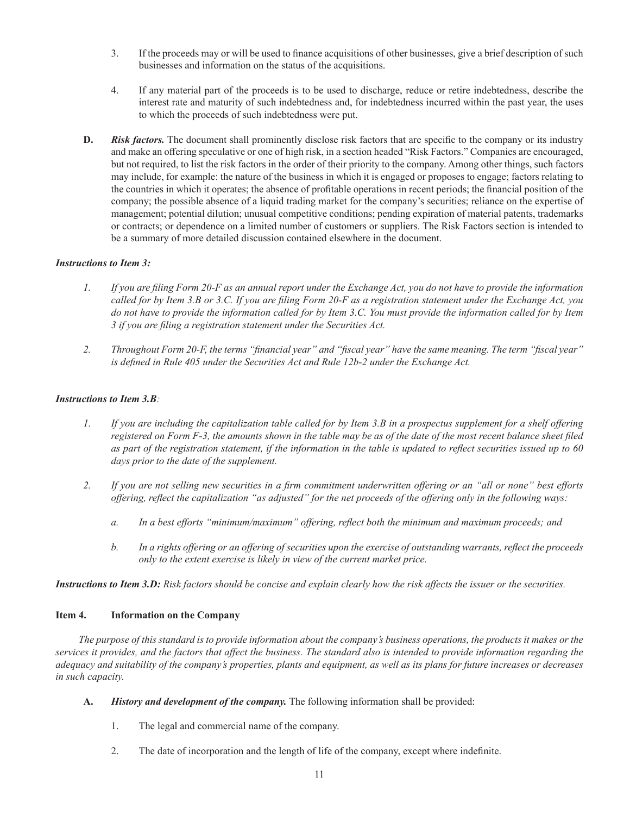- 3. If the proceeds may or will be used to finance acquisitions of other businesses, give a brief description of such businesses and information on the status of the acquisitions.
- 4. If any material part of the proceeds is to be used to discharge, reduce or retire indebtedness, describe the interest rate and maturity of such indebtedness and, for indebtedness incurred within the past year, the uses to which the proceeds of such indebtedness were put.
- **D.** Risk factors. The document shall prominently disclose risk factors that are specific to the company or its industry and make an offering speculative or one of high risk, in a section headed "Risk Factors." Companies are encouraged, but not required, to list the risk factors in the order of their priority to the company. Among other things, such factors may include, for example: the nature of the business in which it is engaged or proposes to engage; factors relating to the countries in which it operates; the absence of profitable operations in recent periods; the financial position of the company; the possible absence of a liquid trading market for the company's securities; reliance on the expertise of management; potential dilution; unusual competitive conditions; pending expiration of material patents, trademarks or contracts; or dependence on a limited number of customers or suppliers. The Risk Factors section is intended to be a summary of more detailed discussion contained elsewhere in the document.

## *Instructions to Item 3:*

- *1.* If you are filing Form 20-F as an annual report under the Exchange Act, you do not have to provide the information *called for by Item 3.B or 3.C. If you are filing Form 20-F as a registration statement under the Exchange Act, you do not have to provide the information called for by Item 3.C. You must provide the information called for by Item 3 if you are filing a registration statement under the Securities Act.*
- 2. Throughout Form 20-F, the terms "financial year" and "fiscal year" have the same meaning. The term "fiscal year" is defined in Rule 405 under the Securities Act and Rule 12b-2 under the Exchange Act.

## *Instructions to Item 3.B:*

- *1. If you are including the capitalization table called for by Item 3.B in a prospectus supplement for a shelf off ering registered on Form F-3, the amounts shown in the table may be as of the date of the most recent balance sheet filed as part of the registration statement, if the information in the table is updated to reflect securities issued up to 60 days prior to the date of the supplement.*
- 2. If you are not selling new securities in a firm commitment underwritten offering or an "all or none" best efforts *offering, reflect the capitalization "as adjusted" for the net proceeds of the offering only in the following ways:* 
	- *a. In a best eff orts "minimum/maximum" off ering, refl ect both the minimum and maximum proceeds; and*
	- *b.* In a rights offering or an offering of securities upon the exercise of outstanding warrants, reflect the proceeds *only to the extent exercise is likely in view of the current market price.*

**Instructions to Item 3.D:** Risk factors should be concise and explain clearly how the risk affects the issuer or the securities.

## **Item 4. Information on the Company**

 *The purpose of this standard is to provide information about the company's business operations, the products it makes or the services it provides, and the factors that affect the business. The standard also is intended to provide information regarding the adequacy and suitability of the company's properties, plants and equipment, as well as its plans for future increases or decreases in such capacity.*

- **A.** *History and development of the company.* The following information shall be provided:
	- 1. The legal and commercial name of the company.
	- 2. The date of incorporation and the length of life of the company, except where indefinite.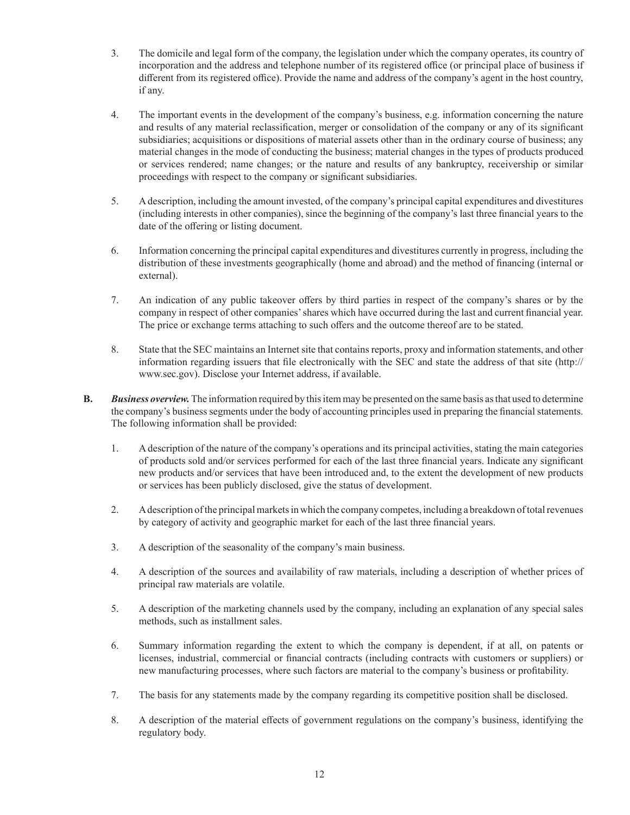- 3. The domicile and legal form of the company, the legislation under which the company operates, its country of incorporation and the address and telephone number of its registered office (or principal place of business if different from its registered office). Provide the name and address of the company's agent in the host country, if any.
- 4. The important events in the development of the company's business, e.g. information concerning the nature and results of any material reclassification, merger or consolidation of the company or any of its significant subsidiaries; acquisitions or dispositions of material assets other than in the ordinary course of business; any material changes in the mode of conducting the business; material changes in the types of products produced or services rendered; name changes; or the nature and results of any bankruptcy, receivership or similar proceedings with respect to the company or significant subsidiaries.
- 5. A description, including the amount invested, of the company's principal capital expenditures and divestitures (including interests in other companies), since the beginning of the company's last three financial years to the date of the offering or listing document.
- 6. Information concerning the principal capital expenditures and divestitures currently in progress, including the distribution of these investments geographically (home and abroad) and the method of financing (internal or external).
- 7. An indication of any public takeover offers by third parties in respect of the company's shares or by the company in respect of other companies' shares which have occurred during the last and current financial year. The price or exchange terms attaching to such offers and the outcome thereof are to be stated.
- 8. State that the SEC maintains an Internet site that contains reports, proxy and information statements, and other information regarding issuers that file electronically with the SEC and state the address of that site (http:// www.sec.gov). Disclose your Internet address, if available.
- **B.** *Business overview.* The information required by this item may be presented on the same basis as that used to determine the company's business segments under the body of accounting principles used in preparing the financial statements. The following information shall be provided:
	- 1. A description of the nature of the company's operations and its principal activities, stating the main categories of products sold and/or services performed for each of the last three financial years. Indicate any significant new products and/or services that have been introduced and, to the extent the development of new products or services has been publicly disclosed, give the status of development.
	- 2. A description of the principal markets in which the company competes, including a breakdown of total revenues by category of activity and geographic market for each of the last three financial years.
	- 3. A description of the seasonality of the company's main business.
	- 4. A description of the sources and availability of raw materials, including a description of whether prices of principal raw materials are volatile.
	- 5. A description of the marketing channels used by the company, including an explanation of any special sales methods, such as installment sales.
	- 6. Summary information regarding the extent to which the company is dependent, if at all, on patents or licenses, industrial, commercial or financial contracts (including contracts with customers or suppliers) or new manufacturing processes, where such factors are material to the company's business or profitability.
	- 7. The basis for any statements made by the company regarding its competitive position shall be disclosed.
	- 8. A description of the material effects of government regulations on the company's business, identifying the regulatory body.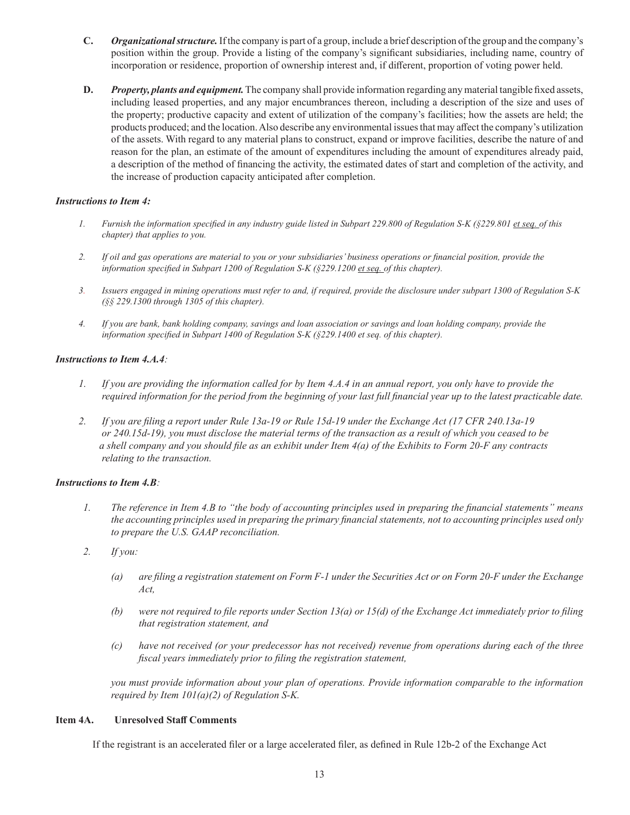- **C.** *Organizational structure.* If the company is part of a group, include a brief description of the group and the company's position within the group. Provide a listing of the company's significant subsidiaries, including name, country of incorporation or residence, proportion of ownership interest and, if different, proportion of voting power held.
- **D.** Property, plants and equipment. The company shall provide information regarding any material tangible fixed assets, including leased properties, and any major encumbrances thereon, including a description of the size and uses of the property; productive capacity and extent of utilization of the company's facilities; how the assets are held; the products produced; and the location. Also describe any environmental issues that may affect the company's utilization of the assets. With regard to any material plans to construct, expand or improve facilities, describe the nature of and reason for the plan, an estimate of the amount of expenditures including the amount of expenditures already paid, a description of the method of financing the activity, the estimated dates of start and completion of the activity, and the increase of production capacity anticipated after completion.

## *Instructions to Item 4:*

- *1.* Furnish the information specified in any industry guide listed in Subpart 229.800 of Regulation S-K (§229.801 et seq. of this  *chapter) that applies to you.*
- 2. If oil and gas operations are material to you or your subsidiaries' business operations or financial position, provide the *information specified in Subpart 1200 of Regulation S-K (* $§$ *229.1200 et seq. of this chapter).*
- *3. Issuers engaged in mining operations must refer to and, if required, provide the disclosure under subpart 1300 of Regulation S-K (§§ 229.1300 through 1305 of this chapter).*
- *4. If you are bank, bank holding company, savings and loan association or savings and loan holding company, provide the information specified in Subpart 1400 of Regulation S-K (§229.1400 et seq. of this chapter).*

### *Instructions to Item 4.A.4:*

- *1. If you are providing the information called for by Item 4.A.4 in an annual report, you only have to provide the required information for the period from the beginning of your last full financial year up to the latest practicable date.*
- 2. If you are filing a report under Rule 13a-19 or Rule 15d-19 under the Exchange Act (17 CFR 240.13a-19)  *or 240.15d-19), you must disclose the material terms of the transaction as a result of which you ceased to be a shell company and you should file as an exhibit under Item 4(a) of the Exhibits to Form 20-F any contracts relating to the transaction.*

#### *Instructions to Item 4.B:*

- *1.* The reference in Item 4.B to "the body of accounting principles used in preparing the financial statements" means the accounting principles used in preparing the primary financial statements, not to accounting principles used only *to prepare the U.S. GAAP reconciliation.*
- *2. If you:*
	- *(a)* are filing a registration statement on Form F-1 under the Securities Act or on Form 20-F under the Exchange *Act,*
	- *(b)* were not required to file reports under Section 13(a) or 15(d) of the Exchange Act immediately prior to filing *that registration statement, and*
	- *(c) have not received (or your predecessor has not received) revenue from operations during each of the three fiscal years immediately prior to filing the registration statement,*

 *you must provide information about your plan of operations. Provide information comparable to the information required by Item 101(a)(2) of Regulation S-K.*

#### **Item 4A. Unresolved Staff Comments**

If the registrant is an accelerated filer or a large accelerated filer, as defined in Rule 12b-2 of the Exchange Act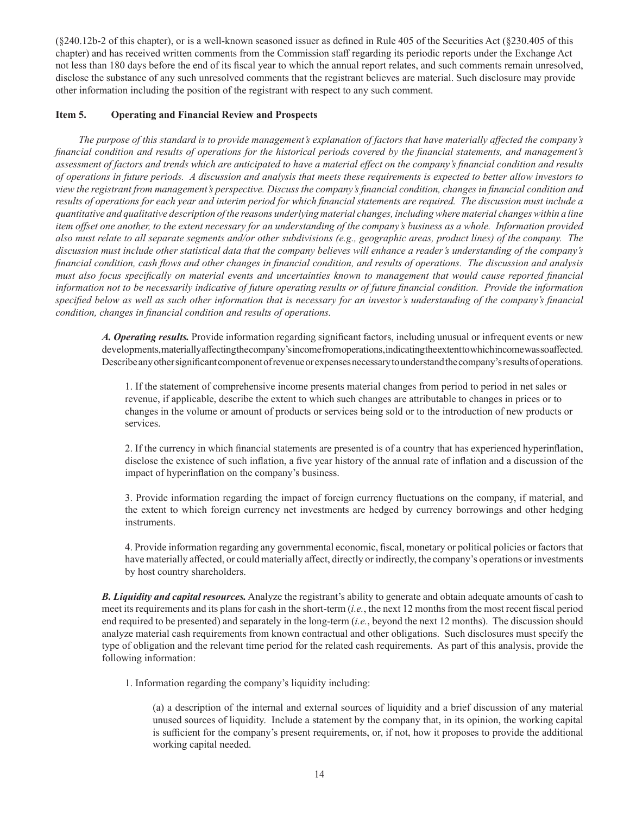$(\S 240.12b - 2)$  of this chapter), or is a well-known seasoned issuer as defined in Rule 405 of the Securities Act  $(\S 230.405$  of this chapter) and has received written comments from the Commission staff regarding its periodic reports under the Exchange Act not less than 180 days before the end of its fiscal year to which the annual report relates, and such comments remain unresolved, disclose the substance of any such unresolved comments that the registrant believes are material. Such disclosure may provide other information including the position of the registrant with respect to any such comment.

## **Item 5. Operating and Financial Review and Prospects**

*The purpose of this standard is to provide management's explanation of factors that have materially affected the company's* financial condition and results of operations for the historical periods covered by the financial statements, and management's *assessment of factors and trends which are anticipated to have a material eff ect on the company's fi nancial condition and results of operations in future periods. A discussion and analysis that meets these requirements is expected to better allow investors to view the registrant from management's perspective. Discuss the company's financial condition, changes in financial condition and* results of operations for each year and interim period for which financial statements are required. The discussion must include a *quantitative and qualitative description of the reasons underlying material changes, including where material changes within a line item off set one another, to the extent necessary for an understanding of the company's business as a whole. Information provided also must relate to all separate segments and/or other subdivisions (e.g., geographic areas, product lines) of the company. The discussion must include other statistical data that the company believes will enhance a reader's understanding of the company's financial condition, cash flows and other changes in financial condition, and results of operations. The discussion and analysis must also focus specifically on material events and uncertainties known to management that would cause reported financial information not to be necessarily indicative of future operating results or of future financial condition. Provide the information* specified below as well as such other information that is necessary for an investor's understanding of the company's financial *condition, changes in financial condition and results of operations.* 

A. Operating results. Provide information regarding significant factors, including unusual or infrequent events or new developments, materially affecting the company's income from operations, indicating the extent to which income was so affected. Describe any other significant component of revenue or expenses necessary to understand the company's results of operations.

 1. If the statement of comprehensive income presents material changes from period to period in net sales or revenue, if applicable, describe the extent to which such changes are attributable to changes in prices or to changes in the volume or amount of products or services being sold or to the introduction of new products or services.

2. If the currency in which financial statements are presented is of a country that has experienced hyperinflation, disclose the existence of such inflation, a five year history of the annual rate of inflation and a discussion of the impact of hyperinflation on the company's business.

3. Provide information regarding the impact of foreign currency fluctuations on the company, if material, and the extent to which foreign currency net investments are hedged by currency borrowings and other hedging instruments.

4. Provide information regarding any governmental economic, fiscal, monetary or political policies or factors that have materially affected, or could materially affect, directly or indirectly, the company's operations or investments by host country shareholders.

 *B. Liquidity and capital resources.* Analyze the registrant's ability to generate and obtain adequate amounts of cash to meet its requirements and its plans for cash in the short-term  $(i.e.,$  the next 12 months from the most recent fiscal period end required to be presented) and separately in the long-term (*i.e.*, beyond the next 12 months). The discussion should analyze material cash requirements from known contractual and other obligations. Such disclosures must specify the type of obligation and the relevant time period for the related cash requirements. As part of this analysis, provide the following information:

1. Information regarding the company's liquidity including:

 (a) a description of the internal and external sources of liquidity and a brief discussion of any material unused sources of liquidity. Include a statement by the company that, in its opinion, the working capital is sufficient for the company's present requirements, or, if not, how it proposes to provide the additional working capital needed.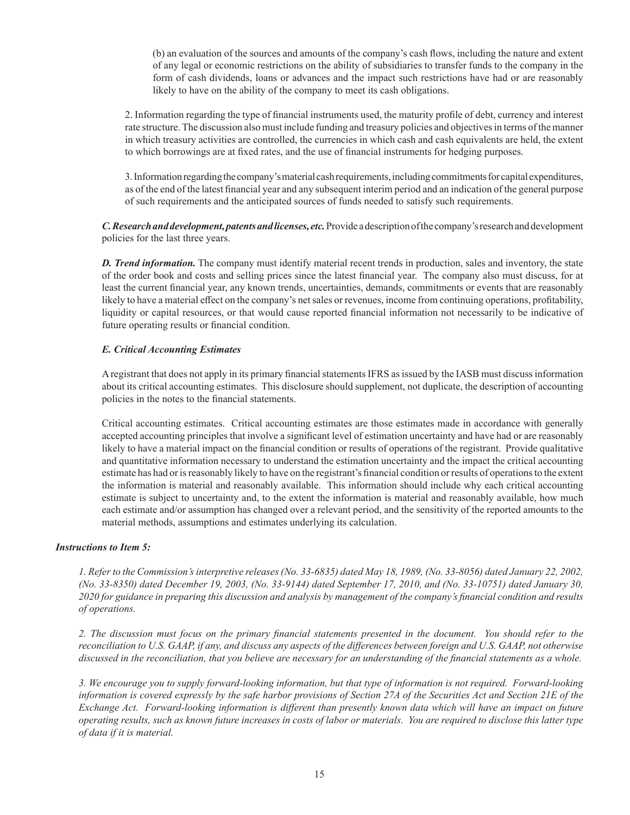(b) an evaluation of the sources and amounts of the company's cash flows, including the nature and extent of any legal or economic restrictions on the ability of subsidiaries to transfer funds to the company in the form of cash dividends, loans or advances and the impact such restrictions have had or are reasonably likely to have on the ability of the company to meet its cash obligations.

2. Information regarding the type of financial instruments used, the maturity profile of debt, currency and interest rate structure. The discussion also must include funding and treasury policies and objectives in terms of the manner in which treasury activities are controlled, the currencies in which cash and cash equivalents are held, the extent to which borrowings are at fixed rates, and the use of financial instruments for hedging purposes.

 3. Information regarding the company's material cash requirements, including commitments for capital expenditures, as of the end of the latest financial year and any subsequent interim period and an indication of the general purpose of such requirements and the anticipated sources of funds needed to satisfy such requirements.

 *C. Research and development, patents and licenses, etc.* Provide a description of the company's research and development policies for the last three years.

 *D. Trend information.* The company must identify material recent trends in production, sales and inventory, the state of the order book and costs and selling prices since the latest financial year. The company also must discuss, for at least the current financial year, any known trends, uncertainties, demands, commitments or events that are reasonably likely to have a material effect on the company's net sales or revenues, income from continuing operations, profitability, liquidity or capital resources, or that would cause reported financial information not necessarily to be indicative of future operating results or financial condition.

## *E. Critical Accounting Estimates*

A registrant that does not apply in its primary financial statements IFRS as issued by the IASB must discuss information about its critical accounting estimates. This disclosure should supplement, not duplicate, the description of accounting policies in the notes to the financial statements.

 Critical accounting estimates. Critical accounting estimates are those estimates made in accordance with generally accepted accounting principles that involve a significant level of estimation uncertainty and have had or are reasonably likely to have a material impact on the financial condition or results of operations of the registrant. Provide qualitative and quantitative information necessary to understand the estimation uncertainty and the impact the critical accounting estimate has had or is reasonably likely to have on the registrant's financial condition or results of operations to the extent the information is material and reasonably available. This information should include why each critical accounting estimate is subject to uncertainty and, to the extent the information is material and reasonably available, how much each estimate and/or assumption has changed over a relevant period, and the sensitivity of the reported amounts to the material methods, assumptions and estimates underlying its calculation.

#### *Instructions to Item 5:*

 *1. Refer to the Commission's interpretive releases (No. 33-6835) dated May 18, 1989, (No. 33-8056) dated January 22, 2002, (No. 33-8350) dated December 19, 2003, (No. 33-9144) dated September 17, 2010, and (No. 33-10751) dated January 30, 2020 for guidance in preparing this discussion and analysis by management of the company's fi nancial condition and results of operations.*

2. The discussion must focus on the primary financial statements presented in the document. You should refer to the *reconciliation to U.S. GAAP, if any, and discuss any aspects of the diff erences between foreign and U.S. GAAP, not otherwise discussed in the reconciliation, that you believe are necessary for an understanding of the financial statements as a whole.* 

 *3. We encourage you to supply forward-looking information, but that type of information is not required. Forward-looking information is covered expressly by the safe harbor provisions of Section 27A of the Securities Act and Section 21E of the Exchange Act. Forward-looking information is diff erent than presently known data which will have an impact on future operating results, such as known future increases in costs of labor or materials. You are required to disclose this latter type of data if it is material.*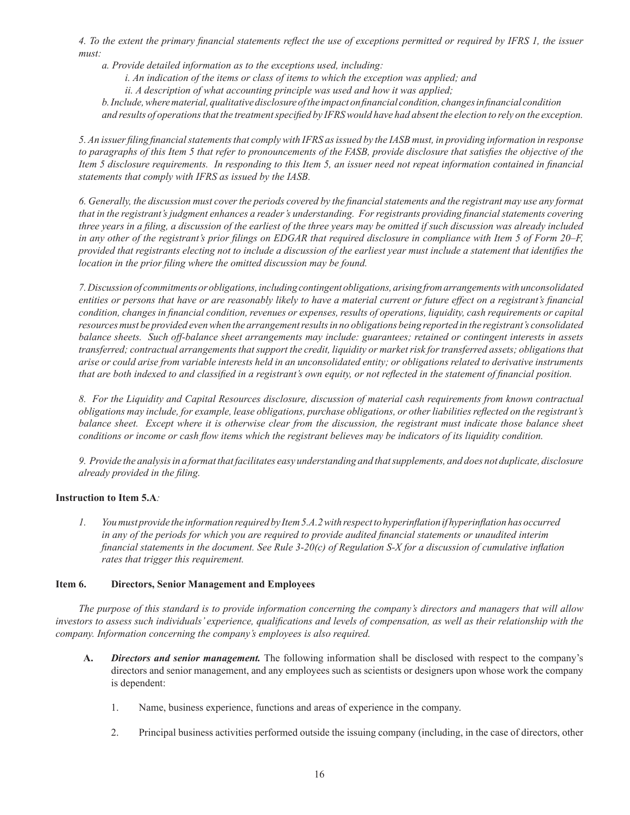4. To the extent the primary financial statements reflect the use of exceptions permitted or required by IFRS 1, the issuer *must:*

 *a. Provide detailed information as to the exceptions used, including:*

 *i. An indication of the items or class of items to which the exception was applied; and*

 *ii. A description of what accounting principle was used and how it was applied;*

*b. Include, where material, qualitative disclosure of the impact on financial condition, changes in financial condition* and results of operations that the treatment specified by IFRS would have had absent the election to rely on the exception.

 *5. An issuer fi ling fi nancial statements that comply with IFRS as issued by the IASB must, in providing information in response to paragraphs of this Item 5 that refer to pronouncements of the FASB, provide disclosure that satisfies the objective of the Item 5 disclosure requirements. In responding to this Item 5, an issuer need not repeat information contained in financial statements that comply with IFRS as issued by the IASB.*

6. Generally, the discussion must cover the periods covered by the financial statements and the registrant may use any format *that in the registrant's judgment enhances a reader's understanding. For registrants providing financial statements covering three years in a filing, a discussion of the earliest of the three years may be omitted if such discussion was already included* in any other of the registrant's prior filings on EDGAR that required disclosure in compliance with Item 5 of Form 20–F, *provided that registrants electing not to include a discussion of the earliest year must include a statement that identifies the location in the prior filing where the omitted discussion may be found.* 

 *7. Discussion of commitments or obligations, including contingent obligations, arising from arrangements with unconsolidated entities or persons that have or are reasonably likely to have a material current or future effect on a registrant's financial condition, changes in financial condition, revenues or expenses, results of operations, liquidity, cash requirements or capital resources must be provided even when the arrangement results in no obligations being reported in the registrant's consolidated balance sheets. Such off -balance sheet arrangements may include: guarantees; retained or contingent interests in assets transferred; contractual arrangements that support the credit, liquidity or market risk for transferred assets; obligations that arise or could arise from variable interests held in an unconsolidated entity; or obligations related to derivative instruments that are both indexed to and classified in a registrant's own equity, or not reflected in the statement of financial position.* 

 *8. For the Liquidity and Capital Resources disclosure, discussion of material cash requirements from known contractual obligations may include, for example, lease obligations, purchase obligations, or other liabilities reflected on the registrant's balance sheet.* Except where it is otherwise clear from the discussion, the registrant must indicate those balance sheet *conditions or income or cash flow items which the registrant believes may be indicators of its liquidity condition.* 

 *9. Provide the analysis in a format that facilitates easy understanding and that supplements, and does not duplicate, disclosure already provided in the filing.* 

## **Instruction to Item 5.A***:*

 *1. You must provide the information required by Item 5.A.2 with respect to hyperinfl ation if hyperinfl ation has occurred in any of the periods for which you are required to provide audited financial statements or unaudited interim financial statements in the document. See Rule 3-20(c) of Regulation S-X for a discussion of cumulative inflation rates that trigger this requirement.*

## **Item 6. Directors, Senior Management and Employees**

 *The purpose of this standard is to provide information concerning the company's directors and managers that will allow investors to assess such individuals' experience, qualifications and levels of compensation, as well as their relationship with the company. Information concerning the company's employees is also required.*

- **A.** *Directors and senior management.* The following information shall be disclosed with respect to the company's directors and senior management, and any employees such as scientists or designers upon whose work the company is dependent:
	- 1. Name, business experience, functions and areas of experience in the company.
	- 2. Principal business activities performed outside the issuing company (including, in the case of directors, other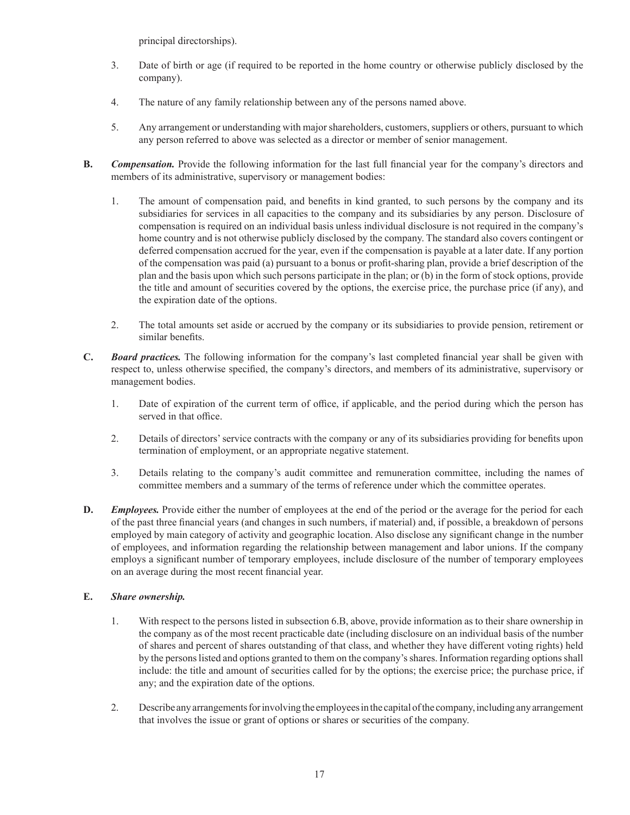principal directorships).

- 3. Date of birth or age (if required to be reported in the home country or otherwise publicly disclosed by the company).
- 4. The nature of any family relationship between any of the persons named above.
- 5. Any arrangement or understanding with major shareholders, customers, suppliers or others, pursuant to which any person referred to above was selected as a director or member of senior management.
- **B.** *Compensation.* Provide the following information for the last full financial year for the company's directors and members of its administrative, supervisory or management bodies:
	- 1. The amount of compensation paid, and benefits in kind granted, to such persons by the company and its subsidiaries for services in all capacities to the company and its subsidiaries by any person. Disclosure of compensation is required on an individual basis unless individual disclosure is not required in the company's home country and is not otherwise publicly disclosed by the company. The standard also covers contingent or deferred compensation accrued for the year, even if the compensation is payable at a later date. If any portion of the compensation was paid (a) pursuant to a bonus or profi t-sharing plan, provide a brief description of the plan and the basis upon which such persons participate in the plan; or (b) in the form of stock options, provide the title and amount of securities covered by the options, the exercise price, the purchase price (if any), and the expiration date of the options.
	- 2. The total amounts set aside or accrued by the company or its subsidiaries to provide pension, retirement or similar benefits.
- **C.** *Board practices*. The following information for the company's last completed financial year shall be given with respect to, unless otherwise specified, the company's directors, and members of its administrative, supervisory or management bodies.
	- 1. Date of expiration of the current term of office, if applicable, and the period during which the person has served in that office.
	- 2. Details of directors' service contracts with the company or any of its subsidiaries providing for benefits upon termination of employment, or an appropriate negative statement.
	- 3. Details relating to the company's audit committee and remuneration committee, including the names of committee members and a summary of the terms of reference under which the committee operates.
- **D.** *Employees.* Provide either the number of employees at the end of the period or the average for the period for each of the past three financial years (and changes in such numbers, if material) and, if possible, a breakdown of persons employed by main category of activity and geographic location. Also disclose any significant change in the number of employees, and information regarding the relationship between management and labor unions. If the company employs a significant number of temporary employees, include disclosure of the number of temporary employees on an average during the most recent financial year.

## **E.** *Share ownership.*

- 1. With respect to the persons listed in subsection 6.B, above, provide information as to their share ownership in the company as of the most recent practicable date (including disclosure on an individual basis of the number of shares and percent of shares outstanding of that class, and whether they have different voting rights) held by the persons listed and options granted to them on the company's shares. Information regarding options shall include: the title and amount of securities called for by the options; the exercise price; the purchase price, if any; and the expiration date of the options.
- 2. Describe any arrangements for involving the employees in the capital of the company, including any arrangement that involves the issue or grant of options or shares or securities of the company.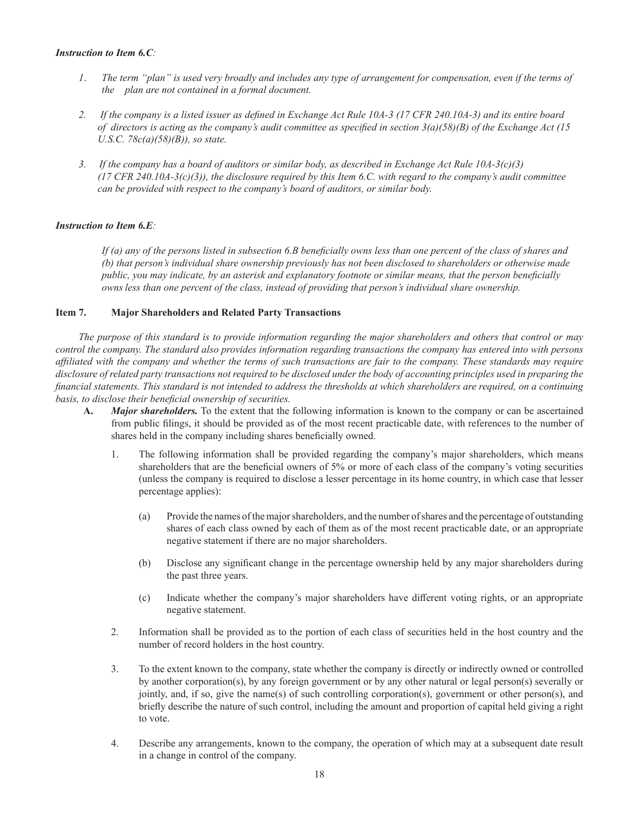## *Instruction to Item 6.C:*

- *1*. *The term "plan" is used very broadly and includes any type of arrangement for compensation, even if the terms of the plan are not contained in a formal document.*
- 2. If the company is a listed issuer as defined in Exchange Act Rule 10A-3 (17 CFR 240.10A-3) and its entire board *of directors is acting as the company's audit committee as specified in section*  $3(a)(58)(B)$  *of the Exchange Act (15 U.S.C. 78c(a)(58)(B)), so state.*
- *3. If the company has a board of auditors or similar body, as described in Exchange Act Rule 10A-3(c)(3) (17 CFR 240.10A-3(c)(3)), the disclosure required by this Item 6.C. with regard to the company's audit committee can be provided with respect to the company's board of auditors, or similar body.*

## *Instruction to Item 6.E:*

*If (a) any of the persons listed in subsection 6.B beneficially owns less than one percent of the class of shares and (b) that person's individual share ownership previously has not been disclosed to shareholders or otherwise made public, you may indicate, by an asterisk and explanatory footnote or similar means, that the person beneficially owns less than one percent of the class, instead of providing that person's individual share ownership.*

## **Item 7. Major Shareholders and Related Party Transactions**

 *The purpose of this standard is to provide information regarding the major shareholders and others that control or may control the company. The standard also provides information regarding transactions the company has entered into with persons affi liated with the company and whether the terms of such transactions are fair to the company. These standards may require disclosure of related party transactions not required to be disclosed under the body of accounting principles used in preparing the*  financial statements. This standard is not intended to address the thresholds at which shareholders are required, on a continuing *basis, to disclose their beneficial ownership of securities.* 

- **A.** *Major shareholders.* To the extent that the following information is known to the company or can be ascertained from public filings, it should be provided as of the most recent practicable date, with references to the number of shares held in the company including shares beneficially owned.
	- 1. The following information shall be provided regarding the company's major shareholders, which means shareholders that are the beneficial owners of 5% or more of each class of the company's voting securities (unless the company is required to disclose a lesser percentage in its home country, in which case that lesser percentage applies):
		- (a) Provide the names of the major shareholders, and the number of shares and the percentage of outstanding shares of each class owned by each of them as of the most recent practicable date, or an appropriate negative statement if there are no major shareholders.
		- (b) Disclose any significant change in the percentage ownership held by any major shareholders during the past three years.
		- (c) Indicate whether the company's major shareholders have different voting rights, or an appropriate negative statement.
	- 2. Information shall be provided as to the portion of each class of securities held in the host country and the number of record holders in the host country.
	- 3. To the extent known to the company, state whether the company is directly or indirectly owned or controlled by another corporation(s), by any foreign government or by any other natural or legal person(s) severally or jointly, and, if so, give the name(s) of such controlling corporation(s), government or other person(s), and briefly describe the nature of such control, including the amount and proportion of capital held giving a right to vote.
	- 4. Describe any arrangements, known to the company, the operation of which may at a subsequent date result in a change in control of the company.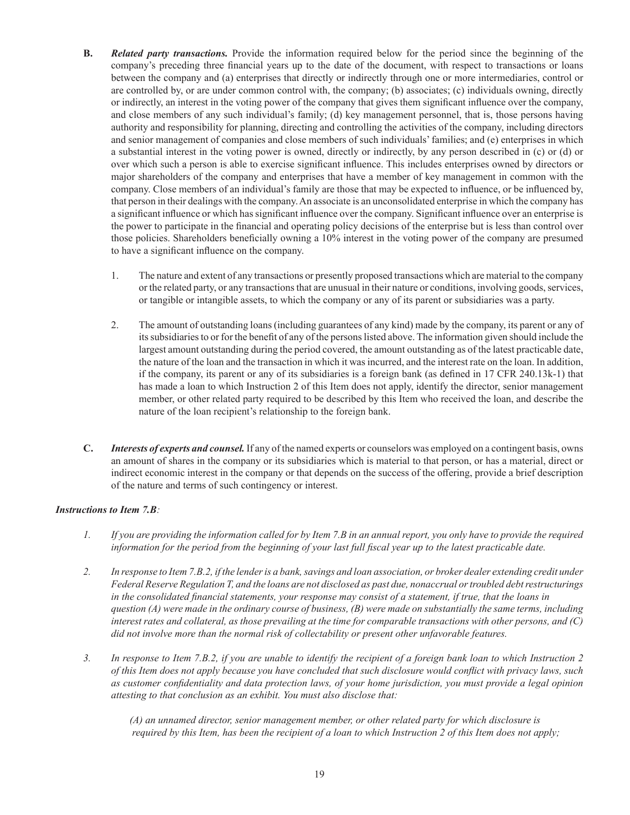- **B.** *Related party transactions.* Provide the information required below for the period since the beginning of the company's preceding three financial years up to the date of the document, with respect to transactions or loans between the company and (a) enterprises that directly or indirectly through one or more intermediaries, control or are controlled by, or are under common control with, the company; (b) associates; (c) individuals owning, directly or indirectly, an interest in the voting power of the company that gives them significant influence over the company, and close members of any such individual's family; (d) key management personnel, that is, those persons having authority and responsibility for planning, directing and controlling the activities of the company, including directors and senior management of companies and close members of such individuals' families; and (e) enterprises in which a substantial interest in the voting power is owned, directly or indirectly, by any person described in (c) or (d) or over which such a person is able to exercise significant influence. This includes enterprises owned by directors or major shareholders of the company and enterprises that have a member of key management in common with the company. Close members of an individual's family are those that may be expected to influence, or be influenced by, that person in their dealings with the company. An associate is an unconsolidated enterprise in which the company has a significant influence or which has significant influence over the company. Significant influence over an enterprise is the power to participate in the financial and operating policy decisions of the enterprise but is less than control over those policies. Shareholders beneficially owning a 10% interest in the voting power of the company are presumed to have a significant influence on the company.
	- 1. The nature and extent of any transactions or presently proposed transactions which are material to the company or the related party, or any transactions that are unusual in their nature or conditions, involving goods, services, or tangible or intangible assets, to which the company or any of its parent or subsidiaries was a party.
	- 2. The amount of outstanding loans (including guarantees of any kind) made by the company, its parent or any of its subsidiaries to or for the benefit of any of the persons listed above. The information given should include the largest amount outstanding during the period covered, the amount outstanding as of the latest practicable date, the nature of the loan and the transaction in which it was incurred, and the interest rate on the loan. In addition, if the company, its parent or any of its subsidiaries is a foreign bank (as defined in 17 CFR 240.13k-1) that has made a loan to which Instruction 2 of this Item does not apply, identify the director, senior management member, or other related party required to be described by this Item who received the loan, and describe the nature of the loan recipient's relationship to the foreign bank.
- **C.** *Interests of experts and counsel.* If any of the named experts or counselors was employed on a contingent basis, owns an amount of shares in the company or its subsidiaries which is material to that person, or has a material, direct or indirect economic interest in the company or that depends on the success of the offering, provide a brief description of the nature and terms of such contingency or interest.

## *Instructions to Item 7.B:*

- *1. If you are providing the information called for by Item 7.B in an annual report, you only have to provide the required information for the period from the beginning of your last full fiscal year up to the latest practicable date.*
- *2. In response to Item 7.B.2, if the lender is a bank, savings and loan association, or broker dealer extending credit under Federal Reserve Regulation T, and the loans are not disclosed as past due, nonaccrual or troubled debt restructurings*  in the consolidated financial statements, your response may consist of a statement, if true, that the loans in  *question (A) were made in the ordinary course of business, (B) were made on substantially the same terms, including interest rates and collateral, as those prevailing at the time for comparable transactions with other persons, and (C) did not involve more than the normal risk of collectability or present other unfavorable features.*
- *3. In response to Item 7.B.2, if you are unable to identify the recipient of a foreign bank loan to which Instruction 2 of this Item does not apply because you have concluded that such disclosure would conflict with privacy laws, such as customer confi dentiality and data protection laws, of your home jurisdiction, you must provide a legal opinion attesting to that conclusion as an exhibit. You must also disclose that:*

 *(A) an unnamed director, senior management member, or other related party for which disclosure is required by this Item, has been the recipient of a loan to which Instruction 2 of this Item does not apply;*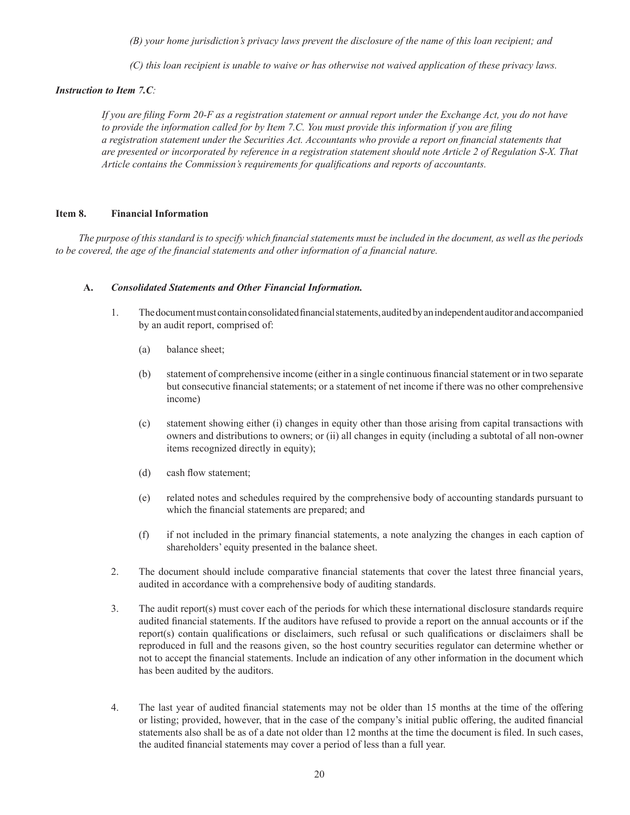*(B) your home jurisdiction's privacy laws prevent the disclosure of the name of this loan recipient; and*

 *(C) this loan recipient is unable to waive or has otherwise not waived application of these privacy laws.*

## *Instruction to Item 7.C:*

*If you are filing Form 20-F as a registration statement or annual report under the Exchange Act, you do not have to provide the information called for by Item 7.C. You must provide this information if you are filing a registration statement under the Securities Act. Accountants who provide a report on fi nancial statements that are presented or incorporated by reference in a registration statement should note Article 2 of Regulation S-X. That Article contains the Commission's requirements for qualifications and reports of accountants.* 

### **Item 8. Financial Information**

The purpose of this standard is to specify which financial statements must be included in the document, as well as the periods to be covered, the age of the financial statements and other information of a financial nature.

### **A.** *Consolidated Statements and Other Financial Information.*

- 1. The document must contain consolidated financial statements, audited by an independent auditor and accompanied by an audit report, comprised of:
	- (a) balance sheet;
	- (b) statement of comprehensive income (either in a single continuous financial statement or in two separate but consecutive financial statements; or a statement of net income if there was no other comprehensive income)
	- (c) statement showing either (i) changes in equity other than those arising from capital transactions with owners and distributions to owners; or (ii) all changes in equity (including a subtotal of all non-owner items recognized directly in equity);
	- $(d)$  cash flow statement:
	- (e) related notes and schedules required by the comprehensive body of accounting standards pursuant to which the financial statements are prepared; and
	- $(f)$  if not included in the primary financial statements, a note analyzing the changes in each caption of shareholders' equity presented in the balance sheet.
- 2. The document should include comparative financial statements that cover the latest three financial years, audited in accordance with a comprehensive body of auditing standards.
- 3. The audit report(s) must cover each of the periods for which these international disclosure standards require audited financial statements. If the auditors have refused to provide a report on the annual accounts or if the report(s) contain qualifications or disclaimers, such refusal or such qualifications or disclaimers shall be reproduced in full and the reasons given, so the host country securities regulator can determine whether or not to accept the financial statements. Include an indication of any other information in the document which has been audited by the auditors.
- 4. The last year of audited financial statements may not be older than 15 months at the time of the offering or listing; provided, however, that in the case of the company's initial public offering, the audited financial statements also shall be as of a date not older than 12 months at the time the document is filed. In such cases, the audited financial statements may cover a period of less than a full year.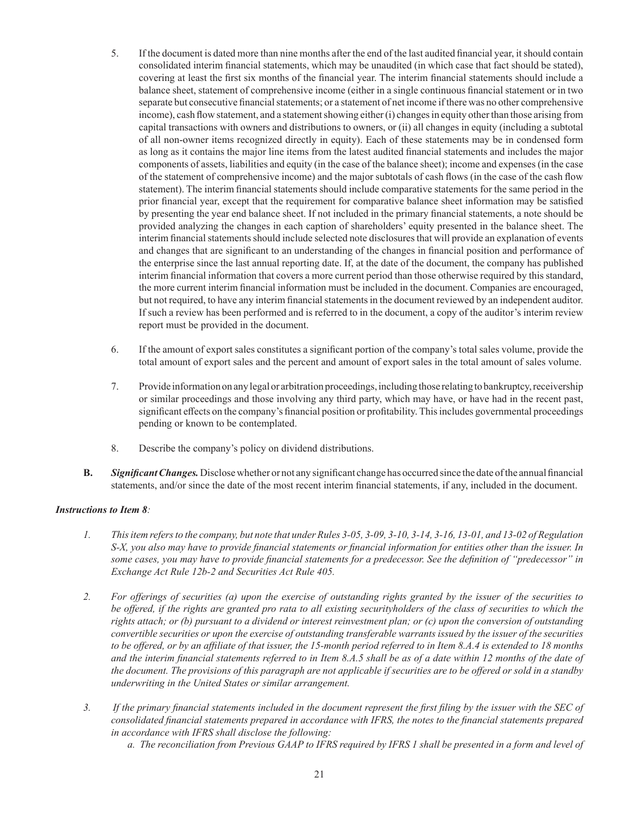- 5. If the document is dated more than nine months after the end of the last audited financial year, it should contain consolidated interim financial statements, which may be unaudited (in which case that fact should be stated), covering at least the first six months of the financial year. The interim financial statements should include a balance sheet, statement of comprehensive income (either in a single continuous financial statement or in two separate but consecutive financial statements; or a statement of net income if there was no other comprehensive income), cash flow statement, and a statement showing either (i) changes in equity other than those arising from capital transactions with owners and distributions to owners, or (ii) all changes in equity (including a subtotal of all non-owner items recognized directly in equity). Each of these statements may be in condensed form as long as it contains the major line items from the latest audited financial statements and includes the major components of assets, liabilities and equity (in the case of the balance sheet); income and expenses (in the case of the statement of comprehensive income) and the major subtotals of cash flows (in the case of the cash flow statement). The interim financial statements should include comparative statements for the same period in the prior financial year, except that the requirement for comparative balance sheet information may be satisfied by presenting the year end balance sheet. If not included in the primary financial statements, a note should be provided analyzing the changes in each caption of shareholders' equity presented in the balance sheet. The interim financial statements should include selected note disclosures that will provide an explanation of events and changes that are significant to an understanding of the changes in financial position and performance of the enterprise since the last annual reporting date. If, at the date of the document, the company has published interim financial information that covers a more current period than those otherwise required by this standard, the more current interim financial information must be included in the document. Companies are encouraged, but not required, to have any interim financial statements in the document reviewed by an independent auditor. If such a review has been performed and is referred to in the document, a copy of the auditor's interim review report must be provided in the document.
- 6. If the amount of export sales constitutes a significant portion of the company's total sales volume, provide the total amount of export sales and the percent and amount of export sales in the total amount of sales volume.
- 7. Provide information on any legal or arbitration proceedings, including those relating to bankruptcy, receivership or similar proceedings and those involving any third party, which may have, or have had in the recent past, significant effects on the company's financial position or profitability. This includes governmental proceedings pending or known to be contemplated.
- 8. Describe the company's policy on dividend distributions.
- **B.** Significant Changes. Disclose whether or not any significant change has occurred since the date of the annual financial statements, and/or since the date of the most recent interim financial statements, if any, included in the document.

## *Instructions to Item 8:*

- *1. This item refers to the company, but note that under Rules 3-05, 3-09, 3-10, 3-14, 3-16, 13-01, and 13-02 of Regulation S-X, you also may have to provide financial statements or financial information for entities other than the issuer. In* some cases, you may have to provide financial statements for a predecessor. See the definition of "predecessor" in *Exchange Act Rule 12b-2 and Securities Act Rule 405.*
- *2. For off erings of securities (a) upon the exercise of outstanding rights granted by the issuer of the securities to be off ered, if the rights are granted pro rata to all existing securityholders of the class of securities to which the rights attach; or (b) pursuant to a dividend or interest reinvestment plan; or (c) upon the conversion of outstanding convertible securities or upon the exercise of outstanding transferable warrants issued by the issuer of the securities to be off ered, or by an affi liate of that issuer, the 15-month period referred to in Item 8.A.4 is extended to 18 months*  and the interim financial statements referred to in Item 8.A.5 shall be as of a date within 12 months of the date of *the document. The provisions of this paragraph are not applicable if securities are to be off ered or sold in a standby underwriting in the United States or similar arrangement.*
- 3. If the primary financial statements included in the document represent the first filing by the issuer with the SEC of *consolidated financial statements prepared in accordance with IFRS, the notes to the financial statements prepared in accordance with IFRS shall disclose the following:*
	- *a. The reconciliation from Previous GAAP to IFRS required by IFRS 1 shall be presented in a form and level of*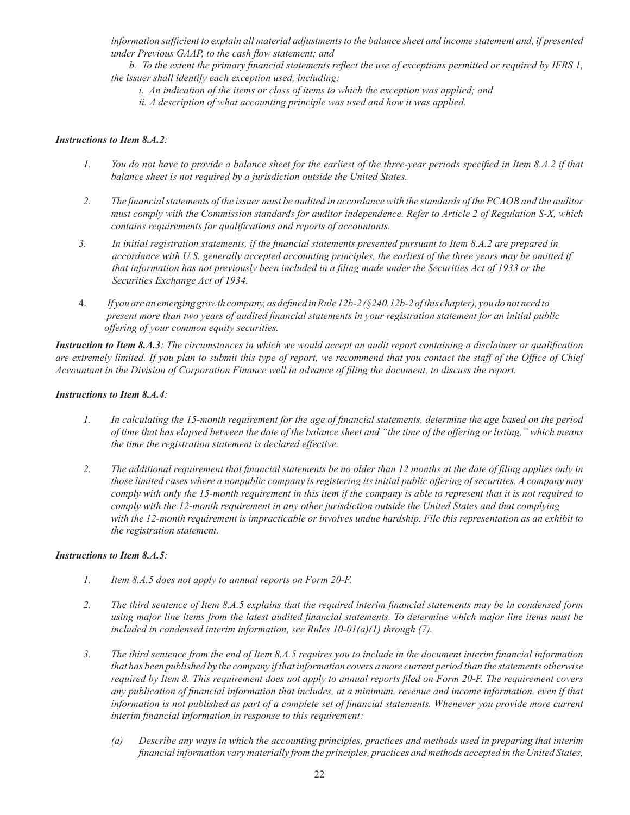*information suffi cient to explain all material adjustments to the balance sheet and income statement and, if presented under Previous GAAP, to the cash flow statement; and* 

*b. To the extent the primary financial statements reflect the use of exceptions permitted or required by IFRS 1, the issuer shall identify each exception used, including:*

 *i. An indication of the items or class of items to which the exception was applied; and*

 *ii. A description of what accounting principle was used and how it was applied.*

## *Instructions to Item 8.A.2:*

- *1.* You do not have to provide a balance sheet for the earliest of the three-year periods specified in Item 8.A.2 if that *balance sheet is not required by a jurisdiction outside the United States.*
- 2. The financial statements of the issuer must be audited in accordance with the standards of the PCAOB and the auditor *must comply with the Commission standards for auditor independence. Refer to Article 2 of Regulation S-X, which contains requirements for qualifications and reports of accountants.*
- 3. In initial registration statements, if the financial statements presented pursuant to Item 8.A.2 are prepared in  *accordance with U.S. generally accepted accounting principles, the earliest of the three years may be omitted if that information has not previously been included in a filing made under the Securities Act of 1933 or the Securities Exchange Act of 1934.*
- 4. *If you are an emerging growth company, as defi ned in Rule 12b-2 (§240.12b-2 of this chapter), you do not need to present more than two years of audited financial statements in your registration statement for an initial public off ering of your common equity securities.*

**Instruction to Item 8.A.3***: The circumstances in which we would accept an audit report containing a disclaimer or qualification are extremely limited. If you plan to submit this type of report, we recommend that you contact the staff of the Offi ce of Chief*  Accountant in the Division of Corporation Finance well in advance of filing the document, to discuss the report.

## *Instructions to Item 8.A.4:*

- *1.* In calculating the 15-month requirement for the age of financial statements, determine the age based on the period *of time that has elapsed between the date of the balance sheet and "the time of the off ering or listing," which means the time the registration statement is declared effective.*
- 2. The additional requirement that financial statements be no older than 12 months at the date of filing applies only in *those limited cases where a nonpublic company is registering its initial public off ering of securities. A company may comply with only the 15-month requirement in this item if the company is able to represent that it is not required to comply with the 12-month requirement in any other jurisdiction outside the United States and that complying with the 12-month requirement is impracticable or involves undue hardship. File this representation as an exhibit to the registration statement.*

## *Instructions to Item 8.A.5:*

- *1. Item 8.A.5 does not apply to annual reports on Form 20-F.*
- 2. The third sentence of Item 8.A.5 explains that the required interim financial statements may be in condensed form using major line items from the latest audited financial statements. To determine which major line items must be *included in condensed interim information, see Rules 10-01(a)(1) through (7).*
- 3. The third sentence from the end of Item 8.A.5 requires you to include in the document interim financial information *that has been published by the company if that information covers a more current period than the statements otherwise required by Item 8. This requirement does not apply to annual reports filed on Form 20-F. The requirement covers* any publication of financial information that includes, at a minimum, revenue and income information, even if that *information is not published as part of a complete set of financial statements. Whenever you provide more current interim financial information in response to this requirement:* 
	- *(a) Describe any ways in which the accounting principles, practices and methods used in preparing that interim fi nancial information vary materially from the principles, practices and methods accepted in the United States,*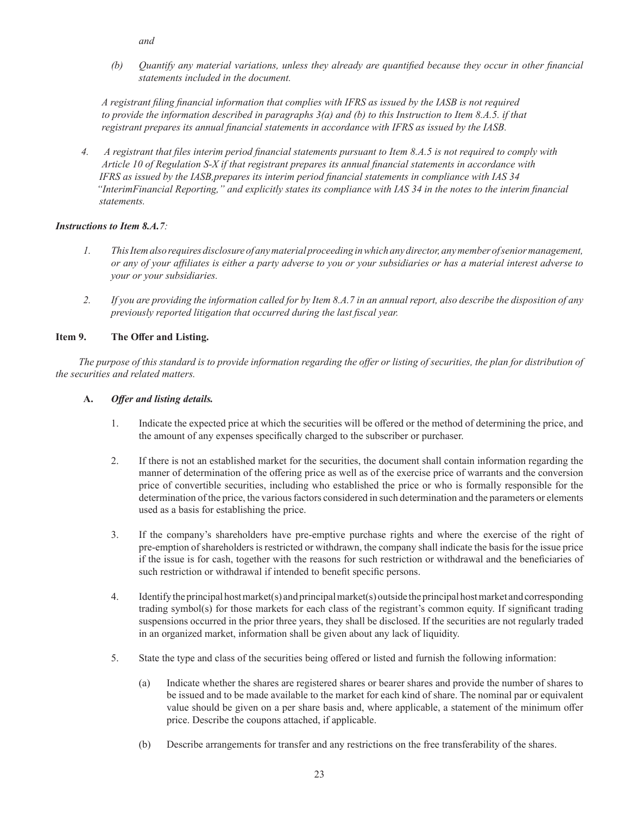*and*

*(b)* Ouantify any material variations, unless they already are quantified because they occur in other financial *statements included in the document.*

 *A registrant fi ling fi nancial information that complies with IFRS as issued by the IASB is not required to provide the information described in paragraphs 3(a) and (b) to this Instruction to Item 8.A.5. if that registrant prepares its annual financial statements in accordance with IFRS as issued by the IASB.* 

 *4. A registrant that fi les interim period fi nancial statements pursuant to Item 8.A.5 is not required to comply with Article 10 of Regulation S-X if that registrant prepares its annual financial statements in accordance with IFRS as issued by the IASB, prepares its interim period financial statements in compliance with IAS 34* "InterimFinancial Reporting," and explicitly states its compliance with IAS 34 in the notes to the interim financial  *statements.*

## *Instructions to Item 8.A.7:*

- *1. This Item also requires disclosure of any material proceeding in which any director, any member of senior management, or any of your affi liates is either a party adverse to you or your subsidiaries or has a material interest adverse to your or your subsidiaries.*
- *2. If you are providing the information called for by Item 8.A.7 in an annual report, also describe the disposition of any previously reported litigation that occurred during the last fiscal year.*

## **Item 9.** The Offer and Listing.

 *The purpose of this standard is to provide information regarding the off er or listing of securities, the plan for distribution of the securities and related matters.*

## A. Offer and listing details.

- 1. Indicate the expected price at which the securities will be offered or the method of determining the price, and the amount of any expenses specifically charged to the subscriber or purchaser.
- 2. If there is not an established market for the securities, the document shall contain information regarding the manner of determination of the offering price as well as of the exercise price of warrants and the conversion price of convertible securities, including who established the price or who is formally responsible for the determination of the price, the various factors considered in such determination and the parameters or elements used as a basis for establishing the price.
- 3. If the company's shareholders have pre-emptive purchase rights and where the exercise of the right of pre-emption of shareholders is restricted or withdrawn, the company shall indicate the basis for the issue price if the issue is for cash, together with the reasons for such restriction or withdrawal and the beneficiaries of such restriction or withdrawal if intended to benefit specific persons.
- 4. Identify the principal host market(s) and principal market(s) outside the principal host market and corresponding trading symbol(s) for those markets for each class of the registrant's common equity. If significant trading suspensions occurred in the prior three years, they shall be disclosed. If the securities are not regularly traded in an organized market, information shall be given about any lack of liquidity.
- 5. State the type and class of the securities being offered or listed and furnish the following information:
	- (a) Indicate whether the shares are registered shares or bearer shares and provide the number of shares to be issued and to be made available to the market for each kind of share. The nominal par or equivalent value should be given on a per share basis and, where applicable, a statement of the minimum offer price. Describe the coupons attached, if applicable.
	- (b) Describe arrangements for transfer and any restrictions on the free transferability of the shares.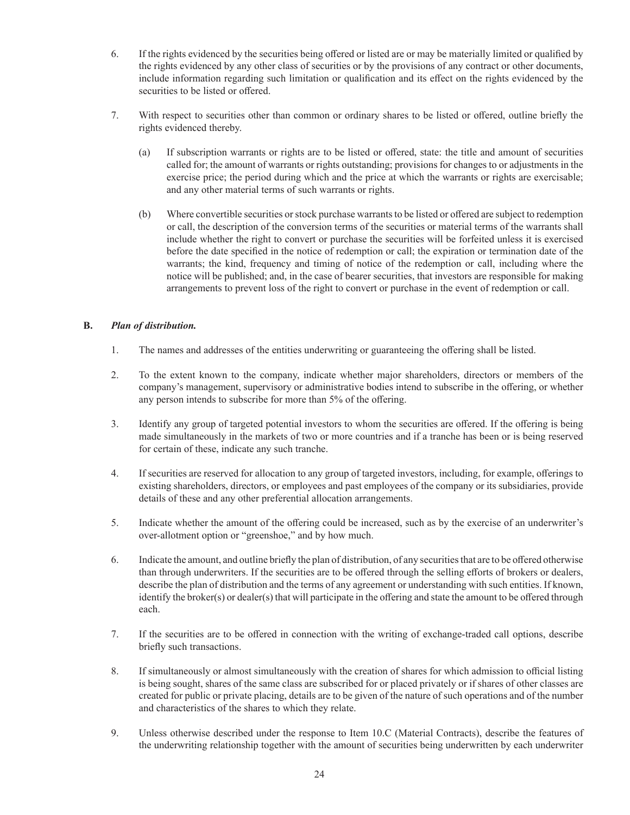- 6. If the rights evidenced by the securities being offered or listed are or may be materially limited or qualified by the rights evidenced by any other class of securities or by the provisions of any contract or other documents, include information regarding such limitation or qualification and its effect on the rights evidenced by the securities to be listed or offered.
- 7. With respect to securities other than common or ordinary shares to be listed or offered, outline briefly the rights evidenced thereby.
	- (a) If subscription warrants or rights are to be listed or offered, state: the title and amount of securities called for; the amount of warrants or rights outstanding; provisions for changes to or adjustments in the exercise price; the period during which and the price at which the warrants or rights are exercisable; and any other material terms of such warrants or rights.
	- (b) Where convertible securities or stock purchase warrants to be listed or offered are subject to redemption or call, the description of the conversion terms of the securities or material terms of the warrants shall include whether the right to convert or purchase the securities will be forfeited unless it is exercised before the date specified in the notice of redemption or call; the expiration or termination date of the warrants; the kind, frequency and timing of notice of the redemption or call, including where the notice will be published; and, in the case of bearer securities, that investors are responsible for making arrangements to prevent loss of the right to convert or purchase in the event of redemption or call.

## **B.** *Plan of distribution.*

- 1. The names and addresses of the entities underwriting or guaranteeing the offering shall be listed.
- 2. To the extent known to the company, indicate whether major shareholders, directors or members of the company's management, supervisory or administrative bodies intend to subscribe in the offering, or whether any person intends to subscribe for more than 5% of the offering.
- 3. Identify any group of targeted potential investors to whom the securities are offered. If the offering is being made simultaneously in the markets of two or more countries and if a tranche has been or is being reserved for certain of these, indicate any such tranche.
- 4. If securities are reserved for allocation to any group of targeted investors, including, for example, offerings to existing shareholders, directors, or employees and past employees of the company or its subsidiaries, provide details of these and any other preferential allocation arrangements.
- 5. Indicate whether the amount of the offering could be increased, such as by the exercise of an underwriter's over-allotment option or "greenshoe," and by how much.
- 6. Indicate the amount, and outline briefly the plan of distribution, of any securities that are to be offered otherwise than through underwriters. If the securities are to be offered through the selling efforts of brokers or dealers, describe the plan of distribution and the terms of any agreement or understanding with such entities. If known, identify the broker(s) or dealer(s) that will participate in the offering and state the amount to be offered through each.
- 7. If the securities are to be offered in connection with the writing of exchange-traded call options, describe briefly such transactions.
- 8. If simultaneously or almost simultaneously with the creation of shares for which admission to official listing is being sought, shares of the same class are subscribed for or placed privately or if shares of other classes are created for public or private placing, details are to be given of the nature of such operations and of the number and characteristics of the shares to which they relate.
- 9. Unless otherwise described under the response to Item 10.C (Material Contracts), describe the features of the underwriting relationship together with the amount of securities being underwritten by each underwriter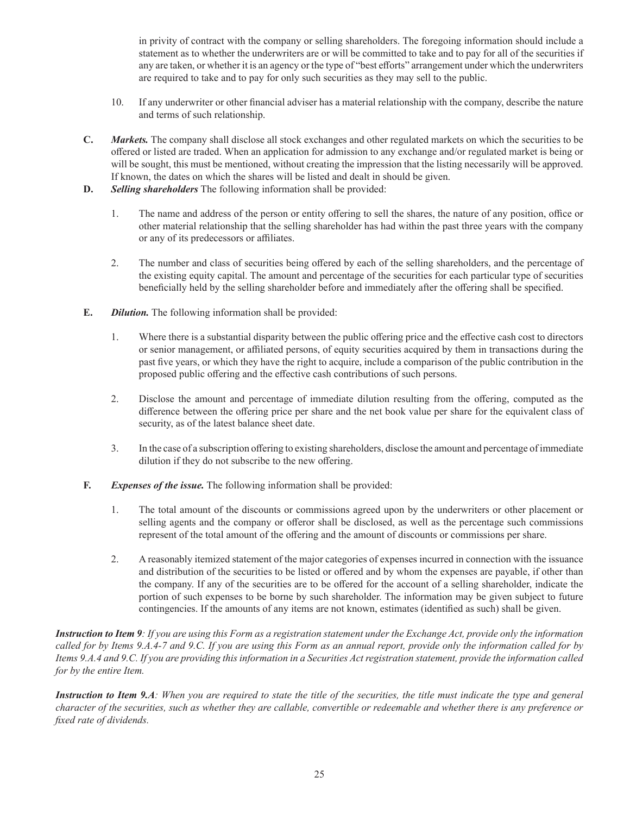in privity of contract with the company or selling shareholders. The foregoing information should include a statement as to whether the underwriters are or will be committed to take and to pay for all of the securities if any are taken, or whether it is an agency or the type of "best efforts" arrangement under which the underwriters are required to take and to pay for only such securities as they may sell to the public.

- 10. If any underwriter or other financial adviser has a material relationship with the company, describe the nature and terms of such relationship.
- **C.** *Markets.* The company shall disclose all stock exchanges and other regulated markets on which the securities to be off ered or listed are traded. When an application for admission to any exchange and/or regulated market is being or will be sought, this must be mentioned, without creating the impression that the listing necessarily will be approved. If known, the dates on which the shares will be listed and dealt in should be given.
- **D.** *Selling shareholders* The following information shall be provided:
	- 1. The name and address of the person or entity offering to sell the shares, the nature of any position, office or other material relationship that the selling shareholder has had within the past three years with the company or any of its predecessors or affiliates.
	- 2. The number and class of securities being offered by each of the selling shareholders, and the percentage of the existing equity capital. The amount and percentage of the securities for each particular type of securities beneficially held by the selling shareholder before and immediately after the offering shall be specified.
- **E.** *Dilution.* The following information shall be provided:
	- 1. Where there is a substantial disparity between the public offering price and the effective cash cost to directors or senior management, or affiliated persons, of equity securities acquired by them in transactions during the past five years, or which they have the right to acquire, include a comparison of the public contribution in the proposed public offering and the effective cash contributions of such persons.
	- 2. Disclose the amount and percentage of immediate dilution resulting from the offering, computed as the difference between the offering price per share and the net book value per share for the equivalent class of security, as of the latest balance sheet date.
	- 3. In the case of a subscription offering to existing shareholders, disclose the amount and percentage of immediate dilution if they do not subscribe to the new offering.
- **F.** *Expenses of the issue.* The following information shall be provided:
	- 1. The total amount of the discounts or commissions agreed upon by the underwriters or other placement or selling agents and the company or offeror shall be disclosed, as well as the percentage such commissions represent of the total amount of the offering and the amount of discounts or commissions per share.
	- 2. A reasonably itemized statement of the major categories of expenses incurred in connection with the issuance and distribution of the securities to be listed or offered and by whom the expenses are payable, if other than the company. If any of the securities are to be offered for the account of a selling shareholder, indicate the portion of such expenses to be borne by such shareholder. The information may be given subject to future contingencies. If the amounts of any items are not known, estimates (identified as such) shall be given.

*Instruction to Item 9: If you are using this Form as a registration statement under the Exchange Act, provide only the information called for by Items 9.A.4-7 and 9.C. If you are using this Form as an annual report, provide only the information called for by Items 9.A.4 and 9.C. If you are providing this information in a Securities Act registration statement, provide the information called for by the entire Item.*

*Instruction to Item 9.A: When you are required to state the title of the securities, the title must indicate the type and general character of the securities, such as whether they are callable, convertible or redeemable and whether there is any preference or fi xed rate of dividends.*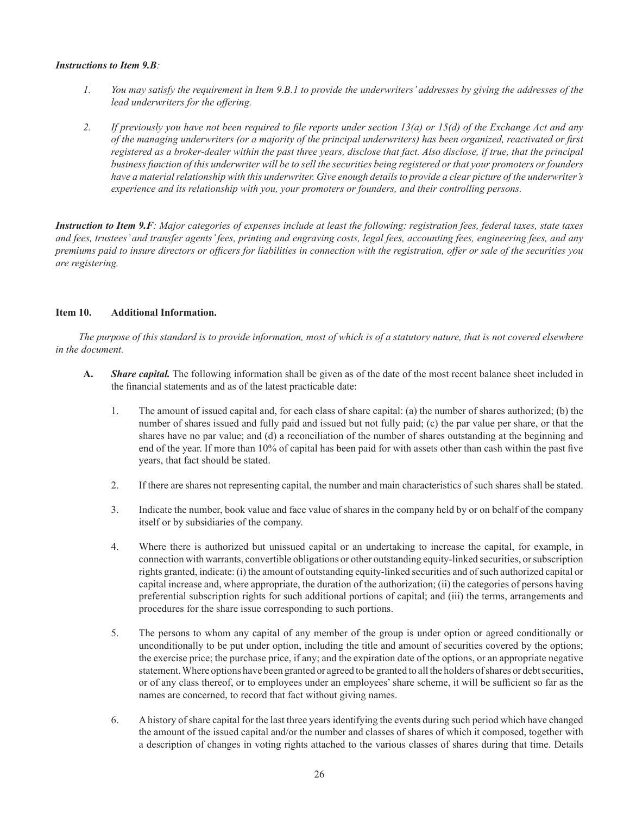## *Instructions to Item 9.B:*

- *1. You may satisfy the requirement in Item 9.B.1 to provide the underwriters' addresses by giving the addresses of the lead underwriters for the offering.*
- 2. If previously you have not been required to file reports under section 13(a) or 15(d) of the Exchange Act and any *of the managing underwriters (or a majority of the principal underwriters) has been organized, reactivated or first registered as a broker-dealer within the past three years, disclose that fact. Also disclose, if true, that the principal business function of this underwriter will be to sell the securities being registered or that your promoters or founders have a material relationship with this underwriter. Give enough details to provide a clear picture of the underwriter's experience and its relationship with you, your promoters or founders, and their controlling persons.*

*Instruction to Item 9.F: Major categories of expenses include at least the following: registration fees, federal taxes, state taxes and fees, trustees' and transfer agents' fees, printing and engraving costs, legal fees, accounting fees, engineering fees, and any premiums paid to insure directors or offi cers for liabilities in connection with the registration, off er or sale of the securities you are registering.*

## **Item 10. Additional Information.**

 *The purpose of this standard is to provide information, most of which is of a statutory nature, that is not covered elsewhere in the document.*

- **A.** *Share capital.* The following information shall be given as of the date of the most recent balance sheet included in the financial statements and as of the latest practicable date:
	- 1. The amount of issued capital and, for each class of share capital: (a) the number of shares authorized; (b) the number of shares issued and fully paid and issued but not fully paid; (c) the par value per share, or that the shares have no par value; and (d) a reconciliation of the number of shares outstanding at the beginning and end of the year. If more than 10% of capital has been paid for with assets other than cash within the past five years, that fact should be stated.
	- 2. If there are shares not representing capital, the number and main characteristics of such shares shall be stated.
	- 3. Indicate the number, book value and face value of shares in the company held by or on behalf of the company itself or by subsidiaries of the company.
	- 4. Where there is authorized but unissued capital or an undertaking to increase the capital, for example, in connection with warrants, convertible obligations or other outstanding equity-linked securities, or subscription rights granted, indicate: (i) the amount of outstanding equity-linked securities and of such authorized capital or capital increase and, where appropriate, the duration of the authorization; (ii) the categories of persons having preferential subscription rights for such additional portions of capital; and (iii) the terms, arrangements and procedures for the share issue corresponding to such portions.
	- 5. The persons to whom any capital of any member of the group is under option or agreed conditionally or unconditionally to be put under option, including the title and amount of securities covered by the options; the exercise price; the purchase price, if any; and the expiration date of the options, or an appropriate negative statement. Where options have been granted or agreed to be granted to all the holders of shares or debt securities, or of any class thereof, or to employees under an employees' share scheme, it will be sufficient so far as the names are concerned, to record that fact without giving names.
	- 6. A history of share capital for the last three years identifying the events during such period which have changed the amount of the issued capital and/or the number and classes of shares of which it composed, together with a description of changes in voting rights attached to the various classes of shares during that time. Details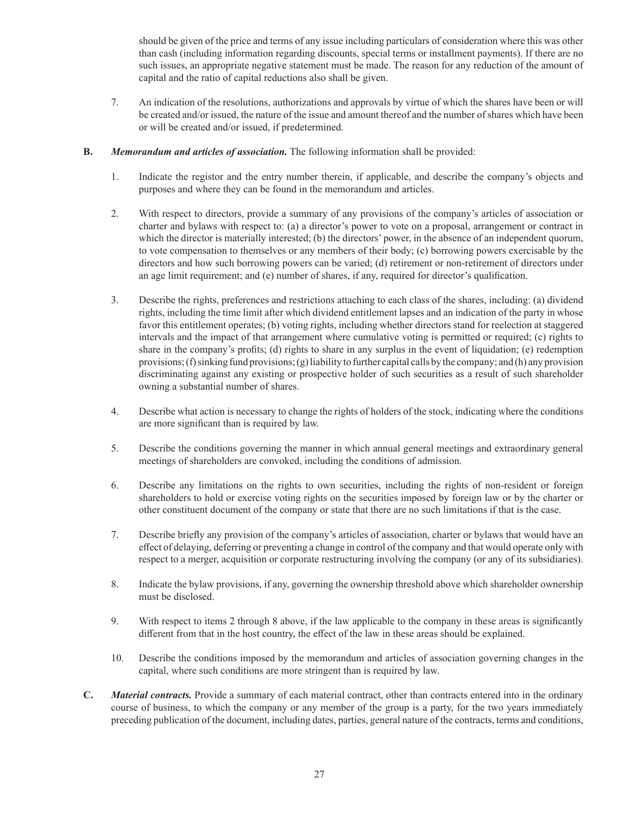should be given of the price and terms of any issue including particulars of consideration where this was other than cash (including information regarding discounts, special terms or installment payments). If there are no such issues, an appropriate negative statement must be made. The reason for any reduction of the amount of capital and the ratio of capital reductions also shall be given.

- 7. An indication of the resolutions, authorizations and approvals by virtue of which the shares have been or will be created and/or issued, the nature of the issue and amount thereof and the number of shares which have been or will be created and/or issued, if predetermined.
- **B.** *Memorandum and articles of association.* The following information shall be provided:
	- 1. Indicate the registor and the entry number therein, if applicable, and describe the company's objects and purposes and where they can be found in the memorandum and articles.
	- 2. With respect to directors, provide a summary of any provisions of the company's articles of association or charter and bylaws with respect to: (a) a director's power to vote on a proposal, arrangement or contract in which the director is materially interested; (b) the directors' power, in the absence of an independent quorum, to vote compensation to themselves or any members of their body; (c) borrowing powers exercisable by the directors and how such borrowing powers can be varied; (d) retirement or non-retirement of directors under an age limit requirement; and (e) number of shares, if any, required for director's qualification.
	- 3. Describe the rights, preferences and restrictions attaching to each class of the shares, including: (a) dividend rights, including the time limit after which dividend entitlement lapses and an indication of the party in whose favor this entitlement operates; (b) voting rights, including whether directors stand for reelection at staggered intervals and the impact of that arrangement where cumulative voting is permitted or required; (c) rights to share in the company's profits; (d) rights to share in any surplus in the event of liquidation; (e) redemption provisions; (f) sinking fund provisions; (g) liability to further capital calls by the company; and (h) any provision discriminating against any existing or prospective holder of such securities as a result of such shareholder owning a substantial number of shares.
	- 4. Describe what action is necessary to change the rights of holders of the stock, indicating where the conditions are more significant than is required by law.
	- 5. Describe the conditions governing the manner in which annual general meetings and extraordinary general meetings of shareholders are convoked, including the conditions of admission.
	- 6. Describe any limitations on the rights to own securities, including the rights of non-resident or foreign shareholders to hold or exercise voting rights on the securities imposed by foreign law or by the charter or other constituent document of the company or state that there are no such limitations if that is the case.
	- 7. Describe briefly any provision of the company's articles of association, charter or bylaws that would have an effect of delaying, deferring or preventing a change in control of the company and that would operate only with respect to a merger, acquisition or corporate restructuring involving the company (or any of its subsidiaries).
	- 8. Indicate the bylaw provisions, if any, governing the ownership threshold above which shareholder ownership must be disclosed.
	- 9. With respect to items 2 through 8 above, if the law applicable to the company in these areas is significantly different from that in the host country, the effect of the law in these areas should be explained.
	- 10. Describe the conditions imposed by the memorandum and articles of association governing changes in the capital, where such conditions are more stringent than is required by law.
- **C.** *Material contracts.* Provide a summary of each material contract, other than contracts entered into in the ordinary course of business, to which the company or any member of the group is a party, for the two years immediately preceding publication of the document, including dates, parties, general nature of the contracts, terms and conditions,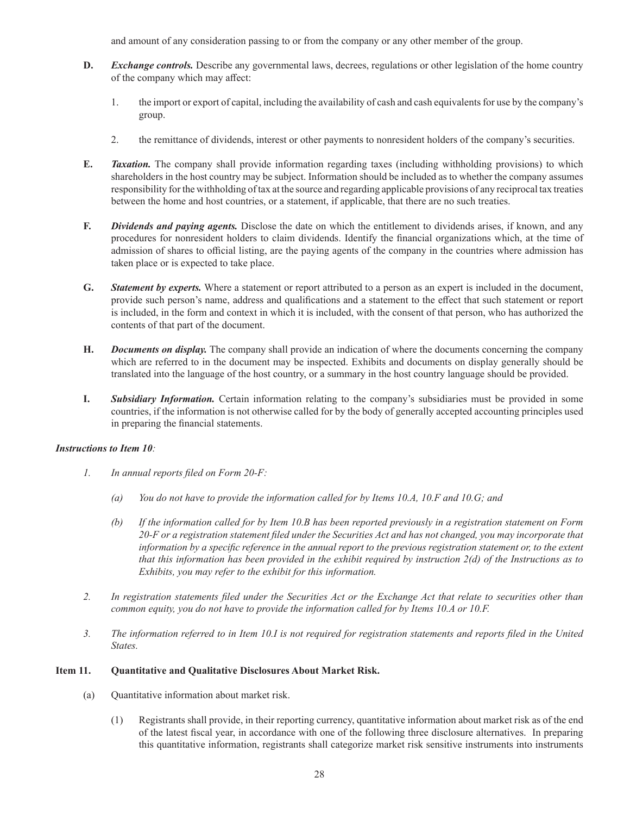and amount of any consideration passing to or from the company or any other member of the group.

- **D.** *Exchange controls.* Describe any governmental laws, decrees, regulations or other legislation of the home country of the company which may affect:
	- 1. the import or export of capital, including the availability of cash and cash equivalents for use by the company's group.
	- 2. the remittance of dividends, interest or other payments to nonresident holders of the company's securities.
- **E.** *Taxation.* The company shall provide information regarding taxes (including withholding provisions) to which shareholders in the host country may be subject. Information should be included as to whether the company assumes responsibility for the withholding of tax at the source and regarding applicable provisions of any reciprocal tax treaties between the home and host countries, or a statement, if applicable, that there are no such treaties.
- **F.** *Dividends and paying agents.* Disclose the date on which the entitlement to dividends arises, if known, and any procedures for nonresident holders to claim dividends. Identify the financial organizations which, at the time of admission of shares to official listing, are the paying agents of the company in the countries where admission has taken place or is expected to take place.
- **G.** *Statement by experts.* Where a statement or report attributed to a person as an expert is included in the document, provide such person's name, address and qualifications and a statement to the effect that such statement or report is included, in the form and context in which it is included, with the consent of that person, who has authorized the contents of that part of the document.
- **H.** *Documents on display.* The company shall provide an indication of where the documents concerning the company which are referred to in the document may be inspected. Exhibits and documents on display generally should be translated into the language of the host country, or a summary in the host country language should be provided.
- **I.** *Subsidiary Information.* Certain information relating to the company's subsidiaries must be provided in some countries, if the information is not otherwise called for by the body of generally accepted accounting principles used in preparing the financial statements.

## *Instructions to Item 10:*

- *1.* In annual reports filed on Form 20-F:
	- *(a) You do not have to provide the information called for by Items 10.A, 10.F and 10.G; and*
	- *(b) If the information called for by Item 10.B has been reported previously in a registration statement on Form 20-F or a registration statement fi led under the Securities Act and has not changed, you may incorporate that information by a specific reference in the annual report to the previous registration statement or, to the extent that this information has been provided in the exhibit required by instruction 2(d) of the Instructions as to Exhibits, you may refer to the exhibit for this information.*
- 2. In registration statements filed under the Securities Act or the Exchange Act that relate to securities other than *common equity, you do not have to provide the information called for by Items 10.A or 10.F.*
- 3. The information referred to in Item 10.I is not required for registration statements and reports filed in the United *States.*

## **Item 11. Quantitative and Qualitative Disclosures About Market Risk.**

- (a) Quantitative information about market risk.
	- (1) Registrants shall provide, in their reporting currency, quantitative information about market risk as of the end of the latest fiscal year, in accordance with one of the following three disclosure alternatives. In preparing this quantitative information, registrants shall categorize market risk sensitive instruments into instruments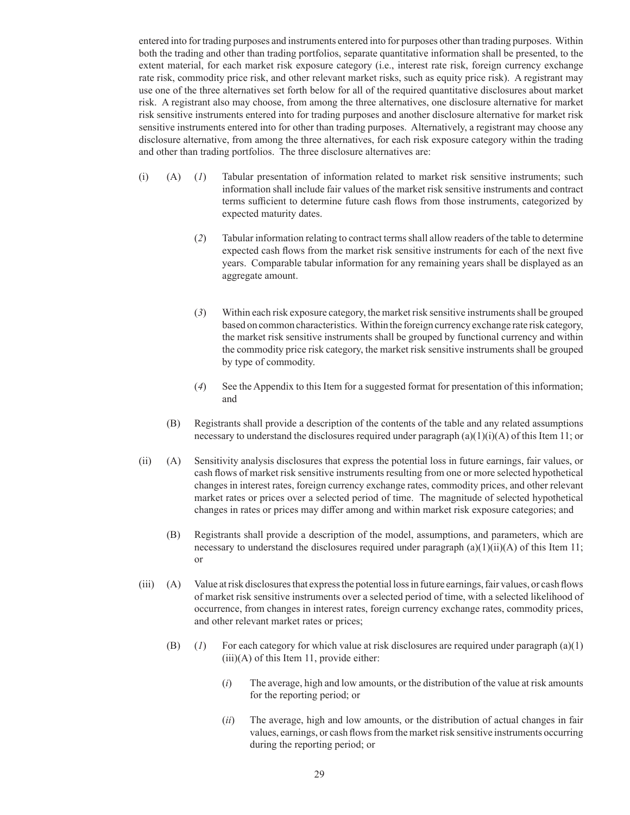entered into for trading purposes and instruments entered into for purposes other than trading purposes. Within both the trading and other than trading portfolios, separate quantitative information shall be presented, to the extent material, for each market risk exposure category (i.e., interest rate risk, foreign currency exchange rate risk, commodity price risk, and other relevant market risks, such as equity price risk). A registrant may use one of the three alternatives set forth below for all of the required quantitative disclosures about market risk. A registrant also may choose, from among the three alternatives, one disclosure alternative for market risk sensitive instruments entered into for trading purposes and another disclosure alternative for market risk sensitive instruments entered into for other than trading purposes. Alternatively, a registrant may choose any disclosure alternative, from among the three alternatives, for each risk exposure category within the trading and other than trading portfolios. The three disclosure alternatives are:

- (i) (A) (*1*) Tabular presentation of information related to market risk sensitive instruments; such information shall include fair values of the market risk sensitive instruments and contract terms sufficient to determine future cash flows from those instruments, categorized by expected maturity dates.
	- (*2*) Tabular information relating to contract terms shall allow readers of the table to determine expected cash flows from the market risk sensitive instruments for each of the next five years. Comparable tabular information for any remaining years shall be displayed as an aggregate amount.
	- (*3*) Within each risk exposure category, the market risk sensitive instruments shall be grouped based on common characteristics. Within the foreign currency exchange rate risk category, the market risk sensitive instruments shall be grouped by functional currency and within the commodity price risk category, the market risk sensitive instruments shall be grouped by type of commodity.
	- (*4*) See the Appendix to this Item for a suggested format for presentation of this information; and
	- (B) Registrants shall provide a description of the contents of the table and any related assumptions necessary to understand the disclosures required under paragraph  $(a)(1)(i)(A)$  of this Item 11; or
- (ii) (A) Sensitivity analysis disclosures that express the potential loss in future earnings, fair values, or cash flows of market risk sensitive instruments resulting from one or more selected hypothetical changes in interest rates, foreign currency exchange rates, commodity prices, and other relevant market rates or prices over a selected period of time. The magnitude of selected hypothetical changes in rates or prices may differ among and within market risk exposure categories; and
	- (B) Registrants shall provide a description of the model, assumptions, and parameters, which are necessary to understand the disclosures required under paragraph  $(a)(1)(ii)(A)$  of this Item 11; or
- $(iii)$  (A) Value at risk disclosures that express the potential loss in future earnings, fair values, or cash flows of market risk sensitive instruments over a selected period of time, with a selected likelihood of occurrence, from changes in interest rates, foreign currency exchange rates, commodity prices, and other relevant market rates or prices;
	- (B) (*1*) For each category for which value at risk disclosures are required under paragraph (a)(1)  $(iii)(A)$  of this Item 11, provide either:
		- (*i*) The average, high and low amounts, or the distribution of the value at risk amounts for the reporting period; or
		- (*ii*) The average, high and low amounts, or the distribution of actual changes in fair values, earnings, or cash flows from the market risk sensitive instruments occurring during the reporting period; or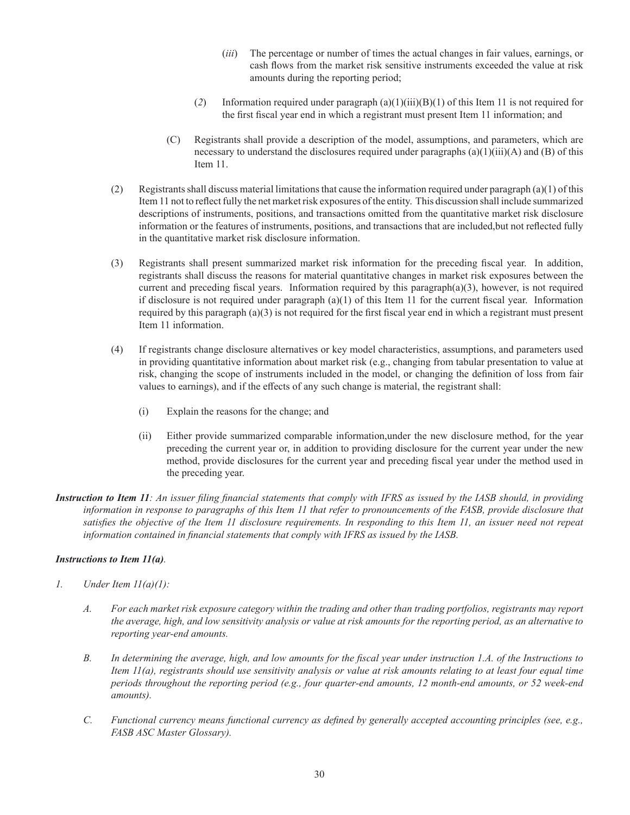- (*iii*) The percentage or number of times the actual changes in fair values, earnings, or cash flows from the market risk sensitive instruments exceeded the value at risk amounts during the reporting period;
- (*2*) Information required under paragraph (a)(1)(iii)(B)(1) of this Item 11 is not required for the first fiscal year end in which a registrant must present Item 11 information; and
- (C) Registrants shall provide a description of the model, assumptions, and parameters, which are necessary to understand the disclosures required under paragraphs  $(a)(1)(iii)(A)$  and  $(B)$  of this Item 11.
- (2) Registrants shall discuss material limitations that cause the information required under paragraph (a)(1) of this Item 11 not to reflect fully the net market risk exposures of the entity. This discussion shall include summarized descriptions of instruments, positions, and transactions omitted from the quantitative market risk disclosure information or the features of instruments, positions, and transactions that are included,but not reflected fully in the quantitative market risk disclosure information.
- (3) Registrants shall present summarized market risk information for the preceding fiscal year. In addition, registrants shall discuss the reasons for material quantitative changes in market risk exposures between the current and preceding fiscal years. Information required by this paragraph $(a)(3)$ , however, is not required if disclosure is not required under paragraph  $(a)(1)$  of this Item 11 for the current fiscal year. Information required by this paragraph  $(a)(3)$  is not required for the first fiscal year end in which a registrant must present Item 11 information.
- (4) If registrants change disclosure alternatives or key model characteristics, assumptions, and parameters used in providing quantitative information about market risk (e.g., changing from tabular presentation to value at risk, changing the scope of instruments included in the model, or changing the definition of loss from fair values to earnings), and if the effects of any such change is material, the registrant shall:
	- (i) Explain the reasons for the change; and
	- (ii) Either provide summarized comparable information,under the new disclosure method, for the year preceding the current year or, in addition to providing disclosure for the current year under the new method, provide disclosures for the current year and preceding fiscal year under the method used in the preceding year.
- **Instruction to Item 11***: An issuer filing financial statements that comply with IFRS as issued by the IASB should, in providing information in response to paragraphs of this Item 11 that refer to pronouncements of the FASB, provide disclosure that satisfies the objective of the Item 11 disclosure requirements. In responding to this Item 11, an issuer need not repeat information contained in financial statements that comply with IFRS as issued by the IASB.*

## *Instructions to Item 11(a).*

- *1. Under Item 11(a)(1):* 
	- *A. For each market risk exposure category within the trading and other than trading portfolios, registrants may report the average, high, and low sensitivity analysis or value at risk amounts for the reporting period, as an alternative to reporting year-end amounts.*
	- *B.* In determining the average, high, and low amounts for the fiscal year under instruction 1.A. of the Instructions to *Item 11(a), registrants should use sensitivity analysis or value at risk amounts relating to at least four equal time periods throughout the reporting period (e.g., four quarter-end amounts, 12 month-end amounts, or 52 week-end amounts).*
	- *C.* Functional currency means functional currency as defined by generally accepted accounting principles (see, e.g., *FASB ASC Master Glossary).*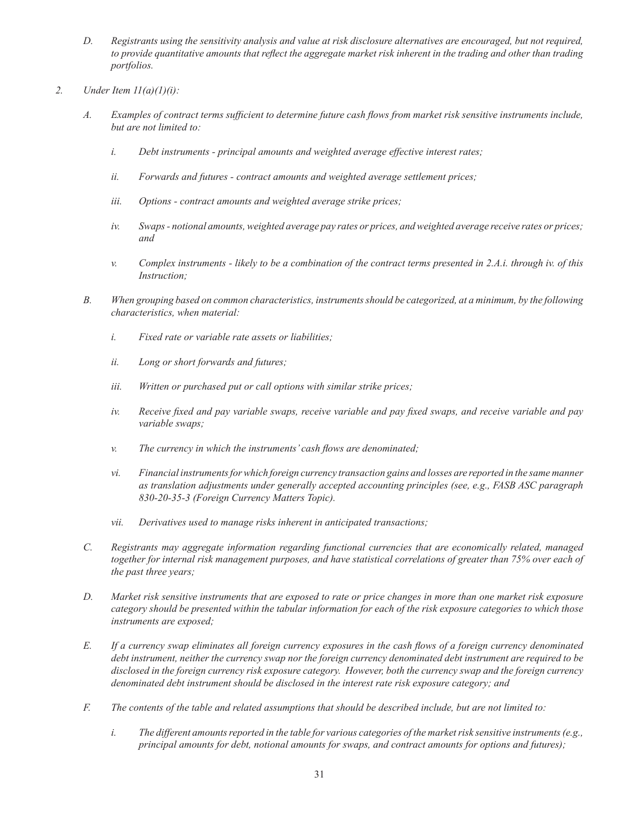- *D. Registrants using the sensitivity analysis and value at risk disclosure alternatives are encouraged, but not required, to provide quantitative amounts that reflect the aggregate market risk inherent in the trading and other than trading portfolios.*
- *2. Under Item 11(a)(1)(i):* 
	- A. Examples of contract terms sufficient to determine future cash flows from market risk sensitive instruments include, *but are not limited to:*
		- *i.* Debt instruments principal amounts and weighted average effective interest rates;
		- *ii. Forwards and futures contract amounts and weighted average settlement prices;*
		- *iii. Options contract amounts and weighted average strike prices;*
		- *iv. Swaps notional amounts, weighted average pay rates or prices, and weighted average receive rates or prices; and*
		- *v. Complex instruments likely to be a combination of the contract terms presented in 2.A.i. through iv. of this Instruction;*
	- *B. When grouping based on common characteristics, instruments should be categorized, at a minimum, by the following characteristics, when material:* 
		- *i. Fixed rate or variable rate assets or liabilities;*
		- *ii. Long or short forwards and futures;*
		- *iii. Written or purchased put or call options with similar strike prices;*
		- *iv.* Receive fixed and pay variable swaps, receive variable and pay fixed swaps, and receive variable and pay *variable swaps;*
		- *v.* The currency in which the instruments' cash flows are denominated;
		- *vi. Financial instruments for which foreign currency transaction gains and losses are reported in the same manner as translation adjustments under generally accepted accounting principles (see, e.g., FASB ASC paragraph 830-20-35-3 (Foreign Currency Matters Topic).*
		- *vii. Derivatives used to manage risks inherent in anticipated transactions;*
	- *C. Registrants may aggregate information regarding functional currencies that are economically related, managed*  together for internal risk management purposes, and have statistical correlations of greater than 75% over each of *the past three years;*
	- *D. Market risk sensitive instruments that are exposed to rate or price changes in more than one market risk exposure category should be presented within the tabular information for each of the risk exposure categories to which those instruments are exposed;*
	- *E.* If a currency swap eliminates all foreign currency exposures in the cash flows of a foreign currency denominated *debt instrument, neither the currency swap nor the foreign currency denominated debt instrument are required to be disclosed in the foreign currency risk exposure category. However, both the currency swap and the foreign currency denominated debt instrument should be disclosed in the interest rate risk exposure category; and*
	- *F. The contents of the table and related assumptions that should be described include, but are not limited to:*
		- *i. The diff erent amounts reported in the table for various categories of the market risk sensitive instruments (e.g., principal amounts for debt, notional amounts for swaps, and contract amounts for options and futures);*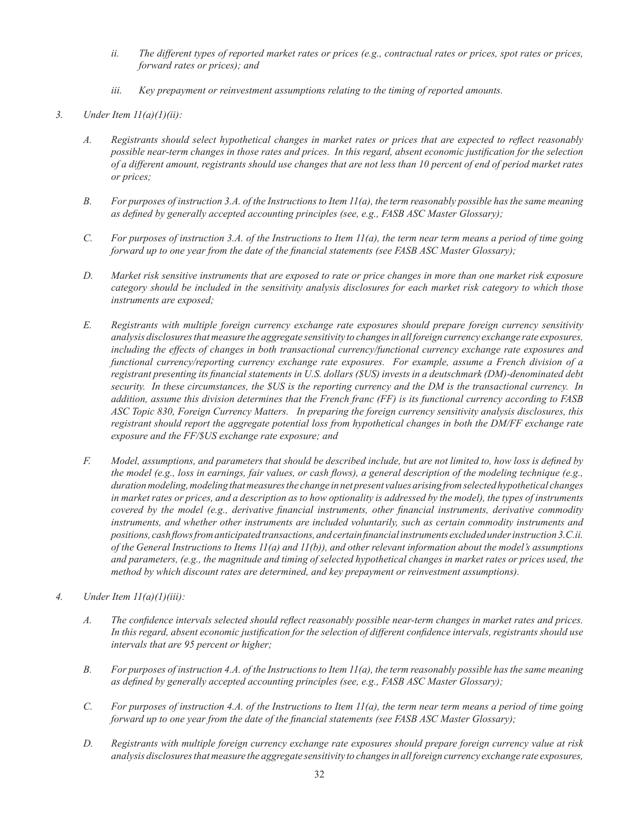- *ii. The diff erent types of reported market rates or prices (e.g., contractual rates or prices, spot rates or prices, forward rates or prices); and*
- *iii.* Key prepayment or reinvestment assumptions relating to the timing of reported amounts.
- *3. Under Item 11(a)(1)(ii):*
	- A. Registrants should select hypothetical changes in market rates or prices that are expected to reflect reasonably possible near-term changes in those rates and prices. In this regard, absent economic justification for the selection *of a diff erent amount, registrants should use changes that are not less than 10 percent of end of period market rates or prices;*
	- *B. For purposes of instruction 3.A. of the Instructions to Item 11(a), the term reasonably possible has the same meaning as defined by generally accepted accounting principles (see, e.g., FASB ASC Master Glossary);*
	- *C. For purposes of instruction 3.A. of the Instructions to Item 11(a), the term near term means a period of time going forward up to one year from the date of the financial statements (see FASB ASC Master Glossary);*
	- *D. Market risk sensitive instruments that are exposed to rate or price changes in more than one market risk exposure category should be included in the sensitivity analysis disclosures for each market risk category to which those instruments are exposed;*
	- *E. Registrants with multiple foreign currency exchange rate exposures should prepare foreign currency sensitivity analysis disclosures that measure the aggregate sensitivity to changes in all foreign currency exchange rate exposures, including the eff ects of changes in both transactional currency/functional currency exchange rate exposures and functional currency/reporting currency exchange rate exposures. For example, assume a French division of a registrant presenting its financial statements in U.S. dollars (\$US) invests in a deutschmark (DM)-denominated debt security. In these circumstances, the \$US is the reporting currency and the DM is the transactional currency. In addition, assume this division determines that the French franc (FF) is its functional currency according to FASB ASC Topic 830, Foreign Currency Matters. In preparing the foreign currency sensitivity analysis disclosures, this registrant should report the aggregate potential loss from hypothetical changes in both the DM/FF exchange rate exposure and the FF/\$US exchange rate exposure; and*
	- *F. Model, assumptions, and parameters that should be described include, but are not limited to, how loss is defined by the model (e.g., loss in earnings, fair values, or cash flows), a general description of the modeling technique (e.g., duration modeling, modeling that measures the change in net present values arising from selected hypothetical changes in market rates or prices, and a description as to how optionality is addressed by the model), the types of instruments covered by the model (e.g., derivative financial instruments, other financial instruments, derivative commodity instruments, and whether other instruments are included voluntarily, such as certain commodity instruments and positions, cash flows from anticipated transactions, and certain financial instruments excluded under instruction 3.C.ii. of the General Instructions to Items 11(a) and 11(b)), and other relevant information about the model's assumptions and parameters, (e.g., the magnitude and timing of selected hypothetical changes in market rates or prices used, the method by which discount rates are determined, and key prepayment or reinvestment assumptions).*
- *4. Under Item 11(a)(1)(iii):*
	- A. The confidence intervals selected should reflect reasonably possible near-term changes in market rates and prices. In this regard, absent economic justification for the selection of different confidence intervals, registrants should use *intervals that are 95 percent or higher;*
	- *B. For purposes of instruction 4.A. of the Instructions to Item 11(a), the term reasonably possible has the same meaning as defi ned by generally accepted accounting principles (see, e.g., FASB ASC Master Glossary);*
	- *C. For purposes of instruction 4.A. of the Instructions to Item 11(a), the term near term means a period of time going forward up to one year from the date of the financial statements (see FASB ASC Master Glossary);*
	- *D. Registrants with multiple foreign currency exchange rate exposures should prepare foreign currency value at risk analysis disclosures that measure the aggregate sensitivity to changes in all foreign currency exchange rate exposures,*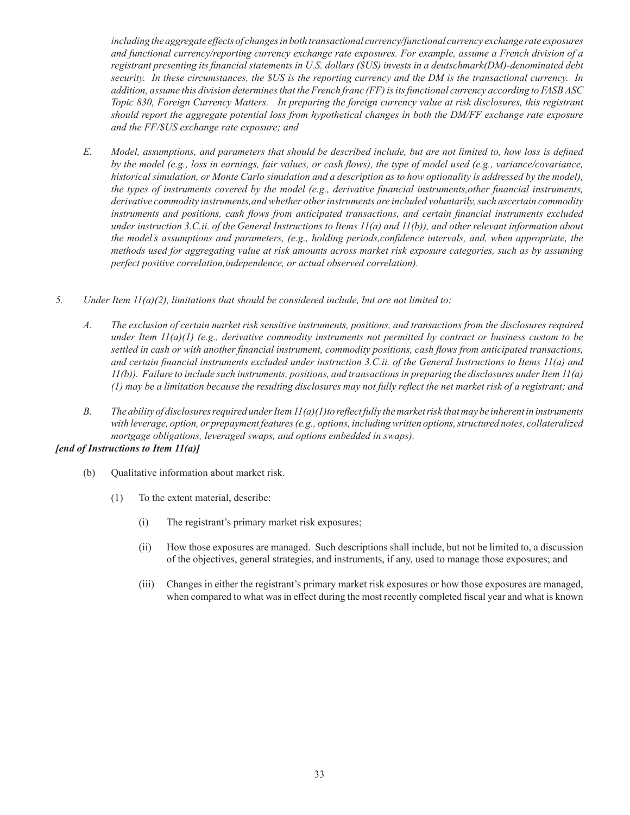*including the aggregate eff ects of changes in both transactional currency/functional currency exchange rate exposures and functional currency/reporting currency exchange rate exposures. For example, assume a French division of a registrant presenting its financial statements in U.S. dollars (\$US) invests in a deutschmark(DM)-denominated debt security. In these circumstances, the \$US is the reporting currency and the DM is the transactional currency. In addition, assume this division determines that the French franc (FF) is its functional currency according to FASB ASC Topic 830, Foreign Currency Matters. In preparing the foreign currency value at risk disclosures, this registrant should report the aggregate potential loss from hypothetical changes in both the DM/FF exchange rate exposure and the FF/\$US exchange rate exposure; and*

- *E.* Model, assumptions, and parameters that should be described include, but are not limited to, how loss is defined *by the model (e.g., loss in earnings, fair values, or cash flows), the type of model used (e.g., variance/covariance, historical simulation, or Monte Carlo simulation and a description as to how optionality is addressed by the model), the types of instruments covered by the model (e.g., derivative financial instruments, other financial instruments,* derivative commodity instruments, and whether other instruments are included voluntarily, such ascertain commodity *instruments and positions, cash flows from anticipated transactions, and certain financial instruments excluded under instruction 3.C.ii. of the General Instructions to Items 11(a) and 11(b)), and other relevant information about the model's assumptions and parameters, (e.g., holding periods,confidence intervals, and, when appropriate, the methods used for aggregating value at risk amounts across market risk exposure categories, such as by assuming perfect positive correlation,independence, or actual observed correlation).*
- *5. Under Item 11(a)(2), limitations that should be considered include, but are not limited to:* 
	- *A. The exclusion of certain market risk sensitive instruments, positions, and transactions from the disclosures required under Item 11(a)(1) (e.g., derivative commodity instruments not permitted by contract or business custom to be*  settled in cash or with another financial instrument, commodity positions, cash flows from anticipated transactions, and certain financial instruments excluded under instruction 3.C.ii. of the General Instructions to Items 11(a) and *11(b)). Failure to include such instruments, positions, and transactions in preparing the disclosures under Item 11(a)* (1) may be a limitation because the resulting disclosures may not fully reflect the net market risk of a registrant; and
	- *B.* The ability of disclosures required under Item  $II(a)(1)$  to reflect fully the market risk that may be inherent in instruments *with leverage, option, or prepayment features (e.g., options, including written options, structured notes, collateralized mortgage obligations, leveraged swaps, and options embedded in swaps).*

## *[end of Instructions to Item 11(a)]*

- (b) Qualitative information about market risk.
	- (1) To the extent material, describe:
		- (i) The registrant's primary market risk exposures;
		- (ii) How those exposures are managed. Such descriptions shall include, but not be limited to, a discussion of the objectives, general strategies, and instruments, if any, used to manage those exposures; and
		- (iii) Changes in either the registrant's primary market risk exposures or how those exposures are managed, when compared to what was in effect during the most recently completed fiscal year and what is known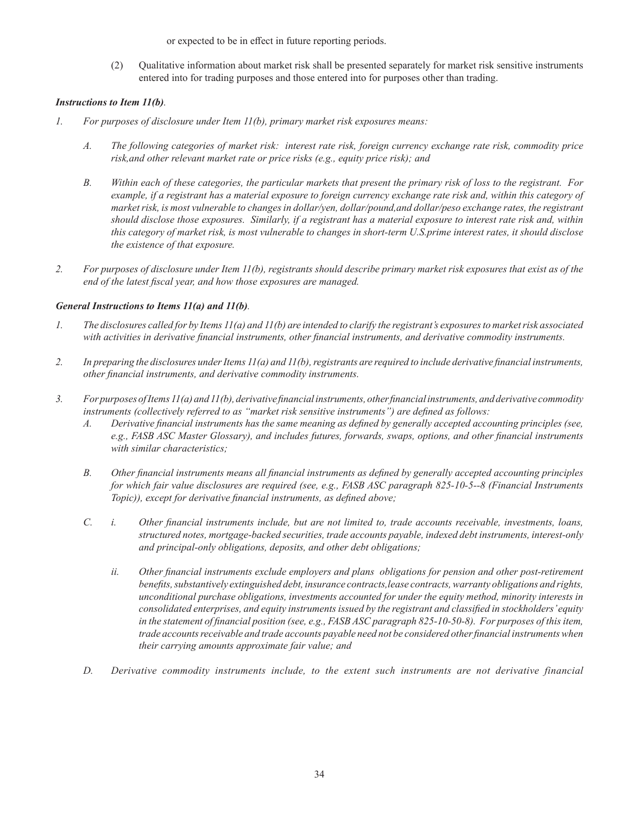or expected to be in effect in future reporting periods.

(2) Qualitative information about market risk shall be presented separately for market risk sensitive instruments entered into for trading purposes and those entered into for purposes other than trading.

## *Instructions to Item 11(b).*

- *1. For purposes of disclosure under Item 11(b), primary market risk exposures means:* 
	- *A. The following categories of market risk: interest rate risk, foreign currency exchange rate risk, commodity price risk,and other relevant market rate or price risks (e.g., equity price risk); and*
	- *B. Within each of these categories, the particular markets that present the primary risk of loss to the registrant. For example, if a registrant has a material exposure to foreign currency exchange rate risk and, within this category of market risk, is most vulnerable to changes in dollar/yen, dollar/pound,and dollar/peso exchange rates, the registrant should disclose those exposures. Similarly, if a registrant has a material exposure to interest rate risk and, within this category of market risk, is most vulnerable to changes in short-term U.S.prime interest rates, it should disclose the existence of that exposure.*
- *2. For purposes of disclosure under Item 11(b), registrants should describe primary market risk exposures that exist as of the*  end of the latest fiscal year, and how those exposures are managed.

## *General Instructions to Items 11(a) and 11(b).*

- *1. The disclosures called for by Items 11(a) and 11(b) are intended to clarify the registrant's exposures to market risk associated*  with activities in derivative financial instruments, other financial instruments, and derivative commodity instruments.
- 2. In preparing the disclosures under Items 11(a) and 11(b), registrants are required to include derivative financial instruments, *other financial instruments, and derivative commodity instruments.*
- 3. For purposes of Items 11(a) and 11(b), derivative financial instruments, other financial instruments, and derivative commodity *instruments (collectively referred to as "market risk sensitive instruments") are defined as follows:* 
	- A. Derivative financial instruments has the same meaning as defined by generally accepted accounting principles (see, e.g., FASB ASC Master Glossary), and includes futures, forwards, swaps, options, and other financial instruments *with similar characteristics;*
	- *B.* Other financial instruments means all financial instruments as defined by generally accepted accounting principles *for which fair value disclosures are required (see, e.g., FASB ASC paragraph 825-10-5--8 (Financial Instruments Topic)), except for derivative financial instruments, as defined above;*
	- *C. i. Other financial instruments include, but are not limited to, trade accounts receivable, investments, loans, structured notes, mortgage-backed securities, trade accounts payable, indexed debt instruments, interest-only and principal-only obligations, deposits, and other debt obligations;* 
		- *ii.* Other financial instruments exclude employers and plans obligations for pension and other post-retirement *benefits, substantively extinguished debt, insurance contracts, lease contracts, warranty obligations and rights, unconditional purchase obligations, investments accounted for under the equity method, minority interests in consolidated enterprises, and equity instruments issued by the registrant and classified in stockholders' equity in the statement of financial position (see, e.g., FASB ASC paragraph 825-10-50-8). For purposes of this item, trade accounts receivable and trade accounts payable need not be considered other financial instruments when their carrying amounts approximate fair value; and*
	- *D. Derivative commodity instruments include, to the extent such instruments are not derivative financial*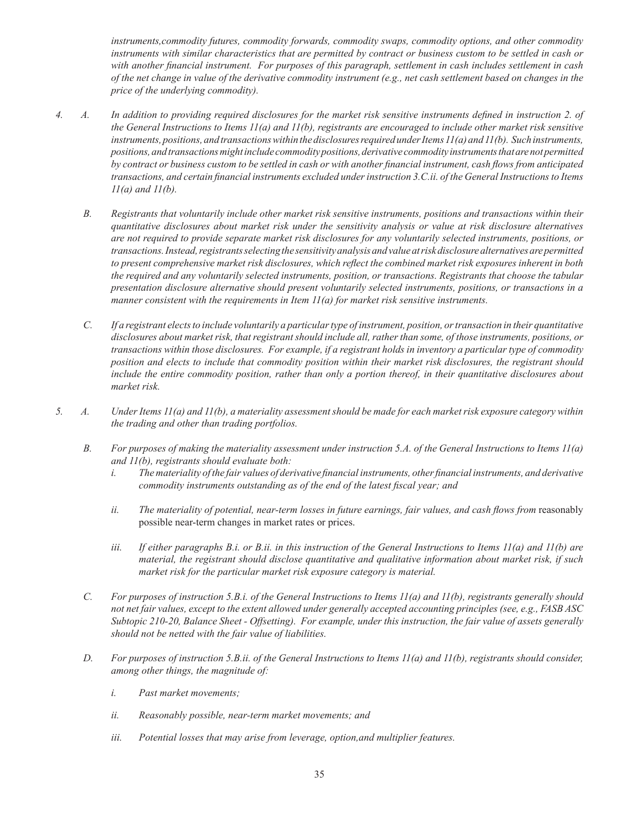*instruments,commodity futures, commodity forwards, commodity swaps, commodity options, and other commodity instruments with similar characteristics that are permitted by contract or business custom to be settled in cash or with another financial instrument. For purposes of this paragraph, settlement in cash includes settlement in cash of the net change in value of the derivative commodity instrument (e.g., net cash settlement based on changes in the price of the underlying commodity).* 

- *4. A. In addition to providing required disclosures for the market risk sensitive instruments defined in instruction 2. of the General Instructions to Items 11(a) and 11(b), registrants are encouraged to include other market risk sensitive instruments, positions, and transactions within the disclosures required under Items 11(a) and 11(b). Such instruments, positions, and transactions might include commodity positions, derivative commodity instruments that are not permitted by contract or business custom to be settled in cash or with another financial instrument, cash flows from anticipated* transactions, and certain financial instruments excluded under instruction 3.C.ii. of the General Instructions to Items *11(a) and 11(b).*
	- *B. Registrants that voluntarily include other market risk sensitive instruments, positions and transactions within their quantitative disclosures about market risk under the sensitivity analysis or value at risk disclosure alternatives are not required to provide separate market risk disclosures for any voluntarily selected instruments, positions, or transactions. Instead, registrants selecting the sensitivity analysis and value at risk disclosure alternatives are permitted*  to present comprehensive market risk disclosures, which reflect the combined market risk exposures inherent in both *the required and any voluntarily selected instruments, position, or transactions. Registrants that choose the tabular presentation disclosure alternative should present voluntarily selected instruments, positions, or transactions in a manner consistent with the requirements in Item 11(a) for market risk sensitive instruments.*
	- *C. If a registrant elects to include voluntarily a particular type of instrument, position, or transaction in their quantitative disclosures about market risk, that registrant should include all, rather than some, of those instruments, positions, or transactions within those disclosures. For example, if a registrant holds in inventory a particular type of commodity position and elects to include that commodity position within their market risk disclosures, the registrant should include the entire commodity position, rather than only a portion thereof, in their quantitative disclosures about market risk.*
- *5. A. Under Items 11(a) and 11(b), a materiality assessment should be made for each market risk exposure category within the trading and other than trading portfolios.* 
	- *B. For purposes of making the materiality assessment under instruction 5.A. of the General Instructions to Items 11(a) and 11(b), registrants should evaluate both:*
		- *i.* The materiality of the fair values of derivative financial instruments, other financial instruments, and derivative *commodity instruments outstanding as of the end of the latest fiscal year; and*
		- *ii.* The materiality of potential, near-term losses in future earnings, fair values, and cash flows from reasonably possible near-term changes in market rates or prices.
		- *iii. If either paragraphs B.i. or B.ii. in this instruction of the General Instructions to Items 11(a) and 11(b) are material, the registrant should disclose quantitative and qualitative information about market risk, if such market risk for the particular market risk exposure category is material.*
	- *C. For purposes of instruction 5.B.i. of the General Instructions to Items 11(a) and 11(b), registrants generally should not net fair values, except to the extent allowed under generally accepted accounting principles (see, e.g., FASB ASC Subtopic 210-20, Balance Sheet - Off setting). For example, under this instruction, the fair value of assets generally should not be netted with the fair value of liabilities.*
	- *D. For purposes of instruction 5.B.ii. of the General Instructions to Items 11(a) and 11(b), registrants should consider, among other things, the magnitude of:*
		- *i. Past market movements;*
		- *ii. Reasonably possible, near-term market movements; and*
		- *iii. Potential losses that may arise from leverage, option,and multiplier features.*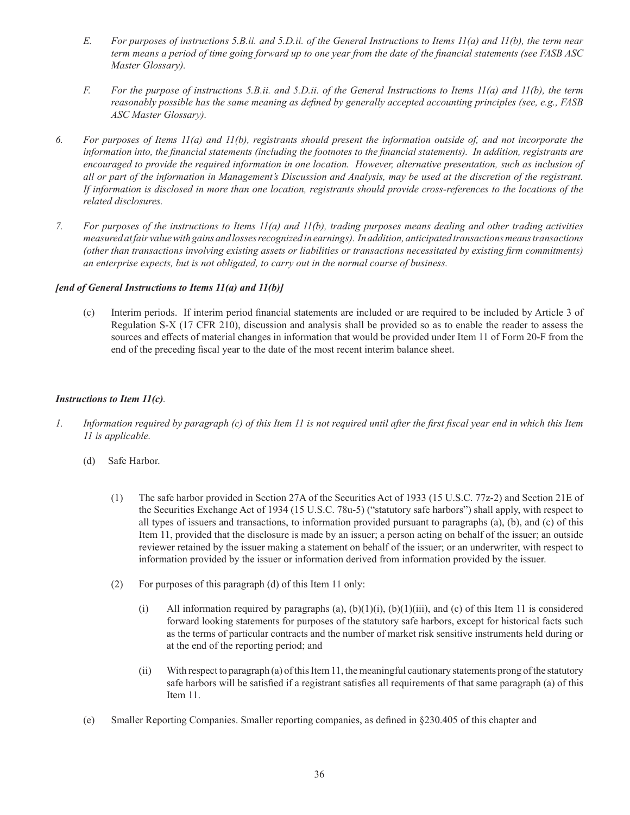- *E. For purposes of instructions 5.B.ii. and 5.D.ii. of the General Instructions to Items 11(a) and 11(b), the term near term means a period of time going forward up to one year from the date of the financial statements (see FASB ASC Master Glossary).*
- *F. For the purpose of instructions 5.B.ii. and 5.D.ii. of the General Instructions to Items 11(a) and 11(b), the term reasonably possible has the same meaning as defined by generally accepted accounting principles (see, e.g., FASB ASC Master Glossary).*
- *6. For purposes of Items 11(a) and 11(b), registrants should present the information outside of, and not incorporate the information into, the financial statements (including the footnotes to the financial statements). In addition, registrants are encouraged to provide the required information in one location. However, alternative presentation, such as inclusion of all or part of the information in Management's Discussion and Analysis, may be used at the discretion of the registrant. If information is disclosed in more than one location, registrants should provide cross-references to the locations of the related disclosures.*
- *7. For purposes of the instructions to Items 11(a) and 11(b), trading purposes means dealing and other trading activities measured at fair value with gains and losses recognized in earnings). In addition, anticipated transactions means transactions (other than transactions involving existing assets or liabilities or transactions necessitated by existing firm commitments) an enterprise expects, but is not obligated, to carry out in the normal course of business.*

## *[end of General Instructions to Items 11(a) and 11(b)]*

(c) Interim periods. If interim period financial statements are included or are required to be included by Article 3 of Regulation S-X (17 CFR 210), discussion and analysis shall be provided so as to enable the reader to assess the sources and effects of material changes in information that would be provided under Item 11 of Form 20-F from the end of the preceding fiscal year to the date of the most recent interim balance sheet.

### *Instructions to Item 11(c).*

- *1.* Information required by paragraph (c) of this Item 11 is not required until after the first fiscal year end in which this Item *11 is applicable.* 
	- (d) Safe Harbor.
		- (1) The safe harbor provided in Section 27A of the Securities Act of 1933 (15 U.S.C. 77z-2) and Section 21E of the Securities Exchange Act of 1934 (15 U.S.C. 78u-5) ("statutory safe harbors") shall apply, with respect to all types of issuers and transactions, to information provided pursuant to paragraphs (a), (b), and (c) of this Item 11, provided that the disclosure is made by an issuer; a person acting on behalf of the issuer; an outside reviewer retained by the issuer making a statement on behalf of the issuer; or an underwriter, with respect to information provided by the issuer or information derived from information provided by the issuer.
		- (2) For purposes of this paragraph (d) of this Item 11 only:
			- (i) All information required by paragraphs (a),  $(b)(1)(i)$ ,  $(b)(1)(iii)$ , and (c) of this Item 11 is considered forward looking statements for purposes of the statutory safe harbors, except for historical facts such as the terms of particular contracts and the number of market risk sensitive instruments held during or at the end of the reporting period; and
			- (ii) With respect to paragraph (a) of this Item 11, the meaningful cautionary statements prong of the statutory safe harbors will be satisfied if a registrant satisfies all requirements of that same paragraph (a) of this Item 11.
	- (e) Smaller Reporting Companies. Smaller reporting companies, as defined in  $\S230.405$  of this chapter and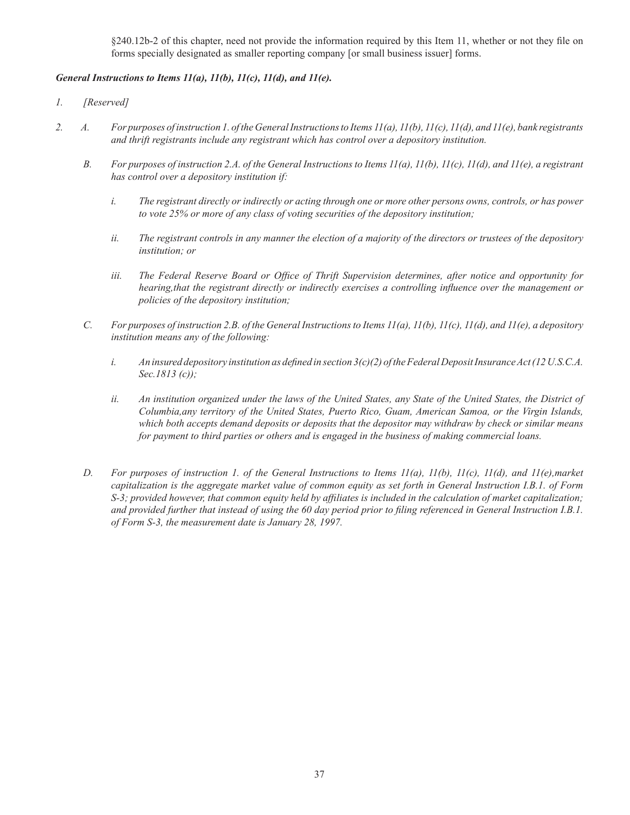$§240.12b-2$  of this chapter, need not provide the information required by this Item 11, whether or not they file on forms specially designated as smaller reporting company [or small business issuer] forms.

## *General Instructions to Items 11(a), 11(b), 11(c), 11(d), and 11(e).*

- *1. [Reserved]*
- *2. A. For purposes of instruction 1. of the General Instructions to Items 11(a), 11(b), 11(c), 11(d), and 11(e), bank registrants and thrift registrants include any registrant which has control over a depository institution.* 
	- *B. For purposes of instruction 2.A. of the General Instructions to Items 11(a), 11(b), 11(c), 11(d), and 11(e), a registrant has control over a depository institution if:*
		- *i. The registrant directly or indirectly or acting through one or more other persons owns, controls, or has power to vote 25% or more of any class of voting securities of the depository institution;*
		- *ii. The registrant controls in any manner the election of a majority of the directors or trustees of the depository institution; or*
		- *iii.* The Federal Reserve Board or Office of Thrift Supervision determines, after notice and opportunity for *hearing, that the registrant directly or indirectly exercises a controlling influence over the management or policies of the depository institution;*
	- *C. For purposes of instruction 2.B. of the General Instructions to Items 11(a), 11(b), 11(c), 11(d), and 11(e), a depository institution means any of the following:*
		- *i. An insured depository institution as defined in section 3(c)(2) of the Federal Deposit Insurance Act (12 U.S.C.A. Sec.1813 (c));*
		- *ii. An institution organized under the laws of the United States, any State of the United States, the District of Columbia,any territory of the United States, Puerto Rico, Guam, American Samoa, or the Virgin Islands, which both accepts demand deposits or deposits that the depositor may withdraw by check or similar means for payment to third parties or others and is engaged in the business of making commercial loans.*
	- *D. For purposes of instruction 1. of the General Instructions to Items 11(a), 11(b), 11(c), 11(d), and 11(e),market capitalization is the aggregate market value of common equity as set forth in General Instruction I.B.1. of Form S-3; provided however, that common equity held by affi liates is included in the calculation of market capitalization;*  and provided further that instead of using the 60 day period prior to filing referenced in General Instruction I.B.1. *of Form S-3, the measurement date is January 28, 1997.*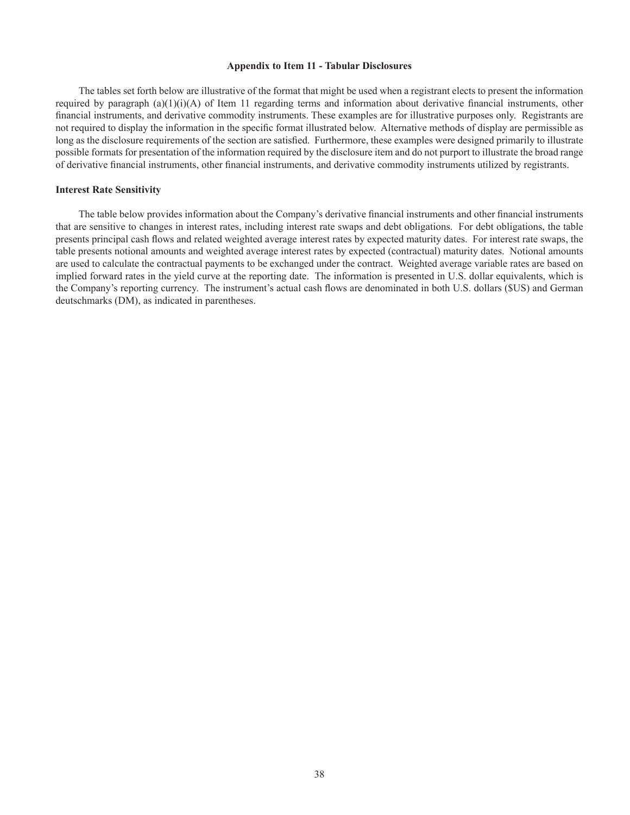#### **Appendix to Item 11 - Tabular Disclosures**

 The tables set forth below are illustrative of the format that might be used when a registrant elects to present the information required by paragraph  $(a)(1)(i)(A)$  of Item 11 regarding terms and information about derivative financial instruments, other financial instruments, and derivative commodity instruments. These examples are for illustrative purposes only. Registrants are not required to display the information in the specific format illustrated below. Alternative methods of display are permissible as long as the disclosure requirements of the section are satisfied. Furthermore, these examples were designed primarily to illustrate possible formats for presentation of the information required by the disclosure item and do not purport to illustrate the broad range of derivative financial instruments, other financial instruments, and derivative commodity instruments utilized by registrants.

#### **Interest Rate Sensitivity**

The table below provides information about the Company's derivative financial instruments and other financial instruments that are sensitive to changes in interest rates, including interest rate swaps and debt obligations. For debt obligations, the table presents principal cash flows and related weighted average interest rates by expected maturity dates. For interest rate swaps, the table presents notional amounts and weighted average interest rates by expected (contractual) maturity dates. Notional amounts are used to calculate the contractual payments to be exchanged under the contract. Weighted average variable rates are based on implied forward rates in the yield curve at the reporting date. The information is presented in U.S. dollar equivalents, which is the Company's reporting currency. The instrument's actual cash flows are denominated in both U.S. dollars (\$US) and German deutschmarks (DM), as indicated in parentheses.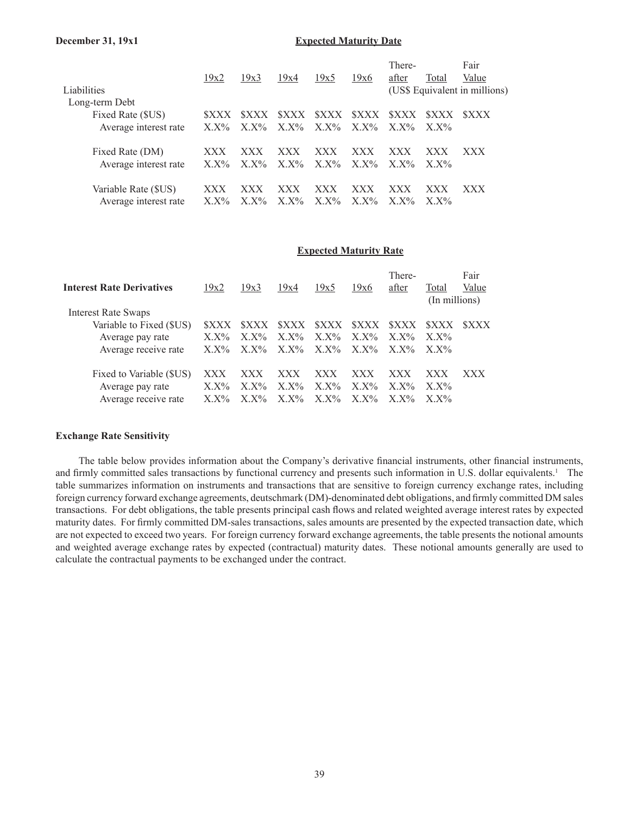#### **December 31, 19x1** Expected Maturity Date

|                       |             |             |         |             |         | There-      |         | Fair                          |
|-----------------------|-------------|-------------|---------|-------------|---------|-------------|---------|-------------------------------|
|                       | 19x2        | 19x3        | 19x4    | 19x5        | 19x6    | after       | Total   | Value                         |
| Liabilities           |             |             |         |             |         |             |         | (US\$ Equivalent in millions) |
| Long-term Debt        |             |             |         |             |         |             |         |                               |
| Fixed Rate (\$US)     | <b>SXXX</b> | <b>SXXX</b> |         | \$XXX \$XXX |         | \$XXX \$XXX | SXXX    | <b>SXXX</b>                   |
| Average interest rate | $X.X\%$     | $X.X\%$     | $X.X\%$ | $X.X\%$     | $X.X\%$ | $X.X\%$     | $X X\%$ |                               |
|                       |             |             |         |             |         |             |         |                               |
| Fixed Rate (DM)       | XXX         | <b>XXX</b>  | XXX     | XXX         | XXX     | XXX         | XXX     | XXX                           |
| Average interest rate | $X X\%$     | $X.X\%$     | $X.X\%$ | $X.X\%$     | $X.X\%$ | $X.X\%$     | $X X\%$ |                               |
|                       |             |             |         |             |         |             |         |                               |
| Variable Rate (\$US)  | XXX         | xхx         | xxx     | XXX         | XXX     | X X X       | XXX     | xxx                           |
| Average interest rate | $X X\%$     | $X.X\%$     | $X.X\%$ | $X.X\%$     | $X.X\%$ | $X.X\%$     | $X.X\%$ |                               |

## **Expected Maturity Rate**

| <b>Interest Rate Derivatives</b> | 19x2        | 19x3    | 19x4                          | 19x5            | 19x6    | There-<br>after | Total         | Fair<br>Value |
|----------------------------------|-------------|---------|-------------------------------|-----------------|---------|-----------------|---------------|---------------|
|                                  |             |         |                               |                 |         |                 | (In millions) |               |
| <b>Interest Rate Swaps</b>       |             |         |                               |                 |         |                 |               |               |
| Variable to Fixed (\$US)         | <b>SXXX</b> |         | \$XXX \$XXX \$XXX \$XXX \$XXX |                 |         |                 | SXXX SXXX     |               |
| Average pay rate                 | $X.X\%$     | $X.X\%$ | $X.X\%$                       | $X.X\%$         | $X.X\%$ | $X.X\%$         | $X.X\%$       |               |
| Average receive rate             | $X X\%$     | $X.X\%$ | $X.X\%$                       | $X.X\%$ $X.X\%$ |         | $X.X\%$         | $X.X\%$       |               |
| Fixed to Variable (\$US)         | XXX         |         | XXX                           | XXX             | XXX     | XXX             |               | xxx           |
|                                  | $X.X\%$     | $X.X\%$ | $X.X\%$                       | $X.X\%$         | $X.X\%$ | $X X\%$         | $X.X\%$       |               |
| Average pay rate                 |             |         |                               |                 |         |                 |               |               |
| Average receive rate             | $X X\%$     | $X.X\%$ | $X.X\%$                       | $X.X\%$         | $X.X\%$ | $X X\%$         | $X X\%$       |               |

### **Exchange Rate Sensitivity**

The table below provides information about the Company's derivative financial instruments, other financial instruments, and firmly committed sales transactions by functional currency and presents such information in U.S. dollar equivalents.<sup>1</sup> The table summarizes information on instruments and transactions that are sensitive to foreign currency exchange rates, including foreign currency forward exchange agreements, deutschmark (DM)-denominated debt obligations, and firmly committed DM sales transactions. For debt obligations, the table presents principal cash flows and related weighted average interest rates by expected maturity dates. For firmly committed DM-sales transactions, sales amounts are presented by the expected transaction date, which are not expected to exceed two years. For foreign currency forward exchange agreements, the table presents the notional amounts and weighted average exchange rates by expected (contractual) maturity dates. These notional amounts generally are used to calculate the contractual payments to be exchanged under the contract.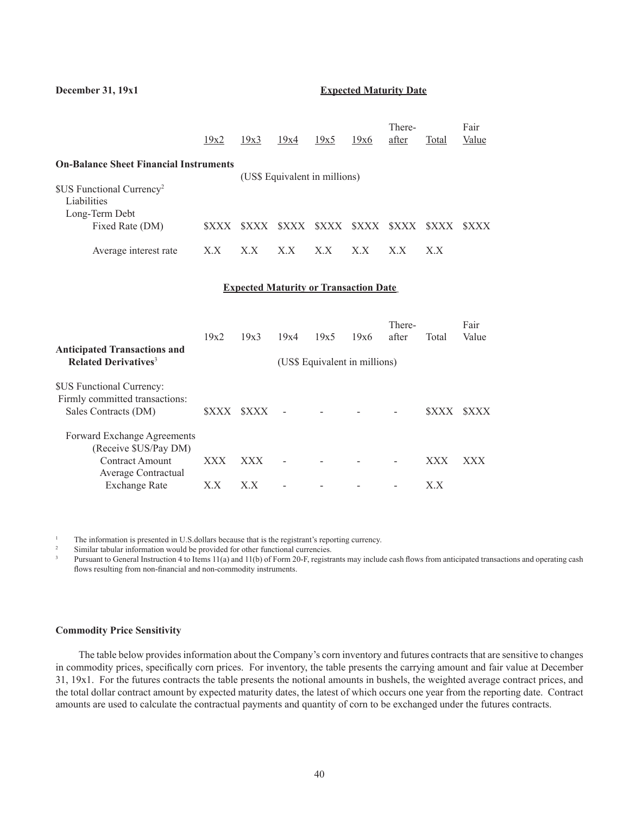| December 31, 19x1                                                                                     |             |             |      |                                              |                          | <b>Expected Maturity Date</b> |             |                    |
|-------------------------------------------------------------------------------------------------------|-------------|-------------|------|----------------------------------------------|--------------------------|-------------------------------|-------------|--------------------|
|                                                                                                       | 19x2        | 19x3        | 19x4 | 19x5                                         | 19x6                     | There-<br>after               | Total       | Fair<br>Value      |
| <b>On-Balance Sheet Financial Instruments</b>                                                         |             |             |      |                                              |                          |                               |             |                    |
| \$US Functional Currency <sup>2</sup><br>Liabilities                                                  |             |             |      | (US\$ Equivalent in millions)                |                          |                               |             |                    |
| Long-Term Debt<br>Fixed Rate (DM)                                                                     | <b>SXXX</b> |             |      |                                              |                          | \$XXX \$XXX \$XXX \$XXX \$XXX | <b>SXXX</b> | <b>SXXX</b>        |
| Average interest rate                                                                                 | X.X         | X.X         | X.X  | X.X                                          | X.X                      | X.X                           | X.X         |                    |
|                                                                                                       |             |             |      | <b>Expected Maturity or Transaction Date</b> |                          |                               |             |                    |
| <b>Anticipated Transactions and</b>                                                                   | 19x2        | 19x3        | 19x4 | 19x5                                         | 19x6                     | There-<br>after               | Total       | Fair<br>Value      |
| Related Derivatives <sup>3</sup>                                                                      |             |             |      | (US\$ Equivalent in millions)                |                          |                               |             |                    |
| \$US Functional Currency:<br>Firmly committed transactions:<br>Sales Contracts (DM)                   |             | \$XXX \$XXX |      |                                              |                          |                               | <b>SXXX</b> | <b><i>SXXX</i></b> |
| Forward Exchange Agreements<br>(Receive \$US/Pay DM)<br><b>Contract Amount</b><br>Average Contractual | XXX         | <b>XXX</b>  |      |                                              |                          |                               | XXX         | XXX                |
| <b>Exchange Rate</b>                                                                                  | X.X         | X.X         |      | $\overline{\phantom{a}}$                     | $\overline{\phantom{a}}$ | $\overline{\phantom{a}}$      | X.X         |                    |

1 The information is presented in U.S.dollars because that is the registrant's reporting currency.

 $\overline{2}$ Similar tabular information would be provided for other functional currencies.

3 Pursuant to General Instruction 4 to Items 11(a) and 11(b) of Form 20-F, registrants may include cash flows from anticipated transactions and operating cash flows resulting from non-financial and non-commodity instruments.

#### **Commodity Price Sensitivity**

 The table below provides information about the Company's corn inventory and futures contracts that are sensitive to changes in commodity prices, specifically corn prices. For inventory, the table presents the carrying amount and fair value at December 31, 19x1. For the futures contracts the table presents the notional amounts in bushels, the weighted average contract prices, and the total dollar contract amount by expected maturity dates, the latest of which occurs one year from the reporting date. Contract amounts are used to calculate the contractual payments and quantity of corn to be exchanged under the futures contracts.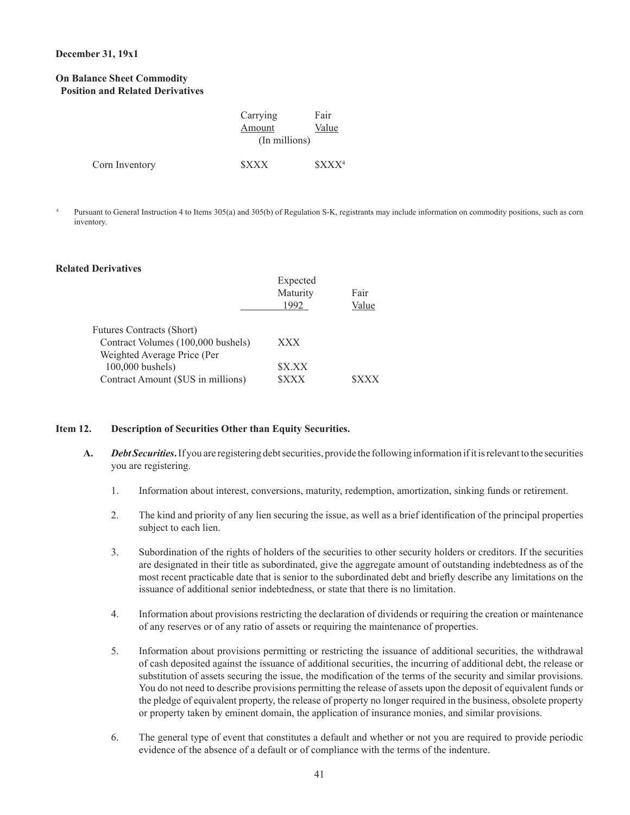### **December 31, 19x1**

## **On Balance Sheet Commodity Position and Related Derivatives**

|                | Carrying      | Fair               |  |
|----------------|---------------|--------------------|--|
|                | Amount        | Value              |  |
|                | (In millions) |                    |  |
| Corn Inventory | <b>SXXX</b>   | \$XXX <sup>4</sup> |  |

Pursuant to General Instruction 4 to Items 305(a) and 305(b) of Regulation S-K, registrants may include information on commodity positions, such as corn inventory.

#### **Related Derivatives**

|                                    | Expected    |       |
|------------------------------------|-------------|-------|
|                                    | Maturity    | Fair  |
|                                    | 1992        | Value |
| Futures Contracts (Short)          |             |       |
| Contract Volumes (100,000 bushels) | XXX         |       |
| Weighted Average Price (Per        |             |       |
| $100,000$ bushels)                 | \$X.XX      |       |
| Contract Amount (\$US in millions) | <b>SXXX</b> |       |

#### **Item 12. Description of Securities Other than Equity Securities.**

- A. Debt Securities. If you are registering debt securities, provide the following information if it is relevant to the securities you are registering.
	- 1. Information about interest, conversions, maturity, redemption, amortization, sinking funds or retirement.
	- 2. The kind and priority of any lien securing the issue, as well as a brief identification of the principal properties subject to each lien.
	- 3. Subordination of the rights of holders of the securities to other security holders or creditors. If the securities are designated in their title as subordinated, give the aggregate amount of outstanding indebtedness as of the most recent practicable date that is senior to the subordinated debt and briefly describe any limitations on the issuance of additional senior indebtedness, or state that there is no limitation.
	- 4. Information about provisions restricting the declaration of dividends or requiring the creation or maintenance of any reserves or of any ratio of assets or requiring the maintenance of properties.
	- 5. Information about provisions permitting or restricting the issuance of additional securities, the withdrawal of cash deposited against the issuance of additional securities, the incurring of additional debt, the release or substitution of assets securing the issue, the modification of the terms of the security and similar provisions. You do not need to describe provisions permitting the release of assets upon the deposit of equivalent funds or the pledge of equivalent property, the release of property no longer required in the business, obsolete property or property taken by eminent domain, the application of insurance monies, and similar provisions.
	- 6. The general type of event that constitutes a default and whether or not you are required to provide periodic evidence of the absence of a default or of compliance with the terms of the indenture.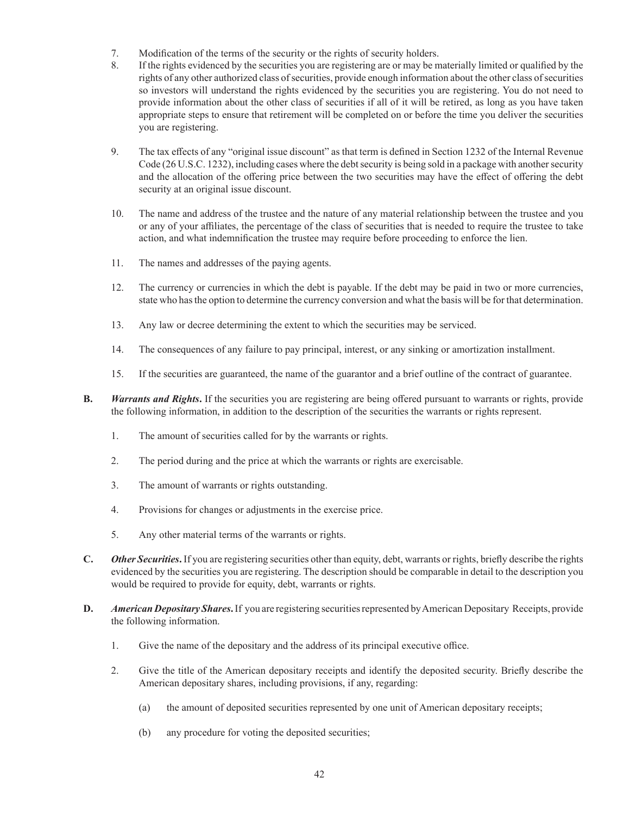- 7. Modification of the terms of the security or the rights of security holders.
- 8. If the rights evidenced by the securities you are registering are or may be materially limited or qualified by the rights of any other authorized class of securities, provide enough information about the other class of securities so investors will understand the rights evidenced by the securities you are registering. You do not need to provide information about the other class of securities if all of it will be retired, as long as you have taken appropriate steps to ensure that retirement will be completed on or before the time you deliver the securities you are registering.
- 9. The tax effects of any "original issue discount" as that term is defined in Section 1232 of the Internal Revenue Code (26 U.S.C. 1232), including cases where the debt security is being sold in a package with another security and the allocation of the offering price between the two securities may have the effect of offering the debt security at an original issue discount.
- 10. The name and address of the trustee and the nature of any material relationship between the trustee and you or any of your affiliates, the percentage of the class of securities that is needed to require the trustee to take action, and what indemnification the trustee may require before proceeding to enforce the lien.
- 11. The names and addresses of the paying agents.
- 12. The currency or currencies in which the debt is payable. If the debt may be paid in two or more currencies, state who has the option to determine the currency conversion and what the basis will be for that determination.
- 13. Any law or decree determining the extent to which the securities may be serviced.
- 14. The consequences of any failure to pay principal, interest, or any sinking or amortization installment.
- 15. If the securities are guaranteed, the name of the guarantor and a brief outline of the contract of guarantee.
- **B.** *Warrants and Rights*. If the securities you are registering are being offered pursuant to warrants or rights, provide the following information, in addition to the description of the securities the warrants or rights represent.
	- 1. The amount of securities called for by the warrants or rights.
	- 2. The period during and the price at which the warrants or rights are exercisable.
	- 3. The amount of warrants or rights outstanding.
	- 4. Provisions for changes or adjustments in the exercise price.
	- 5. Any other material terms of the warrants or rights.
- **C.** Other Securities. If you are registering securities other than equity, debt, warrants or rights, briefly describe the rights evidenced by the securities you are registering. The description should be comparable in detail to the description you would be required to provide for equity, debt, warrants or rights.
- **D.** *American Depositary Shares***.** If you are registering securities represented by American Depositary Receipts, provide the following information.
	- 1. Give the name of the depositary and the address of its principal executive office.
	- 2. Give the title of the American depositary receipts and identify the deposited security. Briefly describe the American depositary shares, including provisions, if any, regarding:
		- (a) the amount of deposited securities represented by one unit of American depositary receipts;
		- (b) any procedure for voting the deposited securities;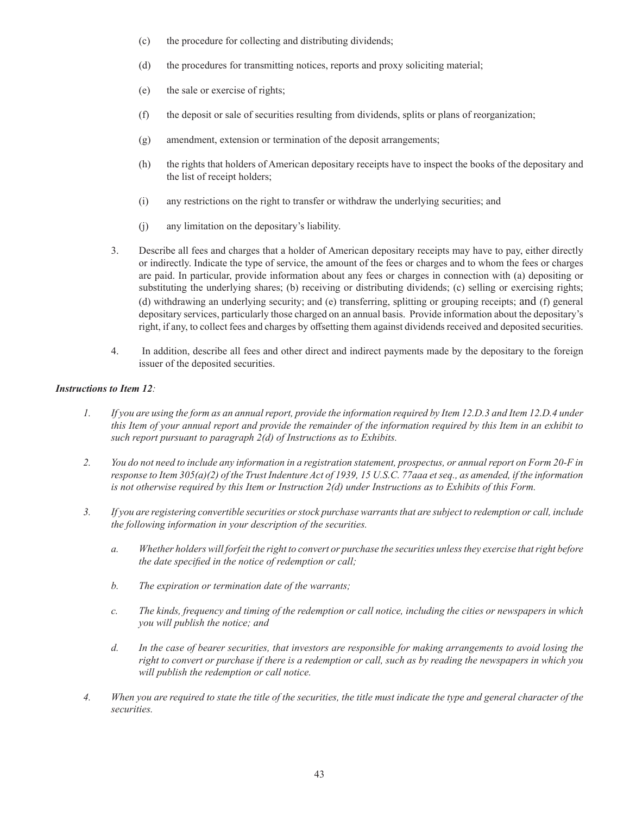- (c) the procedure for collecting and distributing dividends;
- (d) the procedures for transmitting notices, reports and proxy soliciting material;
- (e) the sale or exercise of rights;
- (f) the deposit or sale of securities resulting from dividends, splits or plans of reorganization;
- (g) amendment, extension or termination of the deposit arrangements;
- (h) the rights that holders of American depositary receipts have to inspect the books of the depositary and the list of receipt holders;
- (i) any restrictions on the right to transfer or withdraw the underlying securities; and
- (j) any limitation on the depositary's liability.
- 3. Describe all fees and charges that a holder of American depositary receipts may have to pay, either directly or indirectly. Indicate the type of service, the amount of the fees or charges and to whom the fees or charges are paid. In particular, provide information about any fees or charges in connection with (a) depositing or substituting the underlying shares; (b) receiving or distributing dividends; (c) selling or exercising rights; (d) withdrawing an underlying security; and (e) transferring, splitting or grouping receipts; and (f) general depositary services, particularly those charged on an annual basis. Provide information about the depositary's right, if any, to collect fees and charges by offsetting them against dividends received and deposited securities.
- 4. In addition, describe all fees and other direct and indirect payments made by the depositary to the foreign issuer of the deposited securities.

## *Instructions to Item 12:*

- *1. If you are using the form as an annual report, provide the information required by Item 12.D.3 and Item 12.D.4 under this Item of your annual report and provide the remainder of the information required by this Item in an exhibit to such report pursuant to paragraph 2(d) of Instructions as to Exhibits.*
- *2. You do not need to include any information in a registration statement, prospectus, or annual report on Form 20-F in response to Item 305(a)(2) of the Trust Indenture Act of 1939, 15 U.S.C. 77aaa et seq., as amended, if the information is not otherwise required by this Item or Instruction 2(d) under Instructions as to Exhibits of this Form.*
- *3. If you are registering convertible securities or stock purchase warrants that are subject to redemption or call, include the following information in your description of the securities.*
	- *a. Whether holders will forfeit the right to convert or purchase the securities unless they exercise that right before the date specified in the notice of redemption or call;*
	- *b. The expiration or termination date of the warrants;*
	- *c. The kinds, frequency and timing of the redemption or call notice, including the cities or newspapers in which you will publish the notice; and*
	- *d. In the case of bearer securities, that investors are responsible for making arrangements to avoid losing the right to convert or purchase if there is a redemption or call, such as by reading the newspapers in which you will publish the redemption or call notice.*
- *4. When you are required to state the title of the securities, the title must indicate the type and general character of the securities.*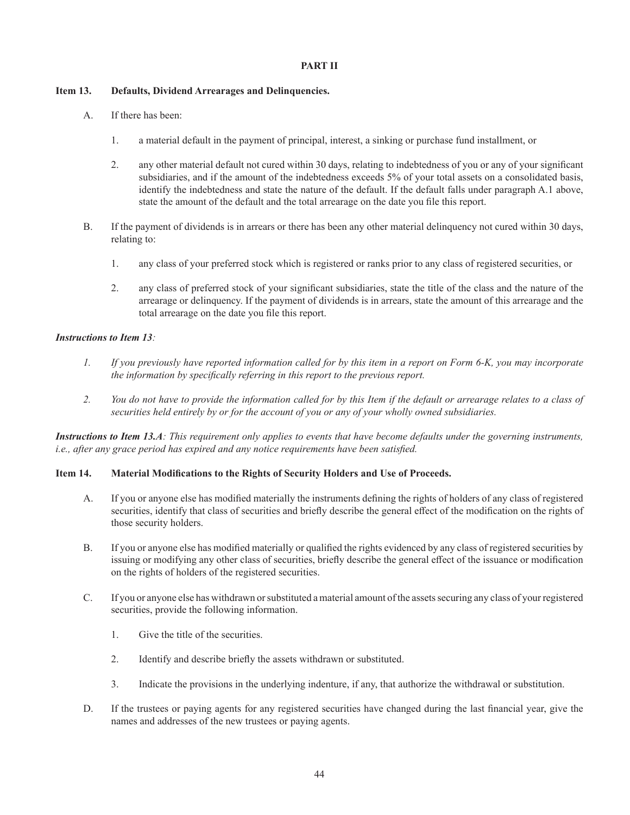### **PART II**

## **Item 13. Defaults, Dividend Arrearages and Delinquencies.**

- A. If there has been:
	- 1. a material default in the payment of principal, interest, a sinking or purchase fund installment, or
	- 2. any other material default not cured within 30 days, relating to indebtedness of you or any of your significant subsidiaries, and if the amount of the indebtedness exceeds 5% of your total assets on a consolidated basis, identify the indebtedness and state the nature of the default. If the default falls under paragraph A.1 above, state the amount of the default and the total arrearage on the date you file this report.
- B. If the payment of dividends is in arrears or there has been any other material delinquency not cured within 30 days, relating to:
	- 1. any class of your preferred stock which is registered or ranks prior to any class of registered securities, or
	- 2. any class of preferred stock of your significant subsidiaries, state the title of the class and the nature of the arrearage or delinquency. If the payment of dividends is in arrears, state the amount of this arrearage and the total arrearage on the date you file this report.

## *Instructions to Item 13:*

- *1. If you previously have reported information called for by this item in a report on Form 6-K, you may incorporate the information by specifically referring in this report to the previous report.*
- *2. You do not have to provide the information called for by this Item if the default or arrearage relates to a class of securities held entirely by or for the account of you or any of your wholly owned subsidiaries.*

*Instructions to Item 13.A: This requirement only applies to events that have become defaults under the governing instruments, i.e., after any grace period has expired and any notice requirements have been satisfied.* 

#### Item 14. Material Modifications to the Rights of Security Holders and Use of Proceeds.

- A. If you or anyone else has modified materially the instruments defining the rights of holders of any class of registered securities, identify that class of securities and briefly describe the general effect of the modification on the rights of those security holders.
- B. If you or anyone else has modified materially or qualified the rights evidenced by any class of registered securities by issuing or modifying any other class of securities, briefly describe the general effect of the issuance or modification on the rights of holders of the registered securities.
- C. If you or anyone else has withdrawn or substituted a material amount of the assets securing any class of your registered securities, provide the following information.
	- 1. Give the title of the securities.
	- 2. Identify and describe briefly the assets withdrawn or substituted.
	- 3. Indicate the provisions in the underlying indenture, if any, that authorize the withdrawal or substitution.
- D. If the trustees or paying agents for any registered securities have changed during the last financial year, give the names and addresses of the new trustees or paying agents.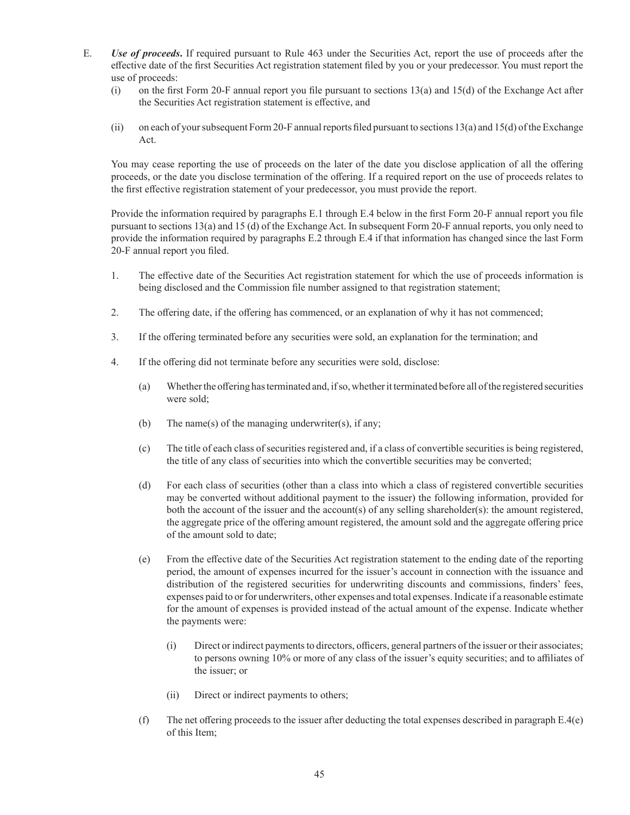- E. *Use of proceeds***.** If required pursuant to Rule 463 under the Securities Act, report the use of proceeds after the effective date of the first Securities Act registration statement filed by you or your predecessor. You must report the use of proceeds:
	- (i) on the first Form 20-F annual report you file pursuant to sections  $13(a)$  and  $15(d)$  of the Exchange Act after the Securities Act registration statement is effective, and
	- (ii) on each of your subsequent Form 20-F annual reports filed pursuant to sections 13(a) and 15(d) of the Exchange Act.

You may cease reporting the use of proceeds on the later of the date you disclose application of all the offering proceeds, or the date you disclose termination of the offering. If a required report on the use of proceeds relates to the first effective registration statement of your predecessor, you must provide the report.

Provide the information required by paragraphs E.1 through E.4 below in the first Form 20-F annual report you file pursuant to sections 13(a) and 15 (d) of the Exchange Act. In subsequent Form 20-F annual reports, you only need to provide the information required by paragraphs E.2 through E.4 if that information has changed since the last Form 20-F annual report you filed.

- 1. The effective date of the Securities Act registration statement for which the use of proceeds information is being disclosed and the Commission file number assigned to that registration statement;
- 2. The offering date, if the offering has commenced, or an explanation of why it has not commenced;
- 3. If the offering terminated before any securities were sold, an explanation for the termination; and
- 4. If the offering did not terminate before any securities were sold, disclose:
	- (a) Whether the off ering has terminated and, if so, whether it terminated before all of the registered securities were sold;
	- (b) The name(s) of the managing underwriter(s), if any;
	- (c) The title of each class of securities registered and, if a class of convertible securities is being registered, the title of any class of securities into which the convertible securities may be converted;
	- (d) For each class of securities (other than a class into which a class of registered convertible securities may be converted without additional payment to the issuer) the following information, provided for both the account of the issuer and the account(s) of any selling shareholder(s): the amount registered, the aggregate price of the offering amount registered, the amount sold and the aggregate offering price of the amount sold to date;
	- (e) From the eff ective date of the Securities Act registration statement to the ending date of the reporting period, the amount of expenses incurred for the issuer's account in connection with the issuance and distribution of the registered securities for underwriting discounts and commissions, finders' fees, expenses paid to or for underwriters, other expenses and total expenses. Indicate if a reasonable estimate for the amount of expenses is provided instead of the actual amount of the expense. Indicate whether the payments were:
		- (i) Direct or indirect payments to directors, officers, general partners of the issuer or their associates; to persons owning 10% or more of any class of the issuer's equity securities; and to affiliates of the issuer; or
		- (ii) Direct or indirect payments to others;
	- (f) The net offering proceeds to the issuer after deducting the total expenses described in paragraph  $E.4(e)$ of this Item;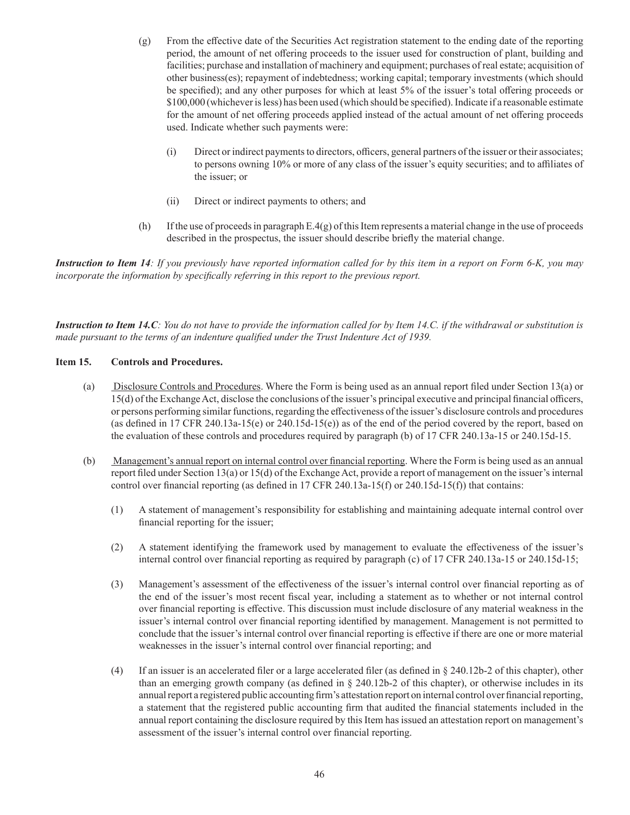- $(g)$  From the effective date of the Securities Act registration statement to the ending date of the reporting period, the amount of net offering proceeds to the issuer used for construction of plant, building and facilities; purchase and installation of machinery and equipment; purchases of real estate; acquisition of other business(es); repayment of indebtedness; working capital; temporary investments (which should be specified); and any other purposes for which at least 5% of the issuer's total offering proceeds or \$100,000 (whichever is less) has been used (which should be specified). Indicate if a reasonable estimate for the amount of net offering proceeds applied instead of the actual amount of net offering proceeds used. Indicate whether such payments were:
	- (i) Direct or indirect payments to directors, officers, general partners of the issuer or their associates; to persons owning 10% or more of any class of the issuer's equity securities; and to affiliates of the issuer; or
	- (ii) Direct or indirect payments to others; and
- (h) If the use of proceeds in paragraph  $E.4(g)$  of this Item represents a material change in the use of proceeds described in the prospectus, the issuer should describe briefly the material change.

*Instruction to Item 14: If you previously have reported information called for by this item in a report on Form 6-K, you may incorporate the information by specifically referring in this report to the previous report.* 

*Instruction to Item 14.C: You do not have to provide the information called for by Item 14.C. if the withdrawal or substitution is made pursuant to the terms of an indenture qualified under the Trust Indenture Act of 1939.* 

### **Item 15. Controls and Procedures.**

- (a) Disclosure Controls and Procedures. Where the Form is being used as an annual report fi led under Section 13(a) or 15(d) of the Exchange Act, disclose the conclusions of the issuer's principal executive and principal financial officers, or persons performing similar functions, regarding the effectiveness of the issuer's disclosure controls and procedures (as defined in 17 CFR 240.13a-15(e) or 240.15d-15(e)) as of the end of the period covered by the report, based on the evaluation of these controls and procedures required by paragraph (b) of 17 CFR 240.13a-15 or 240.15d-15.
- (b) Management's annual report on internal control over financial reporting. Where the Form is being used as an annual report filed under Section 13(a) or 15(d) of the Exchange Act, provide a report of management on the issuer's internal control over financial reporting (as defined in 17 CFR 240.13a-15(f) or 240.15d-15(f)) that contains:
	- (1) A statement of management's responsibility for establishing and maintaining adequate internal control over financial reporting for the issuer;
	- (2) A statement identifying the framework used by management to evaluate the effectiveness of the issuer's internal control over financial reporting as required by paragraph (c) of 17 CFR 240.13a-15 or 240.15d-15;
	- (3) Management's assessment of the effectiveness of the issuer's internal control over financial reporting as of the end of the issuer's most recent fiscal year, including a statement as to whether or not internal control over financial reporting is effective. This discussion must include disclosure of any material weakness in the issuer's internal control over financial reporting identified by management. Management is not permitted to conclude that the issuer's internal control over financial reporting is effective if there are one or more material weaknesses in the issuer's internal control over financial reporting; and
	- (4) If an issuer is an accelerated filer or a large accelerated filer (as defined in  $\S$  240.12b-2 of this chapter), other than an emerging growth company (as defined in  $\S$  240.12b-2 of this chapter), or otherwise includes in its annual report a registered public accounting firm's attestation report on internal control over financial reporting, a statement that the registered public accounting firm that audited the financial statements included in the annual report containing the disclosure required by this Item has issued an attestation report on management's assessment of the issuer's internal control over financial reporting.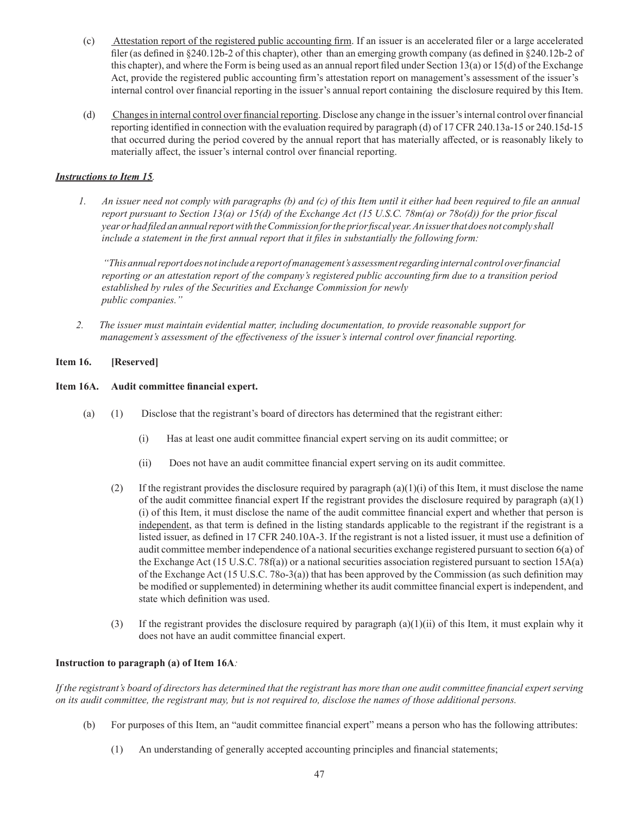- (c) Attestation report of the registered public accounting firm. If an issuer is an accelerated filer or a large accelerated filer (as defined in  $\S 240.12b-2$  of this chapter), other than an emerging growth company (as defined in  $\S 240.12b-2$  of this chapter), and where the Form is being used as an annual report filed under Section 13(a) or 15(d) of the Exchange Act, provide the registered public accounting firm's attestation report on management's assessment of the issuer's internal control over financial reporting in the issuer's annual report containing the disclosure required by this Item.
- (d) Changes in internal control over financial reporting. Disclose any change in the issuer's internal control over financial reporting identified in connection with the evaluation required by paragraph (d) of 17 CFR 240.13a-15 or 240.15d-15 that occurred during the period covered by the annual report that has materially affected, or is reasonably likely to materially affect, the issuer's internal control over financial reporting.

## *Instructions to Item 15.*

*1.* An issuer need not comply with paragraphs (b) and (c) of this Item until it either had been required to file an annual *report pursuant to Section 13(a) or 15(d) of the Exchange Act (15 U.S.C. 78m(a) or 78o(d)) for the prior fiscal year or had fi led an annual report with the Commission for the prior fi scal year. An issuer that does not comply shall include a statement in the first annual report that it files in substantially the following form:* 

*i* This annual report does not include a report of management's assessment regarding internal control over financial *reporting or an attestation report of the company's registered public accounting firm due to a transition period established by rules of the Securities and Exchange Commission for newly public companies."*

 *2. The issuer must maintain evidential matter, including documentation, to provide reasonable support for management's assessment of the effectiveness of the issuer's internal control over financial reporting.* 

## **Item 16. [Reserved]**

## Item 16A. Audit committee financial expert.

- (a) (1) Disclose that the registrant's board of directors has determined that the registrant either:
	- (i) Has at least one audit committee financial expert serving on its audit committee; or
	- (ii) Does not have an audit committee financial expert serving on its audit committee.
	- (2) If the registrant provides the disclosure required by paragraph  $(a)(1)(i)$  of this Item, it must disclose the name of the audit committee financial expert If the registrant provides the disclosure required by paragraph  $(a)(1)$ (i) of this Item, it must disclose the name of the audit committee financial expert and whether that person is independent, as that term is defined in the listing standards applicable to the registrant if the registrant is a listed issuer, as defined in 17 CFR 240.10A-3. If the registrant is not a listed issuer, it must use a definition of audit committee member independence of a national securities exchange registered pursuant to section 6(a) of the Exchange Act (15 U.S.C. 78f(a)) or a national securities association registered pursuant to section 15A(a) of the Exchange Act (15 U.S.C. 78o-3(a)) that has been approved by the Commission (as such definition may be modified or supplemented) in determining whether its audit committee financial expert is independent, and state which definition was used.
	- (3) If the registrant provides the disclosure required by paragraph  $(a)(1)(ii)$  of this Item, it must explain why it does not have an audit committee financial expert.

## **Instruction to paragraph (a) of Item 16A***:*

*If the registrant's board of directors has determined that the registrant has more than one audit committee financial expert serving on its audit committee, the registrant may, but is not required to, disclose the names of those additional persons.*

- (b) For purposes of this Item, an "audit committee financial expert" means a person who has the following attributes:
	- (1) An understanding of generally accepted accounting principles and financial statements;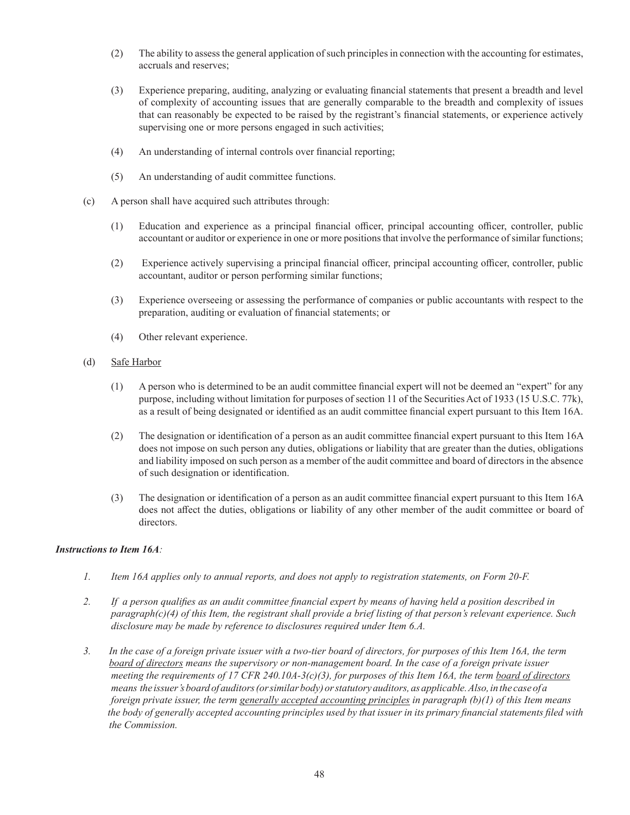- (2) The ability to assess the general application of such principles in connection with the accounting for estimates, accruals and reserves;
- (3) Experience preparing, auditing, analyzing or evaluating financial statements that present a breadth and level of complexity of accounting issues that are generally comparable to the breadth and complexity of issues that can reasonably be expected to be raised by the registrant's financial statements, or experience actively supervising one or more persons engaged in such activities;
- $(4)$  An understanding of internal controls over financial reporting;
- (5) An understanding of audit committee functions.
- (c) A person shall have acquired such attributes through:
	- (1) Education and experience as a principal financial officer, principal accounting officer, controller, public accountant or auditor or experience in one or more positions that involve the performance of similar functions;
	- (2) Experience actively supervising a principal financial officer, principal accounting officer, controller, public accountant, auditor or person performing similar functions;
	- (3) Experience overseeing or assessing the performance of companies or public accountants with respect to the preparation, auditing or evaluation of financial statements; or
	- (4) Other relevant experience.
- (d) Safe Harbor
	- (1) A person who is determined to be an audit committee financial expert will not be deemed an "expert" for any purpose, including without limitation for purposes of section 11 of the Securities Act of 1933 (15 U.S.C. 77k), as a result of being designated or identified as an audit committee financial expert pursuant to this Item 16A.
	- (2) The designation or identification of a person as an audit committee financial expert pursuant to this Item 16A does not impose on such person any duties, obligations or liability that are greater than the duties, obligations and liability imposed on such person as a member of the audit committee and board of directors in the absence of such designation or identification.
	- (3) The designation or identification of a person as an audit committee financial expert pursuant to this Item 16A does not affect the duties, obligations or liability of any other member of the audit committee or board of directors.

## *Instructions to Item 16A:*

- *1. Item 16A applies only to annual reports, and does not apply to registration statements, on Form 20-F.*
- 2. If a person qualifies as an audit committee financial expert by means of having held a position described in  *paragraph(c)(4) of this Item, the registrant shall provide a brief listing of that person's relevant experience. Such disclosure may be made by reference to disclosures required under Item 6.A.*
- *3. In the case of a foreign private issuer with a two-tier board of directors, for purposes of this Item 16A, the term board of directors means the supervisory or non-management board. In the case of a foreign private issuer meeting the requirements of 17 CFR 240.10A-3(c)(3), for purposes of this Item 16A, the term board of directors means the issuer's board of auditors (or similar body) or statutory auditors, as applicable. Also, in the case of a foreign private issuer, the term generally accepted accounting principles in paragraph (b)(1) of this Item means*  the body of generally accepted accounting principles used by that issuer in its primary financial statements filed with  *the Commission.*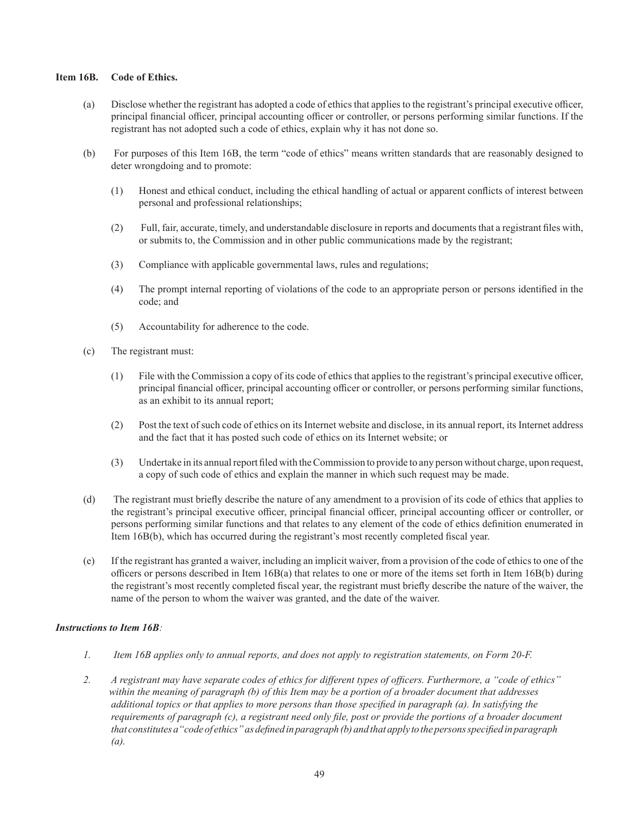## **Item 16B. Code of Ethics.**

- (a) Disclose whether the registrant has adopted a code of ethics that applies to the registrant's principal executive officer, principal financial officer, principal accounting officer or controller, or persons performing similar functions. If the registrant has not adopted such a code of ethics, explain why it has not done so.
- (b) For purposes of this Item 16B, the term "code of ethics" means written standards that are reasonably designed to deter wrongdoing and to promote:
	- (1) Honest and ethical conduct, including the ethical handling of actual or apparent conflicts of interest between personal and professional relationships;
	- (2) Full, fair, accurate, timely, and understandable disclosure in reports and documents that a registrant files with, or submits to, the Commission and in other public communications made by the registrant;
	- (3) Compliance with applicable governmental laws, rules and regulations;
	- (4) The prompt internal reporting of violations of the code to an appropriate person or persons identified in the code; and
	- (5) Accountability for adherence to the code.
- (c) The registrant must:
	- (1) File with the Commission a copy of its code of ethics that applies to the registrant's principal executive officer, principal financial officer, principal accounting officer or controller, or persons performing similar functions, as an exhibit to its annual report;
	- (2) Post the text of such code of ethics on its Internet website and disclose, in its annual report, its Internet address and the fact that it has posted such code of ethics on its Internet website; or
	- (3) Undertake in its annual report fi led with the Commission to provide to any person without charge, upon request, a copy of such code of ethics and explain the manner in which such request may be made.
- (d) The registrant must briefly describe the nature of any amendment to a provision of its code of ethics that applies to the registrant's principal executive officer, principal financial officer, principal accounting officer or controller, or persons performing similar functions and that relates to any element of the code of ethics definition enumerated in Item  $16B(b)$ , which has occurred during the registrant's most recently completed fiscal year.
- (e) If the registrant has granted a waiver, including an implicit waiver, from a provision of the code of ethics to one of the officers or persons described in Item  $16B(a)$  that relates to one or more of the items set forth in Item  $16B(b)$  during the registrant's most recently completed fiscal year, the registrant must briefly describe the nature of the waiver, the name of the person to whom the waiver was granted, and the date of the waiver.

## *Instructions to Item 16B:*

- *1. Item 16B applies only to annual reports, and does not apply to registration statements, on Form 20-F.*
- *2. A registrant may have separate codes of ethics for diff erent types of offi cers. Furthermore, a "code of ethics" within the meaning of paragraph (b) of this Item may be a portion of a broader document that addresses additional topics or that applies to more persons than those specified in paragraph (a). In satisfying the requirements of paragraph (c), a registrant need only file, post or provide the portions of a broader document that constitutes a "code of ethics" as defined in paragraph (b) and that apply to the persons specified in paragraph (a).*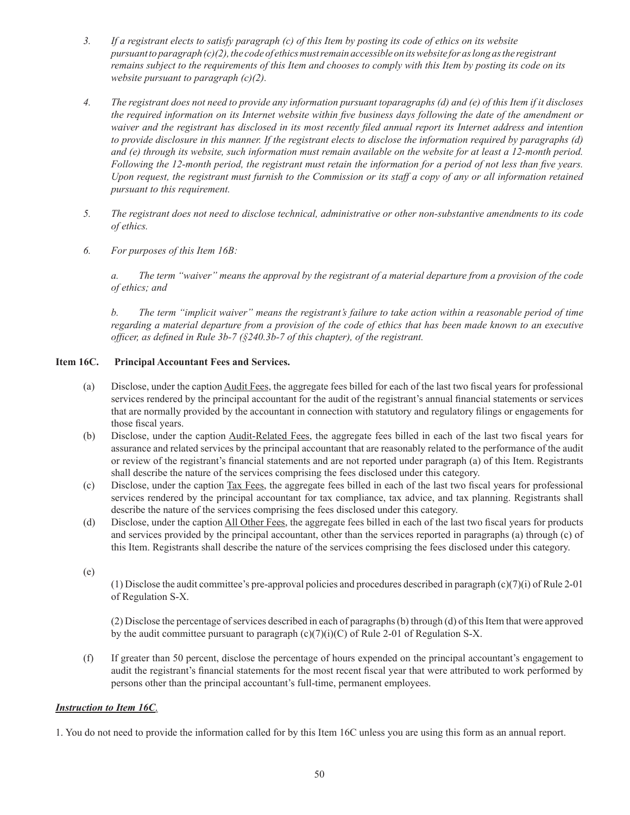- *3. If a registrant elects to satisfy paragraph (c) of this Item by posting its code of ethics on its website pursuant to paragraph (c)(2), the code of ethics must remain accessible on its website for as long as the registrant remains subject to the requirements of this Item and chooses to comply with this Item by posting its code on its website pursuant to paragraph (c)(2).*
- *4. The registrant does not need to provide any information pursuant toparagraphs (d) and (e) of this Item if it discloses the required information on its Internet website within five business days following the date of the amendment or waiver and the registrant has disclosed in its most recently filed annual report its Internet address and intention to provide disclosure in this manner. If the registrant elects to disclose the information required by paragraphs (d)*  and (e) through its website, such information must remain available on the website for at least a 12-month period. *Following the 12-month period, the registrant must retain the information for a period of not less than five years. Upon request, the registrant must furnish to the Commission or its staff a copy of any or all information retained pursuant to this requirement.*
- *5. The registrant does not need to disclose technical, administrative or other non-substantive amendments to its code of ethics.*
- *6. For purposes of this Item 16B:*

 *a. The term "waiver" means the approval by the registrant of a material departure from a provision of the code of ethics; and*

 *b. The term "implicit waiver" means the registrant's failure to take action within a reasonable period of time regarding a material departure from a provision of the code of ethics that has been made known to an executive officer, as defined in Rule 3b-7 (§240.3b-7 of this chapter), of the registrant.* 

## **Item 16C. Principal Accountant Fees and Services.**

- (a) Disclose, under the caption Audit Fees, the aggregate fees billed for each of the last two fiscal years for professional services rendered by the principal accountant for the audit of the registrant's annual financial statements or services that are normally provided by the accountant in connection with statutory and regulatory filings or engagements for those fiscal years.
- (b) Disclose, under the caption Audit-Related Fees, the aggregate fees billed in each of the last two fiscal years for assurance and related services by the principal accountant that are reasonably related to the performance of the audit or review of the registrant's financial statements and are not reported under paragraph (a) of this Item. Registrants shall describe the nature of the services comprising the fees disclosed under this category.
- (c) Disclose, under the caption  $Tax Fees$ , the aggregate fees billed in each of the last two fiscal years for professional services rendered by the principal accountant for tax compliance, tax advice, and tax planning. Registrants shall describe the nature of the services comprising the fees disclosed under this category.
- (d) Disclose, under the caption All Other Fees, the aggregate fees billed in each of the last two fiscal years for products and services provided by the principal accountant, other than the services reported in paragraphs (a) through (c) of this Item. Registrants shall describe the nature of the services comprising the fees disclosed under this category.
- (e)

(1) Disclose the audit committee's pre-approval policies and procedures described in paragraph  $(c)(7)(i)$  of Rule 2-01 of Regulation S-X.

 (2) Disclose the percentage of services described in each of paragraphs (b) through (d) of this Item that were approved by the audit committee pursuant to paragraph  $(c)(7)(i)(C)$  of Rule 2-01 of Regulation S-X.

(f) If greater than 50 percent, disclose the percentage of hours expended on the principal accountant's engagement to audit the registrant's financial statements for the most recent fiscal year that were attributed to work performed by persons other than the principal accountant's full-time, permanent employees.

## *Instruction to Item 16C*.

1. You do not need to provide the information called for by this Item 16C unless you are using this form as an annual report.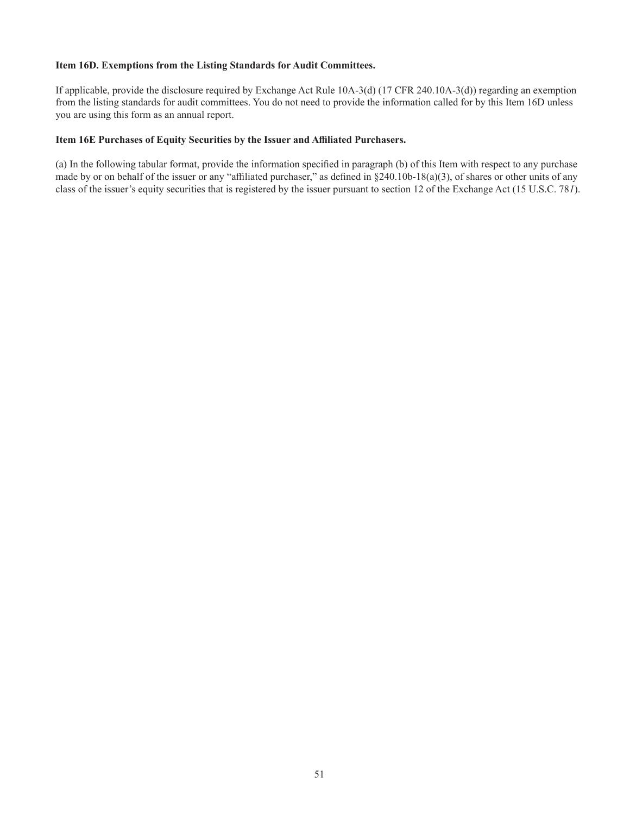## **Item 16D. Exemptions from the Listing Standards for Audit Committees.**

If applicable, provide the disclosure required by Exchange Act Rule 10A-3(d) (17 CFR 240.10A-3(d)) regarding an exemption from the listing standards for audit committees. You do not need to provide the information called for by this Item 16D unless you are using this form as an annual report.

## Item 16E Purchases of Equity Securities by the Issuer and Affiliated Purchasers.

(a) In the following tabular format, provide the information specified in paragraph (b) of this Item with respect to any purchase made by or on behalf of the issuer or any "affiliated purchaser," as defined in  $\S 240.10b-18(a)(3)$ , of shares or other units of any class of the issuer's equity securities that is registered by the issuer pursuant to section 12 of the Exchange Act (15 U.S.C. 78*1*).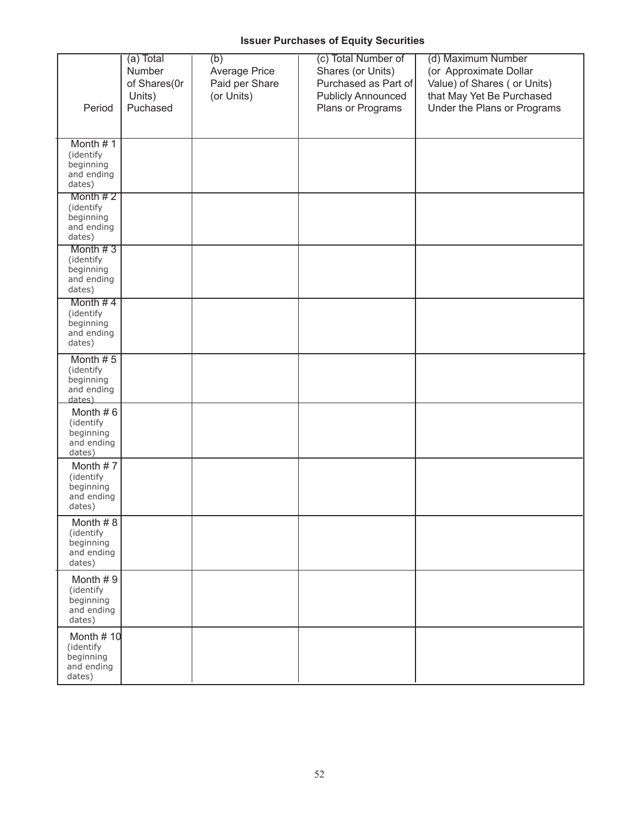## **Issuer Purchases of Equity Securities**

| Period                                                         | (a) Total<br>Number<br>of Shares(0r<br>Units)<br>Puchased | (b)<br>Average Price<br>Paid per Share<br>(or Units) | (c) Total Number of<br>Shares (or Units)<br>Purchased as Part of<br><b>Publicly Announced</b><br>Plans or Programs | (d) Maximum Number<br>(or Approximate Dollar<br>Value) of Shares ( or Units)<br>that May Yet Be Purchased<br>Under the Plans or Programs |
|----------------------------------------------------------------|-----------------------------------------------------------|------------------------------------------------------|--------------------------------------------------------------------------------------------------------------------|------------------------------------------------------------------------------------------------------------------------------------------|
|                                                                |                                                           |                                                      |                                                                                                                    |                                                                                                                                          |
| Month $# 1$<br>(identify<br>beginning<br>and ending<br>dates)  |                                                           |                                                      |                                                                                                                    |                                                                                                                                          |
| Month $#2$<br>(identify<br>beginning<br>and ending<br>dates)   |                                                           |                                                      |                                                                                                                    |                                                                                                                                          |
| Month $#3$<br>(identify<br>beginning<br>and ending<br>dates)   |                                                           |                                                      |                                                                                                                    |                                                                                                                                          |
| Month $#4$<br>(identify<br>beginning<br>and ending<br>dates)   |                                                           |                                                      |                                                                                                                    |                                                                                                                                          |
| Month $# 5$<br>(identify<br>beginning<br>and ending<br>dates)  |                                                           |                                                      |                                                                                                                    |                                                                                                                                          |
| Month #6<br>(identify<br>beginning<br>and ending<br>dates)     |                                                           |                                                      |                                                                                                                    |                                                                                                                                          |
| Month #7<br>(identify<br>beginning<br>and ending<br>dates)     |                                                           |                                                      |                                                                                                                    |                                                                                                                                          |
| Month #8<br>(identify<br>beginning<br>and ending<br>dates)     |                                                           |                                                      |                                                                                                                    |                                                                                                                                          |
| Month $# 9$<br>(identify<br>beginning<br>and ending<br>dates)  |                                                           |                                                      |                                                                                                                    |                                                                                                                                          |
| Month $# 10$<br>(identify<br>beginning<br>and ending<br>dates) |                                                           |                                                      |                                                                                                                    |                                                                                                                                          |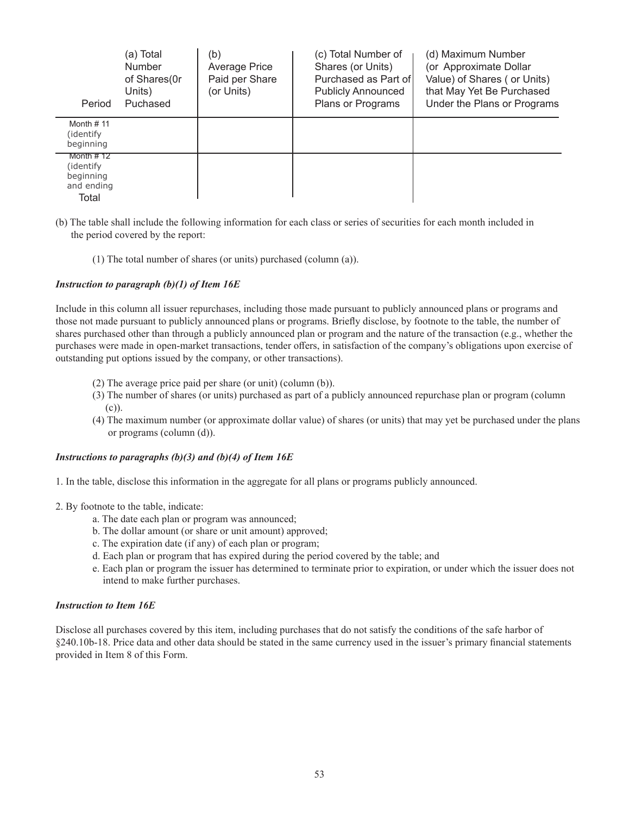| Period                                                        | (a) Total<br><b>Number</b><br>of Shares(0r<br>Units)<br>Puchased | (b)<br>Average Price<br>Paid per Share<br>(or Units) | (c) Total Number of<br>Shares (or Units)<br>Purchased as Part of<br><b>Publicly Announced</b><br>Plans or Programs | (d) Maximum Number<br>(or Approximate Dollar<br>Value) of Shares (or Units)<br>that May Yet Be Purchased<br>Under the Plans or Programs |
|---------------------------------------------------------------|------------------------------------------------------------------|------------------------------------------------------|--------------------------------------------------------------------------------------------------------------------|-----------------------------------------------------------------------------------------------------------------------------------------|
| Month $# 11$<br>(identify)<br>beginning                       |                                                                  |                                                      |                                                                                                                    |                                                                                                                                         |
| Month $#12$<br>(identify)<br>beginning<br>and ending<br>Total |                                                                  |                                                      |                                                                                                                    |                                                                                                                                         |

- (b) The table shall include the following information for each class or series of securities for each month included in the period covered by the report:
	- (1) The total number of shares (or units) purchased (column (a)).

## *Instruction to paragraph (b)(1) of Item 16E*

Include in this column all issuer repurchases, including those made pursuant to publicly announced plans or programs and those not made pursuant to publicly announced plans or programs. Briefly disclose, by footnote to the table, the number of shares purchased other than through a publicly announced plan or program and the nature of the transaction (e.g., whether the purchases were made in open-market transactions, tender offers, in satisfaction of the company's obligations upon exercise of outstanding put options issued by the company, or other transactions).

- (2) The average price paid per share (or unit) (column (b)).
- (3) The number of shares (or units) purchased as part of a publicly announced repurchase plan or program (column (c)).
- (4) The maximum number (or approximate dollar value) of shares (or units) that may yet be purchased under the plans or programs (column (d)).

## *Instructions to paragraphs (b)(3) and (b)(4) of Item 16E*

1. In the table, disclose this information in the aggregate for all plans or programs publicly announced.

- 2. By footnote to the table, indicate:
	- a. The date each plan or program was announced;
	- b. The dollar amount (or share or unit amount) approved;
	- c. The expiration date (if any) of each plan or program;
	- d. Each plan or program that has expired during the period covered by the table; and
	- e. Each plan or program the issuer has determined to terminate prior to expiration, or under which the issuer does not intend to make further purchases.

#### *Instruction to Item 16E*

Disclose all purchases covered by this item, including purchases that do not satisfy the conditions of the safe harbor of §240.10b-18. Price data and other data should be stated in the same currency used in the issuer's primary financial statements provided in Item 8 of this Form.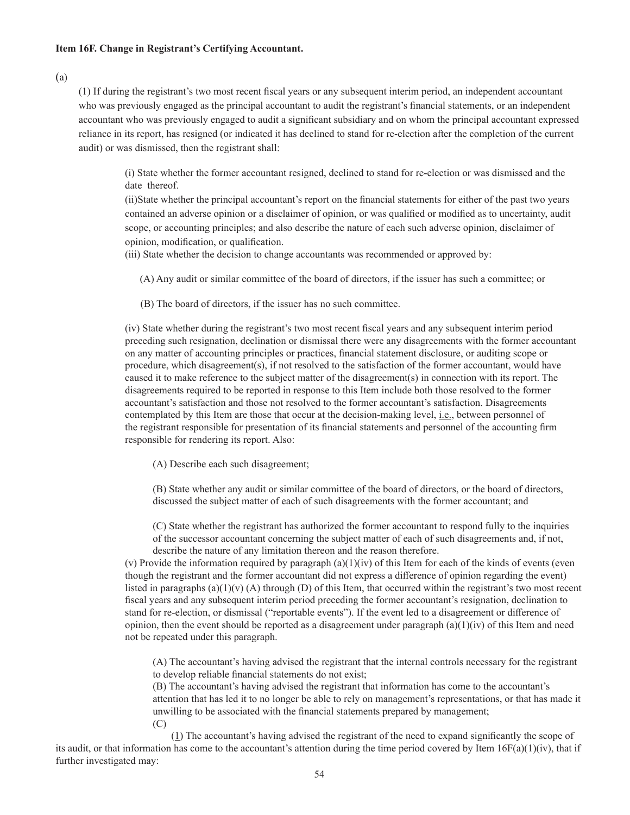#### **Item 16F. Change in Registrant's Certifying Accountant.**

#### (a)

 $(1)$  If during the registrant's two most recent fiscal years or any subsequent interim period, an independent accountant who was previously engaged as the principal accountant to audit the registrant's financial statements, or an independent accountant who was previously engaged to audit a significant subsidiary and on whom the principal accountant expressed reliance in its report, has resigned (or indicated it has declined to stand for re-election after the completion of the current audit) or was dismissed, then the registrant shall:

 (i) State whether the former accountant resigned, declined to stand for re-election or was dismissed and the date thereof.

(ii)State whether the principal accountant's report on the financial statements for either of the past two years contained an adverse opinion or a disclaimer of opinion, or was qualified or modified as to uncertainty, audit scope, or accounting principles; and also describe the nature of each such adverse opinion, disclaimer of opinion, modification, or qualification.

(iii) State whether the decision to change accountants was recommended or approved by:

(A) Any audit or similar committee of the board of directors, if the issuer has such a committee; or

(B) The board of directors, if the issuer has no such committee.

(iv) State whether during the registrant's two most recent fiscal years and any subsequent interim period preceding such resignation, declination or dismissal there were any disagreements with the former accountant on any matter of accounting principles or practices, financial statement disclosure, or auditing scope or procedure, which disagreement(s), if not resolved to the satisfaction of the former accountant, would have caused it to make reference to the subject matter of the disagreement(s) in connection with its report. The disagreements required to be reported in response to this Item include both those resolved to the former accountant's satisfaction and those not resolved to the former accountant's satisfaction. Disagreements contemplated by this Item are those that occur at the decision-making level, i.e., between personnel of the registrant responsible for presentation of its financial statements and personnel of the accounting firm responsible for rendering its report. Also:

(A) Describe each such disagreement;

 (B) State whether any audit or similar committee of the board of directors, or the board of directors, discussed the subject matter of each of such disagreements with the former accountant; and

 (C) State whether the registrant has authorized the former accountant to respond fully to the inquiries of the successor accountant concerning the subject matter of each of such disagreements and, if not, describe the nature of any limitation thereon and the reason therefore.

(v) Provide the information required by paragraph  $(a)(1)(iv)$  of this Item for each of the kinds of events (even though the registrant and the former accountant did not express a difference of opinion regarding the event) listed in paragraphs  $(a)(1)(v)$  (A) through (D) of this Item, that occurred within the registrant's two most recent fiscal years and any subsequent interim period preceding the former accountant's resignation, declination to stand for re-election, or dismissal ("reportable events"). If the event led to a disagreement or difference of opinion, then the event should be reported as a disagreement under paragraph  $(a)(1)(iv)$  of this Item and need not be repeated under this paragraph.

 (A) The accountant's having advised the registrant that the internal controls necessary for the registrant to develop reliable financial statements do not exist;

 (B) The accountant's having advised the registrant that information has come to the accountant's attention that has led it to no longer be able to rely on management's representations, or that has made it unwilling to be associated with the financial statements prepared by management; (C)

 (1) The accountant's having advised the registrant of the need to expand signifi cantly the scope of its audit, or that information has come to the accountant's attention during the time period covered by Item  $16F(a)(1)(iv)$ , that if further investigated may: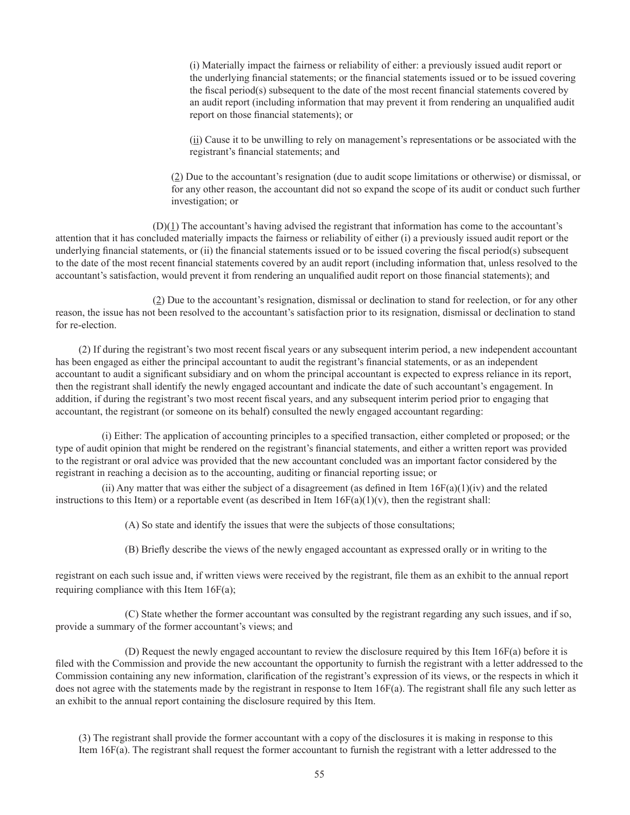(i) Materially impact the fairness or reliability of either: a previously issued audit report or the underlying financial statements; or the financial statements issued or to be issued covering the fiscal period(s) subsequent to the date of the most recent financial statements covered by an audit report (including information that may prevent it from rendering an unqualified audit report on those financial statements); or

 $(iii)$  Cause it to be unwilling to rely on management's representations or be associated with the registrant's financial statements; and

 (2) Due to the accountant's resignation (due to audit scope limitations or otherwise) or dismissal, or for any other reason, the accountant did not so expand the scope of its audit or conduct such further investigation; or

 (D)(1) The accountant's having advised the registrant that information has come to the accountant's attention that it has concluded materially impacts the fairness or reliability of either (i) a previously issued audit report or the underlying financial statements, or (ii) the financial statements issued or to be issued covering the fiscal period(s) subsequent to the date of the most recent financial statements covered by an audit report (including information that, unless resolved to the accountant's satisfaction, would prevent it from rendering an unqualified audit report on those financial statements); and

 (2) Due to the accountant's resignation, dismissal or declination to stand for reelection, or for any other reason, the issue has not been resolved to the accountant's satisfaction prior to its resignation, dismissal or declination to stand for re-election.

(2) If during the registrant's two most recent fiscal years or any subsequent interim period, a new independent accountant has been engaged as either the principal accountant to audit the registrant's financial statements, or as an independent accountant to audit a significant subsidiary and on whom the principal accountant is expected to express reliance in its report, then the registrant shall identify the newly engaged accountant and indicate the date of such accountant's engagement. In addition, if during the registrant's two most recent fiscal years, and any subsequent interim period prior to engaging that accountant, the registrant (or someone on its behalf) consulted the newly engaged accountant regarding:

(i) Either: The application of accounting principles to a specified transaction, either completed or proposed; or the type of audit opinion that might be rendered on the registrant's financial statements, and either a written report was provided to the registrant or oral advice was provided that the new accountant concluded was an important factor considered by the registrant in reaching a decision as to the accounting, auditing or financial reporting issue; or

(ii) Any matter that was either the subject of a disagreement (as defined in Item  $16F(a)(1)(iv)$  and the related instructions to this Item) or a reportable event (as described in Item  $16F(a)(1)(v)$ , then the registrant shall:

(A) So state and identify the issues that were the subjects of those consultations;

(B) Briefly describe the views of the newly engaged accountant as expressed orally or in writing to the

registrant on each such issue and, if written views were received by the registrant, file them as an exhibit to the annual report requiring compliance with this Item 16F(a);

 (C) State whether the former accountant was consulted by the registrant regarding any such issues, and if so, provide a summary of the former accountant's views; and

 (D) Request the newly engaged accountant to review the disclosure required by this Item 16F(a) before it is filed with the Commission and provide the new accountant the opportunity to furnish the registrant with a letter addressed to the Commission containing any new information, clarification of the registrant's expression of its views, or the respects in which it does not agree with the statements made by the registrant in response to Item  $16F(a)$ . The registrant shall file any such letter as an exhibit to the annual report containing the disclosure required by this Item.

 (3) The registrant shall provide the former accountant with a copy of the disclosures it is making in response to this Item 16F(a). The registrant shall request the former accountant to furnish the registrant with a letter addressed to the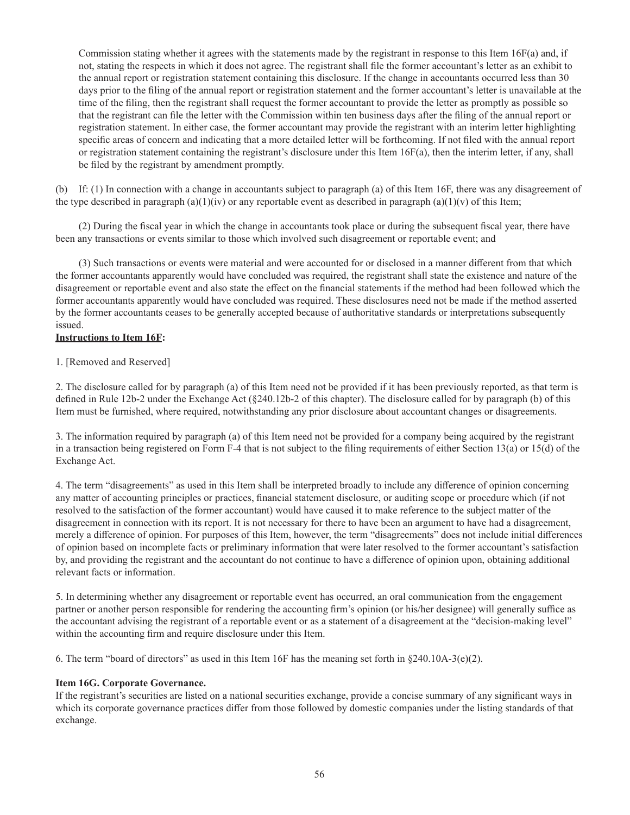Commission stating whether it agrees with the statements made by the registrant in response to this Item 16F(a) and, if not, stating the respects in which it does not agree. The registrant shall file the former accountant's letter as an exhibit to the annual report or registration statement containing this disclosure. If the change in accountants occurred less than 30 days prior to the filing of the annual report or registration statement and the former accountant's letter is unavailable at the time of the filing, then the registrant shall request the former accountant to provide the letter as promptly as possible so that the registrant can file the letter with the Commission within ten business days after the filing of the annual report or registration statement. In either case, the former accountant may provide the registrant with an interim letter highlighting specific areas of concern and indicating that a more detailed letter will be forthcoming. If not filed with the annual report or registration statement containing the registrant's disclosure under this Item 16F(a), then the interim letter, if any, shall be filed by the registrant by amendment promptly.

(b) If: (1) In connection with a change in accountants subject to paragraph (a) of this Item 16F, there was any disagreement of the type described in paragraph  $(a)(1)(iv)$  or any reportable event as described in paragraph  $(a)(1)(v)$  of this Item;

(2) During the fiscal year in which the change in accountants took place or during the subsequent fiscal year, there have been any transactions or events similar to those which involved such disagreement or reportable event; and

(3) Such transactions or events were material and were accounted for or disclosed in a manner different from that which the former accountants apparently would have concluded was required, the registrant shall state the existence and nature of the disagreement or reportable event and also state the effect on the financial statements if the method had been followed which the former accountants apparently would have concluded was required. These disclosures need not be made if the method asserted by the former accountants ceases to be generally accepted because of authoritative standards or interpretations subsequently issued.

## **Instructions to Item 16F:**

## 1. [Removed and Reserved]

2. The disclosure called for by paragraph (a) of this Item need not be provided if it has been previously reported, as that term is defined in Rule 12b-2 under the Exchange Act  $(\S 240.12b - 2)$  of this chapter). The disclosure called for by paragraph (b) of this Item must be furnished, where required, notwithstanding any prior disclosure about accountant changes or disagreements.

3. The information required by paragraph (a) of this Item need not be provided for a company being acquired by the registrant in a transaction being registered on Form F-4 that is not subject to the filing requirements of either Section  $13(a)$  or  $15(d)$  of the Exchange Act.

4. The term "disagreements" as used in this Item shall be interpreted broadly to include any difference of opinion concerning any matter of accounting principles or practices, financial statement disclosure, or auditing scope or procedure which (if not resolved to the satisfaction of the former accountant) would have caused it to make reference to the subject matter of the disagreement in connection with its report. It is not necessary for there to have been an argument to have had a disagreement, merely a difference of opinion. For purposes of this Item, however, the term "disagreements" does not include initial differences of opinion based on incomplete facts or preliminary information that were later resolved to the former accountant's satisfaction by, and providing the registrant and the accountant do not continue to have a difference of opinion upon, obtaining additional relevant facts or information.

5. In determining whether any disagreement or reportable event has occurred, an oral communication from the engagement partner or another person responsible for rendering the accounting firm's opinion (or his/her designee) will generally suffice as the accountant advising the registrant of a reportable event or as a statement of a disagreement at the "decision-making level" within the accounting firm and require disclosure under this Item.

6. The term "board of directors" as used in this Item 16F has the meaning set forth in §240.10A-3(e)(2).

## **Item 16G. Corporate Governance.**

If the registrant's securities are listed on a national securities exchange, provide a concise summary of any significant ways in which its corporate governance practices differ from those followed by domestic companies under the listing standards of that exchange.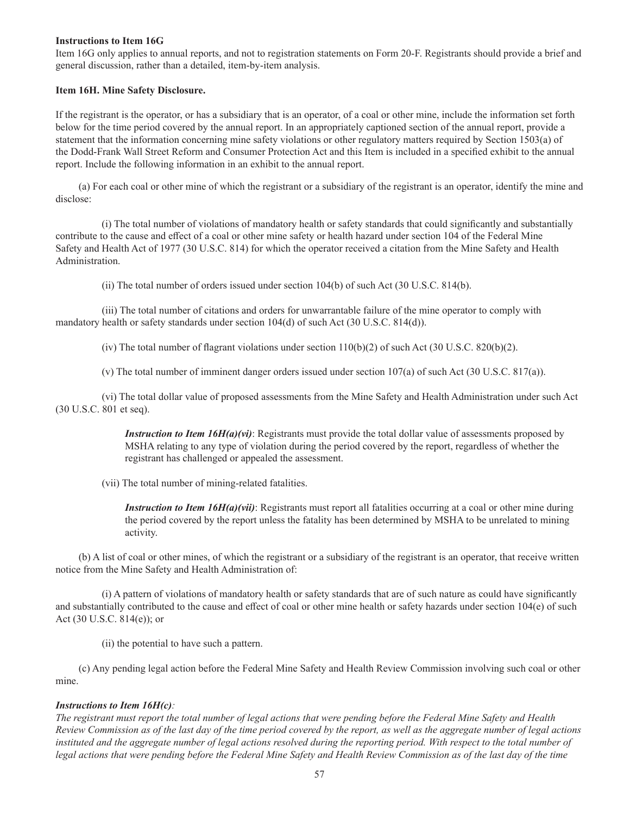#### **Instructions to Item 16G**

Item 16G only applies to annual reports, and not to registration statements on Form 20-F. Registrants should provide a brief and general discussion, rather than a detailed, item-by-item analysis.

## **Item 16H. Mine Safety Disclosure.**

If the registrant is the operator, or has a subsidiary that is an operator, of a coal or other mine, include the information set forth below for the time period covered by the annual report. In an appropriately captioned section of the annual report, provide a statement that the information concerning mine safety violations or other regulatory matters required by Section 1503(a) of the Dodd-Frank Wall Street Reform and Consumer Protection Act and this Item is included in a specified exhibit to the annual report. Include the following information in an exhibit to the annual report.

 (a) For each coal or other mine of which the registrant or a subsidiary of the registrant is an operator, identify the mine and disclose:

(i) The total number of violations of mandatory health or safety standards that could significantly and substantially contribute to the cause and effect of a coal or other mine safety or health hazard under section 104 of the Federal Mine Safety and Health Act of 1977 (30 U.S.C. 814) for which the operator received a citation from the Mine Safety and Health Administration.

(ii) The total number of orders issued under section 104(b) of such Act (30 U.S.C. 814(b).

 (iii) The total number of citations and orders for unwarrantable failure of the mine operator to comply with mandatory health or safety standards under section 104(d) of such Act (30 U.S.C. 814(d)).

(iv) The total number of flagrant violations under section  $110(b)(2)$  of such Act (30 U.S.C. 820(b)(2).

(v) The total number of imminent danger orders issued under section 107(a) of such Act (30 U.S.C. 817(a)).

 (vi) The total dollar value of proposed assessments from the Mine Safety and Health Administration under such Act (30 U.S.C. 801 et seq).

> *Instruction to Item 16H(a)(vi)*: Registrants must provide the total dollar value of assessments proposed by MSHA relating to any type of violation during the period covered by the report, regardless of whether the registrant has challenged or appealed the assessment.

(vii) The total number of mining-related fatalities.

*Instruction to Item 16H(a)(vii)*: Registrants must report all fatalities occurring at a coal or other mine during the period covered by the report unless the fatality has been determined by MSHA to be unrelated to mining activity.

 (b) A list of coal or other mines, of which the registrant or a subsidiary of the registrant is an operator, that receive written notice from the Mine Safety and Health Administration of:

(i) A pattern of violations of mandatory health or safety standards that are of such nature as could have significantly and substantially contributed to the cause and effect of coal or other mine health or safety hazards under section 104(e) of such Act (30 U.S.C. 814(e)); or

(ii) the potential to have such a pattern.

 (c) Any pending legal action before the Federal Mine Safety and Health Review Commission involving such coal or other mine.

## *Instructions to Item 16H(c):*

*The registrant must report the total number of legal actions that were pending before the Federal Mine Safety and Health Review Commission as of the last day of the time period covered by the report, as well as the aggregate number of legal actions* instituted and the aggregate number of legal actions resolved during the reporting period. With respect to the total number of *legal actions that were pending before the Federal Mine Safety and Health Review Commission as of the last day of the time*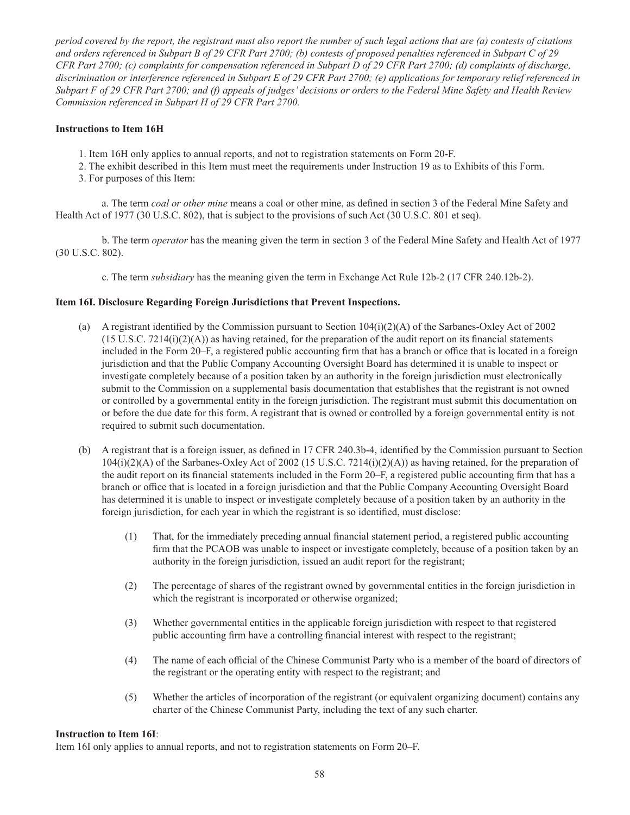*period covered by the report, the registrant must also report the number of such legal actions that are (a) contests of citations and orders referenced in Subpart B of 29 CFR Part 2700; (b) contests of proposed penalties referenced in Subpart C of 29 CFR Part 2700; (c) complaints for compensation referenced in Subpart D of 29 CFR Part 2700; (d) complaints of discharge, discrimination or interference referenced in Subpart E of 29 CFR Part 2700; (e) applications for temporary relief referenced in Subpart F of 29 CFR Part 2700; and (f) appeals of judges' decisions or orders to the Federal Mine Safety and Health Review Commission referenced in Subpart H of 29 CFR Part 2700.* 

## **Instructions to Item 16H**

- 1. Item 16H only applies to annual reports, and not to registration statements on Form 20-F.
- 2. The exhibit described in this Item must meet the requirements under Instruction 19 as to Exhibits of this Form.
- 3. For purposes of this Item:

a. The term *coal or other mine* means a coal or other mine, as defined in section 3 of the Federal Mine Safety and Health Act of 1977 (30 U.S.C. 802), that is subject to the provisions of such Act (30 U.S.C. 801 et seq).

 b. The term *operator* has the meaning given the term in section 3 of the Federal Mine Safety and Health Act of 1977 (30 U.S.C. 802).

c. The term *subsidiary* has the meaning given the term in Exchange Act Rule 12b-2 (17 CFR 240.12b-2).

## **Item 16I. Disclosure Regarding Foreign Jurisdictions that Prevent Inspections.**

- (a) A registrant identified by the Commission pursuant to Section  $104(i)(2)(A)$  of the Sarbanes-Oxley Act of 2002  $(15 \text{ U.S.C. } 7214(i)(2)(A))$  as having retained, for the preparation of the audit report on its financial statements included in the Form 20–F, a registered public accounting firm that has a branch or office that is located in a foreign jurisdiction and that the Public Company Accounting Oversight Board has determined it is unable to inspect or investigate completely because of a position taken by an authority in the foreign jurisdiction must electronically submit to the Commission on a supplemental basis documentation that establishes that the registrant is not owned or controlled by a governmental entity in the foreign jurisdiction. The registrant must submit this documentation on or before the due date for this form. A registrant that is owned or controlled by a foreign governmental entity is not required to submit such documentation.
- (b) A registrant that is a foreign issuer, as defined in 17 CFR 240.3b-4, identified by the Commission pursuant to Section 104(i)(2)(A) of the Sarbanes-Oxley Act of 2002 (15 U.S.C. 7214(i)(2)(A)) as having retained, for the preparation of the audit report on its financial statements included in the Form 20–F, a registered public accounting firm that has a branch or office that is located in a foreign jurisdiction and that the Public Company Accounting Oversight Board has determined it is unable to inspect or investigate completely because of a position taken by an authority in the foreign jurisdiction, for each year in which the registrant is so identified, must disclose:
	- (1) That, for the immediately preceding annual financial statement period, a registered public accounting firm that the PCAOB was unable to inspect or investigate completely, because of a position taken by an authority in the foreign jurisdiction, issued an audit report for the registrant;
	- (2) The percentage of shares of the registrant owned by governmental entities in the foreign jurisdiction in which the registrant is incorporated or otherwise organized;
	- (3) Whether governmental entities in the applicable foreign jurisdiction with respect to that registered public accounting firm have a controlling financial interest with respect to the registrant;
	- (4) The name of each official of the Chinese Communist Party who is a member of the board of directors of the registrant or the operating entity with respect to the registrant; and
	- (5) Whether the articles of incorporation of the registrant (or equivalent organizing document) contains any charter of the Chinese Communist Party, including the text of any such charter.

## **Instruction to Item 16I**:

Item 16I only applies to annual reports, and not to registration statements on Form 20–F.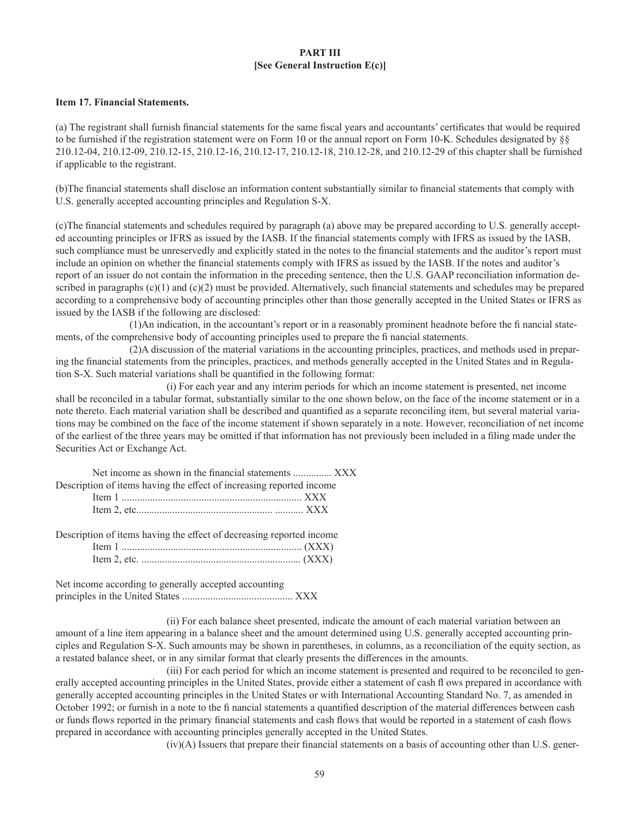## **PART III [See General Instruction E(c)]**

### **Item 17. Financial Statements.**

(a) The registrant shall furnish financial statements for the same fiscal years and accountants' certificates that would be required to be furnished if the registration statement were on Form 10 or the annual report on Form 10-K. Schedules designated by §§ 210.12-04, 210.12-09, 210.12-15, 210.12-16, 210.12-17, 210.12-18, 210.12-28, and 210.12-29 of this chapter shall be furnished if applicable to the registrant.

(b)The financial statements shall disclose an information content substantially similar to financial statements that comply with U.S. generally accepted accounting principles and Regulation S-X.

(c)The financial statements and schedules required by paragraph (a) above may be prepared according to U.S. generally accepted accounting principles or IFRS as issued by the IASB. If the financial statements comply with IFRS as issued by the IASB, such compliance must be unreservedly and explicitly stated in the notes to the financial statements and the auditor's report must include an opinion on whether the financial statements comply with IFRS as issued by the IASB. If the notes and auditor's report of an issuer do not contain the information in the preceding sentence, then the U.S. GAAP reconciliation information described in paragraphs  $(c)(1)$  and  $(c)(2)$  must be provided. Alternatively, such financial statements and schedules may be prepared according to a comprehensive body of accounting principles other than those generally accepted in the United States or IFRS as issued by the IASB if the following are disclosed:

 (1)An indication, in the accountant's report or in a reasonably prominent headnote before the fi nancial statements, of the comprehensive body of accounting principles used to prepare the fi nancial statements.

 (2)A discussion of the material variations in the accounting principles, practices, and methods used in preparing the financial statements from the principles, practices, and methods generally accepted in the United States and in Regulation S-X. Such material variations shall be quantified in the following format:

 (i) For each year and any interim periods for which an income statement is presented, net income shall be reconciled in a tabular format, substantially similar to the one shown below, on the face of the income statement or in a note thereto. Each material variation shall be described and quantified as a separate reconciling item, but several material variations may be combined on the face of the income statement if shown separately in a note. However, reconciliation of net income of the earliest of the three years may be omitted if that information has not previously been included in a fi ling made under the Securities Act or Exchange Act.

Net income as shown in the financial statements ............... XXX

| Description of items having the effect of increasing reported income |
|----------------------------------------------------------------------|
|                                                                      |
|                                                                      |

Description of items having the effect of decreasing reported income Item 1 ...................................................................... (XXX) Item 2, etc. .............................................................. (XXX)

Net income according to generally accepted accounting principles in the United States ........................................... XXX

 (ii) For each balance sheet presented, indicate the amount of each material variation between an amount of a line item appearing in a balance sheet and the amount determined using U.S. generally accepted accounting principles and Regulation S-X. Such amounts may be shown in parentheses, in columns, as a reconciliation of the equity section, as a restated balance sheet, or in any similar format that clearly presents the differences in the amounts.

 (iii) For each period for which an income statement is presented and required to be reconciled to generally accepted accounting principles in the United States, provide either a statement of cash fl ows prepared in accordance with generally accepted accounting principles in the United States or with International Accounting Standard No. 7, as amended in October 1992; or furnish in a note to the fi nancial statements a quantified description of the material differences between cash or funds flows reported in the primary financial statements and cash flows that would be reported in a statement of cash flows prepared in accordance with accounting principles generally accepted in the United States.

 $(iv)(A)$  Issuers that prepare their financial statements on a basis of accounting other than U.S. gener-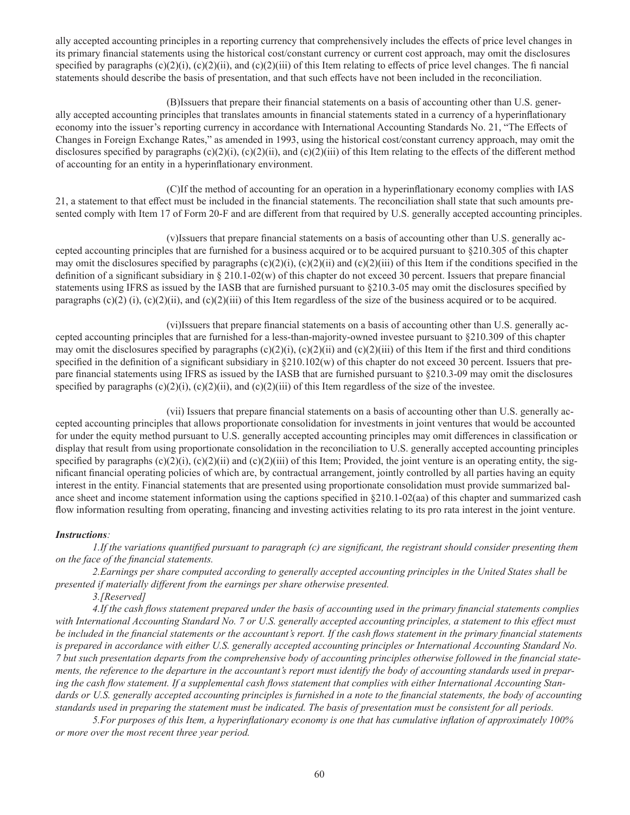ally accepted accounting principles in a reporting currency that comprehensively includes the effects of price level changes in its primary financial statements using the historical cost/constant currency or current cost approach, may omit the disclosures specified by paragraphs  $(c)(2)(i)$ ,  $(c)(2)(ii)$ , and  $(c)(2)(iii)$  of this Item relating to effects of price level changes. The fi nancial statements should describe the basis of presentation, and that such effects have not been included in the reconciliation.

(B)Issuers that prepare their financial statements on a basis of accounting other than U.S. generally accepted accounting principles that translates amounts in financial statements stated in a currency of a hyperinflationary economy into the issuer's reporting currency in accordance with International Accounting Standards No. 21, "The Effects of Changes in Foreign Exchange Rates," as amended in 1993, using the historical cost/constant currency approach, may omit the disclosures specified by paragraphs  $(c)(2)(i)$ ,  $(c)(2)(ii)$ , and  $(c)(2)(iii)$  of this Item relating to the effects of the different method of accounting for an entity in a hyperinflationary environment.

 (C)If the method of accounting for an operation in a hyperinfl ationary economy complies with IAS 21, a statement to that effect must be included in the financial statements. The reconciliation shall state that such amounts presented comply with Item 17 of Form 20-F and are different from that required by U.S. generally accepted accounting principles.

(v)Issuers that prepare financial statements on a basis of accounting other than U.S. generally accepted accounting principles that are furnished for a business acquired or to be acquired pursuant to §210.305 of this chapter may omit the disclosures specified by paragraphs  $(c)(2)(i)$ ,  $(c)(2)(ii)$  and  $(c)(2)(iii)$  of this Item if the conditions specified in the definition of a significant subsidiary in  $\S 210.1-02(w)$  of this chapter do not exceed 30 percent. Issuers that prepare financial statements using IFRS as issued by the IASB that are furnished pursuant to  $\S210.3-05$  may omit the disclosures specified by paragraphs  $(c)(2)$  (i),  $(c)(2)$ (ii), and  $(c)(2)$ (iii) of this Item regardless of the size of the business acquired or to be acquired.

(vi)Issuers that prepare financial statements on a basis of accounting other than U.S. generally accepted accounting principles that are furnished for a less-than-majority-owned investee pursuant to §210.309 of this chapter may omit the disclosures specified by paragraphs  $(c)(2)(i)$ ,  $(c)(2)(ii)$  and  $(c)(2)(iii)$  of this Item if the first and third conditions specified in the definition of a significant subsidiary in  $\S 210.102(w)$  of this chapter do not exceed 30 percent. Issuers that prepare financial statements using IFRS as issued by the IASB that are furnished pursuant to §210.3-09 may omit the disclosures specified by paragraphs  $(c)(2)(i)$ ,  $(c)(2)(ii)$ , and  $(c)(2)(iii)$  of this Item regardless of the size of the investee.

(vii) Issuers that prepare financial statements on a basis of accounting other than U.S. generally accepted accounting principles that allows proportionate consolidation for investments in joint ventures that would be accounted for under the equity method pursuant to U.S. generally accepted accounting principles may omit differences in classification or display that result from using proportionate consolidation in the reconciliation to U.S. generally accepted accounting principles specified by paragraphs  $(c)(2)(i)$ ,  $(c)(2)(ii)$  and  $(c)(2)(iii)$  of this Item; Provided, the joint venture is an operating entity, the significant financial operating policies of which are, by contractual arrangement, jointly controlled by all parties having an equity interest in the entity. Financial statements that are presented using proportionate consolidation must provide summarized balance sheet and income statement information using the captions specified in  $\S210.1$ -02(aa) of this chapter and summarized cash flow information resulting from operating, financing and investing activities relating to its pro rata interest in the joint venture.

## *Instructions:*

*1.If the variations quantified pursuant to paragraph (c) are significant, the registrant should consider presenting them on the face of the financial statements.* 

 *2.Earnings per share computed according to generally accepted accounting principles in the United States shall be presented if materially diff erent from the earnings per share otherwise presented.*

 *3.[Reserved]*

*4.If the cash flows statement prepared under the basis of accounting used in the primary financial statements complies* with International Accounting Standard No. 7 or U.S. generally accepted accounting principles, a statement to this effect must be included in the financial statements or the accountant's report. If the cash flows statement in the primary financial statements *is prepared in accordance with either U.S. generally accepted accounting principles or International Accounting Standard No. 7* but such presentation departs from the comprehensive body of accounting principles otherwise followed in the financial state*ments, the reference to the departure in the accountant's report must identify the body of accounting standards used in prepar*ing the cash flow statement. If a supplemental cash flows statement that complies with either International Accounting Standards or U.S. generally accepted accounting principles is furnished in a note to the financial statements, the body of accounting *standards used in preparing the statement must be indicated. The basis of presentation must be consistent for all periods.*

 *5.For purposes of this Item, a hyperinfl ationary economy is one that has cumulative infl ation of approximately 100% or more over the most recent three year period.*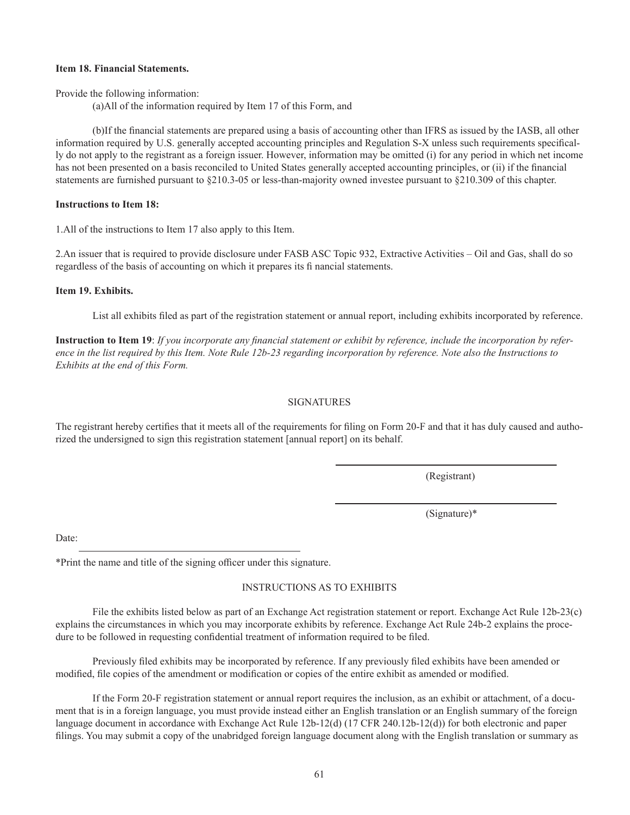## **Item 18. Financial Statements.**

Provide the following information:

(a)All of the information required by Item 17 of this Form, and

(b)If the financial statements are prepared using a basis of accounting other than IFRS as issued by the IASB, all other information required by U.S. generally accepted accounting principles and Regulation S-X unless such requirements specifically do not apply to the registrant as a foreign issuer. However, information may be omitted (i) for any period in which net income has not been presented on a basis reconciled to United States generally accepted accounting principles, or (ii) if the financial statements are furnished pursuant to §210.3-05 or less-than-majority owned investee pursuant to §210.309 of this chapter.

### **Instructions to Item 18:**

1.All of the instructions to Item 17 also apply to this Item.

2.An issuer that is required to provide disclosure under FASB ASC Topic 932, Extractive Activities – Oil and Gas, shall do so regardless of the basis of accounting on which it prepares its fi nancial statements.

### **Item 19. Exhibits.**

List all exhibits filed as part of the registration statement or annual report, including exhibits incorporated by reference.

**Instruction to Item 19**: If you incorporate any financial statement or exhibit by reference, include the incorporation by refer*ence in the list required by this Item. Note Rule 12b-23 regarding incorporation by reference. Note also the Instructions to Exhibits at the end of this Form.*

## SIGNATURES

The registrant hereby certifies that it meets all of the requirements for filing on Form 20-F and that it has duly caused and authorized the undersigned to sign this registration statement [annual report] on its behalf.

(Registrant)

(Signature)\*

Date:

\*Print the name and title of the signing officer under this signature.

## INSTRUCTIONS AS TO EXHIBITS

 File the exhibits listed below as part of an Exchange Act registration statement or report. Exchange Act Rule 12b-23(c) explains the circumstances in which you may incorporate exhibits by reference. Exchange Act Rule 24b-2 explains the procedure to be followed in requesting confidential treatment of information required to be filed.

Previously filed exhibits may be incorporated by reference. If any previously filed exhibits have been amended or modified, file copies of the amendment or modification or copies of the entire exhibit as amended or modified.

 If the Form 20-F registration statement or annual report requires the inclusion, as an exhibit or attachment, of a document that is in a foreign language, you must provide instead either an English translation or an English summary of the foreign language document in accordance with Exchange Act Rule 12b-12(d) (17 CFR 240.12b-12(d)) for both electronic and paper filings. You may submit a copy of the unabridged foreign language document along with the English translation or summary as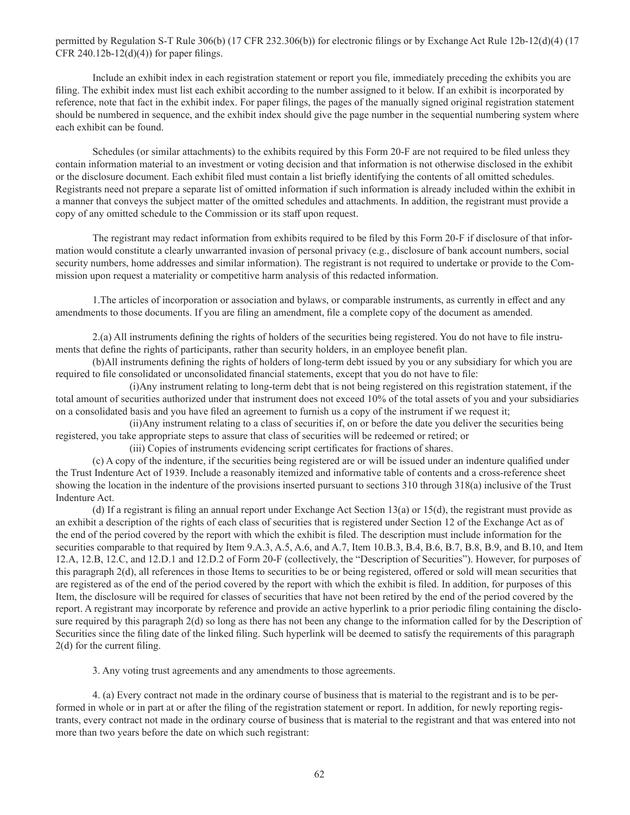permitted by Regulation S-T Rule 306(b) (17 CFR 232.306(b)) for electronic filings or by Exchange Act Rule  $12b-12(d)(4)$  (17 CFR 240.12b-12(d)(4)) for paper filings.

Include an exhibit index in each registration statement or report you file, immediately preceding the exhibits you are filing. The exhibit index must list each exhibit according to the number assigned to it below. If an exhibit is incorporated by reference, note that fact in the exhibit index. For paper filings, the pages of the manually signed original registration statement should be numbered in sequence, and the exhibit index should give the page number in the sequential numbering system where each exhibit can be found.

Schedules (or similar attachments) to the exhibits required by this Form 20-F are not required to be filed unless they contain information material to an investment or voting decision and that information is not otherwise disclosed in the exhibit or the disclosure document. Each exhibit filed must contain a list briefly identifying the contents of all omitted schedules. Registrants need not prepare a separate list of omitted information if such information is already included within the exhibit in a manner that conveys the subject matter of the omitted schedules and attachments. In addition, the registrant must provide a copy of any omitted schedule to the Commission or its staff upon request.

The registrant may redact information from exhibits required to be filed by this Form 20-F if disclosure of that information would constitute a clearly unwarranted invasion of personal privacy (e.g., disclosure of bank account numbers, social security numbers, home addresses and similar information). The registrant is not required to undertake or provide to the Commission upon request a materiality or competitive harm analysis of this redacted information.

1. The articles of incorporation or association and bylaws, or comparable instruments, as currently in effect and any amendments to those documents. If you are filing an amendment, file a complete copy of the document as amended.

2.(a) All instruments defining the rights of holders of the securities being registered. You do not have to file instruments that define the rights of participants, rather than security holders, in an employee benefit plan.

(b)All instruments defining the rights of holders of long-term debt issued by you or any subsidiary for which you are required to file consolidated or unconsolidated financial statements, except that you do not have to file:

 (i)Any instrument relating to long-term debt that is not being registered on this registration statement, if the total amount of securities authorized under that instrument does not exceed 10% of the total assets of you and your subsidiaries on a consolidated basis and you have filed an agreement to furnish us a copy of the instrument if we request it;

 (ii)Any instrument relating to a class of securities if, on or before the date you deliver the securities being registered, you take appropriate steps to assure that class of securities will be redeemed or retired; or

(iii) Copies of instruments evidencing script certificates for fractions of shares.

 $(c)$  A copy of the indenture, if the securities being registered are or will be issued under an indenture qualified under the Trust Indenture Act of 1939. Include a reasonably itemized and informative table of contents and a cross-reference sheet showing the location in the indenture of the provisions inserted pursuant to sections 310 through 318(a) inclusive of the Trust Indenture Act.

(d) If a registrant is filing an annual report under Exchange Act Section  $13(a)$  or  $15(d)$ , the registrant must provide as an exhibit a description of the rights of each class of securities that is registered under Section 12 of the Exchange Act as of the end of the period covered by the report with which the exhibit is filed. The description must include information for the securities comparable to that required by Item 9.A.3, A.5, A.6, and A.7, Item 10.B.3, B.4, B.6, B.7, B.8, B.9, and B.10, and Item 12.A, 12.B, 12.C, and 12.D.1 and 12.D.2 of Form 20-F (collectively, the "Description of Securities"). However, for purposes of this paragraph 2(d), all references in those Items to securities to be or being registered, offered or sold will mean securities that are registered as of the end of the period covered by the report with which the exhibit is filed. In addition, for purposes of this Item, the disclosure will be required for classes of securities that have not been retired by the end of the period covered by the report. A registrant may incorporate by reference and provide an active hyperlink to a prior periodic filing containing the disclosure required by this paragraph 2(d) so long as there has not been any change to the information called for by the Description of Securities since the filing date of the linked filing. Such hyperlink will be deemed to satisfy the requirements of this paragraph  $2(d)$  for the current filing.

3. Any voting trust agreements and any amendments to those agreements.

 4. (a) Every contract not made in the ordinary course of business that is material to the registrant and is to be performed in whole or in part at or after the filing of the registration statement or report. In addition, for newly reporting registrants, every contract not made in the ordinary course of business that is material to the registrant and that was entered into not more than two years before the date on which such registrant: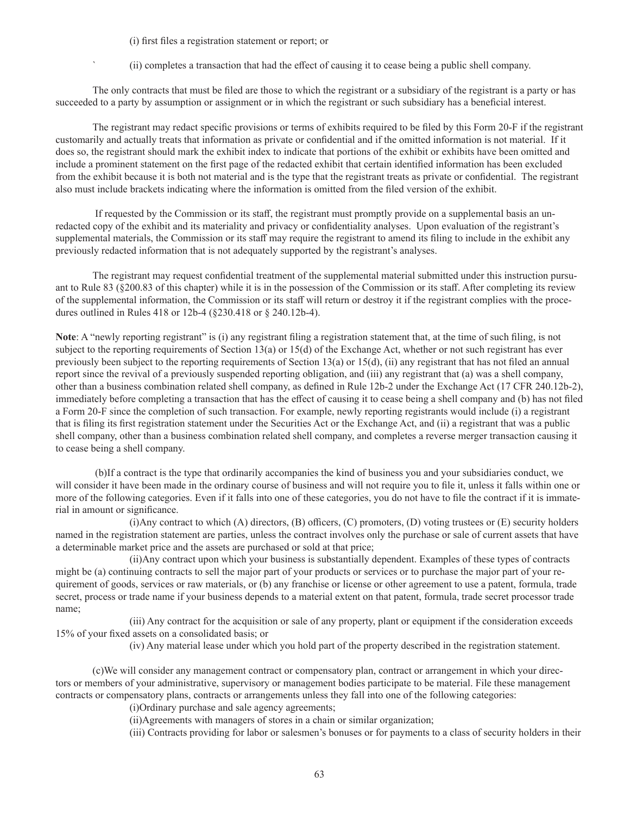(i) first files a registration statement or report; or

 $(iii)$  completes a transaction that had the effect of causing it to cease being a public shell company.

The only contracts that must be filed are those to which the registrant or a subsidiary of the registrant is a party or has succeeded to a party by assumption or assignment or in which the registrant or such subsidiary has a beneficial interest.

The registrant may redact specific provisions or terms of exhibits required to be filed by this Form 20-F if the registrant customarily and actually treats that information as private or confidential and if the omitted information is not material. If it does so, the registrant should mark the exhibit index to indicate that portions of the exhibit or exhibits have been omitted and include a prominent statement on the first page of the redacted exhibit that certain identified information has been excluded from the exhibit because it is both not material and is the type that the registrant treats as private or confidential. The registrant also must include brackets indicating where the information is omitted from the filed version of the exhibit.

If requested by the Commission or its staff, the registrant must promptly provide on a supplemental basis an unredacted copy of the exhibit and its materiality and privacy or confidentiality analyses. Upon evaluation of the registrant's supplemental materials, the Commission or its staff may require the registrant to amend its filing to include in the exhibit any previously redacted information that is not adequately supported by the registrant's analyses.

The registrant may request confidential treatment of the supplemental material submitted under this instruction pursuant to Rule 83 (§200.83 of this chapter) while it is in the possession of the Commission or its staff . After completing its review of the supplemental information, the Commission or its staff will return or destroy it if the registrant complies with the procedures outlined in Rules 418 or 12b-4 (§230.418 or § 240.12b-4).

**Note:** A "newly reporting registrant" is (i) any registrant filing a registration statement that, at the time of such filing, is not subject to the reporting requirements of Section 13(a) or 15(d) of the Exchange Act, whether or not such registrant has ever previously been subject to the reporting requirements of Section  $13(a)$  or  $15(d)$ , (ii) any registrant that has not filed an annual report since the revival of a previously suspended reporting obligation, and (iii) any registrant that (a) was a shell company, other than a business combination related shell company, as defined in Rule 12b-2 under the Exchange Act (17 CFR 240.12b-2), immediately before completing a transaction that has the effect of causing it to cease being a shell company and (b) has not filed a Form 20-F since the completion of such transaction. For example, newly reporting registrants would include (i) a registrant that is filing its first registration statement under the Securities Act or the Exchange Act, and (ii) a registrant that was a public shell company, other than a business combination related shell company, and completes a reverse merger transaction causing it to cease being a shell company.

 (b)If a contract is the type that ordinarily accompanies the kind of business you and your subsidiaries conduct, we will consider it have been made in the ordinary course of business and will not require you to file it, unless it falls within one or more of the following categories. Even if it falls into one of these categories, you do not have to file the contract if it is immaterial in amount or significance.

(i)Any contract to which (A) directors,  $(B)$  officers,  $(C)$  promoters,  $(D)$  voting trustees or  $(E)$  security holders named in the registration statement are parties, unless the contract involves only the purchase or sale of current assets that have a determinable market price and the assets are purchased or sold at that price;

 (ii)Any contract upon which your business is substantially dependent. Examples of these types of contracts might be (a) continuing contracts to sell the major part of your products or services or to purchase the major part of your requirement of goods, services or raw materials, or (b) any franchise or license or other agreement to use a patent, formula, trade secret, process or trade name if your business depends to a material extent on that patent, formula, trade secret processor trade name;

 (iii) Any contract for the acquisition or sale of any property, plant or equipment if the consideration exceeds 15% of your fixed assets on a consolidated basis; or

(iv) Any material lease under which you hold part of the property described in the registration statement.

 (c)We will consider any management contract or compensatory plan, contract or arrangement in which your directors or members of your administrative, supervisory or management bodies participate to be material. File these management contracts or compensatory plans, contracts or arrangements unless they fall into one of the following categories:

(i)Ordinary purchase and sale agency agreements;

(ii)Agreements with managers of stores in a chain or similar organization;

(iii) Contracts providing for labor or salesmen's bonuses or for payments to a class of security holders in their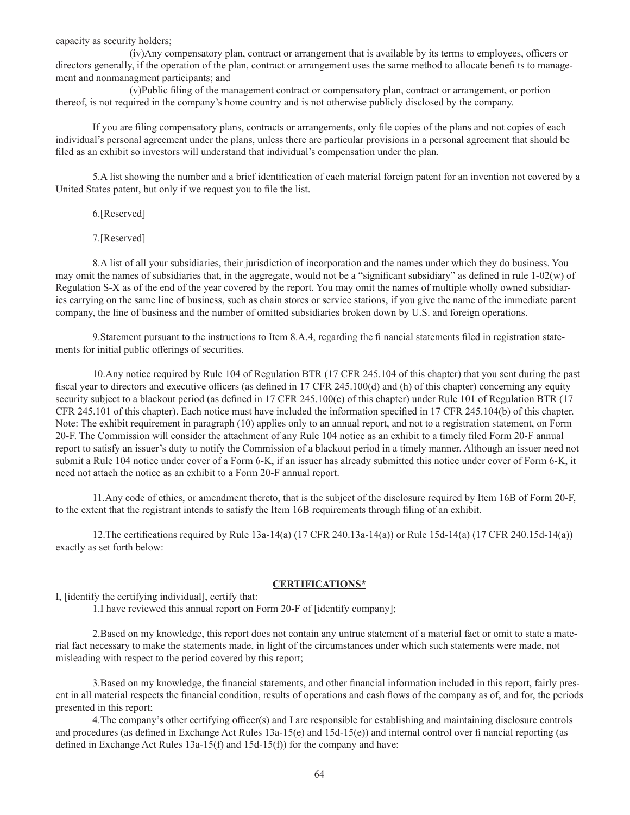capacity as security holders;

(iv)Any compensatory plan, contract or arrangement that is available by its terms to employees, officers or directors generally, if the operation of the plan, contract or arrangement uses the same method to allocate benefits to management and nonmanagment participants; and

(v)Public filing of the management contract or compensatory plan, contract or arrangement, or portion thereof, is not required in the company's home country and is not otherwise publicly disclosed by the company.

If you are filing compensatory plans, contracts or arrangements, only file copies of the plans and not copies of each individual's personal agreement under the plans, unless there are particular provisions in a personal agreement that should be filed as an exhibit so investors will understand that individual's compensation under the plan.

5.A list showing the number and a brief identification of each material foreign patent for an invention not covered by a United States patent, but only if we request you to file the list.

6.[Reserved]

7.[Reserved]

 8.A list of all your subsidiaries, their jurisdiction of incorporation and the names under which they do business. You may omit the names of subsidiaries that, in the aggregate, would not be a "significant subsidiary" as defined in rule  $1-02(w)$  of Regulation S-X as of the end of the year covered by the report. You may omit the names of multiple wholly owned subsidiaries carrying on the same line of business, such as chain stores or service stations, if you give the name of the immediate parent company, the line of business and the number of omitted subsidiaries broken down by U.S. and foreign operations.

9. Statement pursuant to the instructions to Item 8.A.4, regarding the fi nancial statements filed in registration statements for initial public offerings of securities.

 10.Any notice required by Rule 104 of Regulation BTR (17 CFR 245.104 of this chapter) that you sent during the past fiscal year to directors and executive officers (as defined in  $17$  CFR 245.100(d) and (h) of this chapter) concerning any equity security subject to a blackout period (as defined in 17 CFR 245.100 $(c)$  of this chapter) under Rule 101 of Regulation BTR (17 CFR 245.101 of this chapter). Each notice must have included the information specified in 17 CFR 245.104(b) of this chapter. Note: The exhibit requirement in paragraph (10) applies only to an annual report, and not to a registration statement, on Form 20-F. The Commission will consider the attachment of any Rule 104 notice as an exhibit to a timely filed Form 20-F annual report to satisfy an issuer's duty to notify the Commission of a blackout period in a timely manner. Although an issuer need not submit a Rule 104 notice under cover of a Form 6-K, if an issuer has already submitted this notice under cover of Form 6-K, it need not attach the notice as an exhibit to a Form 20-F annual report.

 11.Any code of ethics, or amendment thereto, that is the subject of the disclosure required by Item 16B of Form 20-F, to the extent that the registrant intends to satisfy the Item 16B requirements through filing of an exhibit.

12. The certifications required by Rule 13a-14(a) (17 CFR 240.13a-14(a)) or Rule 15d-14(a) (17 CFR 240.15d-14(a)) exactly as set forth below:

#### **CERTIFICATIONS\***

I, [identify the certifying individual], certify that:

1.I have reviewed this annual report on Form 20-F of [identify company];

 2.Based on my knowledge, this report does not contain any untrue statement of a material fact or omit to state a material fact necessary to make the statements made, in light of the circumstances under which such statements were made, not misleading with respect to the period covered by this report;

3. Based on my knowledge, the financial statements, and other financial information included in this report, fairly present in all material respects the financial condition, results of operations and cash flows of the company as of, and for, the periods presented in this report;

4. The company's other certifying officer(s) and I are responsible for establishing and maintaining disclosure controls and procedures (as defined in Exchange Act Rules  $13a-15(e)$  and  $15d-15(e)$ ) and internal control over fi nancial reporting (as defined in Exchange Act Rules  $13a-15(f)$  and  $15d-15(f)$ ) for the company and have: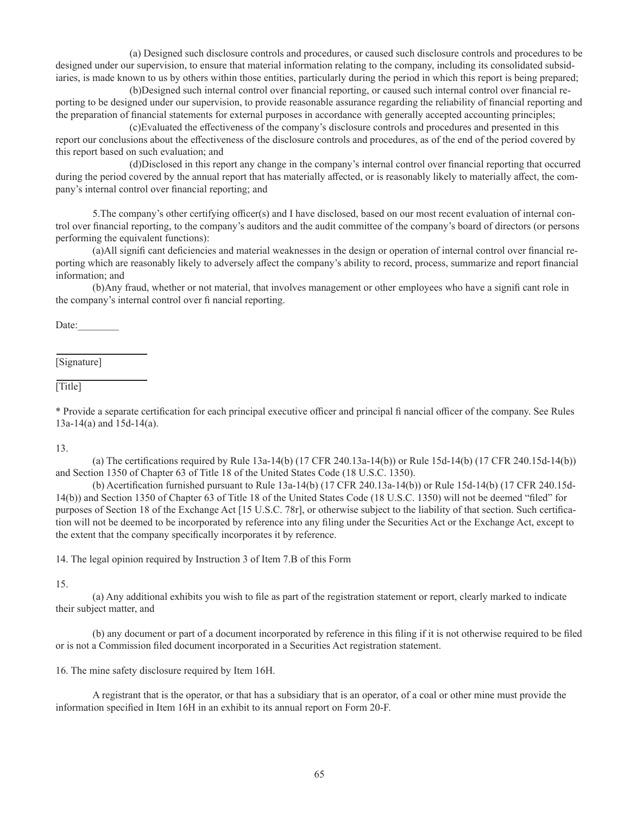(a) Designed such disclosure controls and procedures, or caused such disclosure controls and procedures to be designed under our supervision, to ensure that material information relating to the company, including its consolidated subsidiaries, is made known to us by others within those entities, particularly during the period in which this report is being prepared;

(b)Designed such internal control over financial reporting, or caused such internal control over financial reporting to be designed under our supervision, to provide reasonable assurance regarding the reliability of financial reporting and the preparation of financial statements for external purposes in accordance with generally accepted accounting principles;

(c)Evaluated the effectiveness of the company's disclosure controls and procedures and presented in this report our conclusions about the effectiveness of the disclosure controls and procedures, as of the end of the period covered by this report based on such evaluation; and

(d)Disclosed in this report any change in the company's internal control over financial reporting that occurred during the period covered by the annual report that has materially affected, or is reasonably likely to materially affect, the company's internal control over financial reporting; and

5. The company's other certifying officer(s) and I have disclosed, based on our most recent evaluation of internal control over financial reporting, to the company's auditors and the audit committee of the company's board of directors (or persons performing the equivalent functions):

(a)All significant deficiencies and material weaknesses in the design or operation of internal control over financial reporting which are reasonably likely to adversely affect the company's ability to record, process, summarize and report financial information; and

 (b)Any fraud, whether or not material, that involves management or other employees who have a signifi cant role in the company's internal control over fi nancial reporting.

Date:

[Signature]

 $\overline{\text{Title}}$ 

\* Provide a separate certification for each principal executive officer and principal fi nancial officer of the company. See Rules 13a-14(a) and 15d-14(a).

13.

(a) The certifications required by Rule  $13a-14(b)$  (17 CFR 240.13a-14(b)) or Rule  $15d-14(b)$  (17 CFR 240.15d-14(b)) and Section 1350 of Chapter 63 of Title 18 of the United States Code (18 U.S.C. 1350).

(b) Acertification furnished pursuant to Rule 13a-14(b) (17 CFR 240.13a-14(b)) or Rule 15d-14(b) (17 CFR 240.15d-14(b)) and Section 1350 of Chapter 63 of Title 18 of the United States Code (18 U.S.C. 1350) will not be deemed "filed" for purposes of Section 18 of the Exchange Act [15 U.S.C. 78r], or otherwise subject to the liability of that section. Such certification will not be deemed to be incorporated by reference into any filing under the Securities Act or the Exchange Act, except to the extent that the company specifically incorporates it by reference.

14. The legal opinion required by Instruction 3 of Item 7.B of this Form

#### 15.

(a) Any additional exhibits you wish to file as part of the registration statement or report, clearly marked to indicate their subject matter, and

(b) any document or part of a document incorporated by reference in this filing if it is not otherwise required to be filed or is not a Commission filed document incorporated in a Securities Act registration statement.

16. The mine safety disclosure required by Item 16H.

 A registrant that is the operator, or that has a subsidiary that is an operator, of a coal or other mine must provide the information specified in Item 16H in an exhibit to its annual report on Form 20-F.